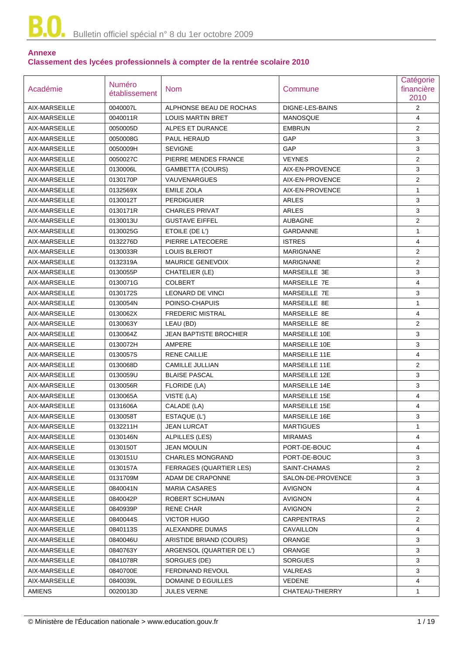## **Annexe Classement des lycées professionnels à compter de la rentrée scolaire 2010**

| Académie      | Numéro<br>établissement | <b>Nom</b>                    | Commune           | Catégorie<br>financière<br>2010 |
|---------------|-------------------------|-------------------------------|-------------------|---------------------------------|
| AIX-MARSEILLE | 0040007L                | ALPHONSE BEAU DE ROCHAS       | DIGNE-LES-BAINS   | $\overline{2}$                  |
| AIX-MARSEILLE | 0040011R                | <b>LOUIS MARTIN BRET</b>      | MANOSQUE          | $\overline{4}$                  |
| AIX-MARSEILLE | 0050005D                | ALPES ET DURANCE              | <b>EMBRUN</b>     | $\overline{2}$                  |
| AIX-MARSEILLE | 0050008G                | PAUL HERAUD                   | GAP               | 3                               |
| AIX-MARSEILLE | 0050009H                | <b>SEVIGNE</b>                | GAP               | 3                               |
| AIX-MARSEILLE | 0050027C                | PIERRE MENDES FRANCE          | <b>VEYNES</b>     | $\overline{2}$                  |
| AIX-MARSEILLE | 0130006L                | <b>GAMBETTA (COURS)</b>       | AIX-EN-PROVENCE   | 3                               |
| AIX-MARSEILLE | 0130170P                | <b>VAUVENARGUES</b>           | AIX-EN-PROVENCE   | $\overline{2}$                  |
| AIX-MARSEILLE | 0132569X                | <b>EMILE ZOLA</b>             | AIX-EN-PROVENCE   | $\mathbf{1}$                    |
| AIX-MARSEILLE | 0130012T                | <b>PERDIGUIER</b>             | <b>ARLES</b>      | 3                               |
| AIX-MARSEILLE | 0130171R                | <b>CHARLES PRIVAT</b>         | <b>ARLES</b>      | 3                               |
| AIX-MARSEILLE | 0130013U                | <b>GUSTAVE EIFFEL</b>         | <b>AUBAGNE</b>    | $\overline{2}$                  |
| AIX-MARSEILLE | 0130025G                | ETOILE (DE L')                | GARDANNE          | 1                               |
| AIX-MARSEILLE | 0132276D                | PIERRE LATECOERE              | <b>ISTRES</b>     | 4                               |
| AIX-MARSEILLE | 0130033R                | <b>LOUIS BLERIOT</b>          | <b>MARIGNANE</b>  | $\overline{2}$                  |
| AIX-MARSEILLE | 0132319A                | <b>MAURICE GENEVOIX</b>       | <b>MARIGNANE</b>  | $\overline{2}$                  |
| AIX-MARSEILLE | 0130055P                | CHATELIER (LE)                | MARSEILLE 3E      | 3                               |
| AIX-MARSEILLE | 0130071G                | <b>COLBERT</b>                | MARSEILLE 7E      | 4                               |
| AIX-MARSEILLE | 0130172S                | <b>LEONARD DE VINCI</b>       | MARSEILLE 7E      | 3                               |
| AIX-MARSEILLE | 0130054N                | POINSO-CHAPUIS                | MARSEILLE 8E      | $\mathbf{1}$                    |
| AIX-MARSEILLE | 0130062X                | <b>FREDERIC MISTRAL</b>       | MARSEILLE 8E      | 4                               |
| AIX-MARSEILLE | 0130063Y                | LEAU (BD)                     | MARSEILLE 8E      | $\overline{c}$                  |
| AIX-MARSEILLE | 0130064Z                | <b>JEAN BAPTISTE BROCHIER</b> | MARSEILLE 10E     | 3                               |
| AIX-MARSEILLE | 0130072H                | AMPERE                        | MARSEILLE 10E     | 3                               |
| AIX-MARSEILLE | 0130057S                | <b>RENE CAILLIE</b>           | MARSEILLE 11E     | 4                               |
| AIX-MARSEILLE | 0130068D                | <b>CAMILLE JULLIAN</b>        | MARSEILLE 11E     | $\overline{2}$                  |
| AIX-MARSEILLE | 0130059U                | <b>BLAISE PASCAL</b>          | MARSEILLE 12E     | 3                               |
| AIX-MARSEILLE | 0130056R                | FLORIDE (LA)                  | MARSEILLE 14E     | 3                               |
| AIX-MARSEILLE | 0130065A                | VISTE (LA)                    | MARSEILLE 15E     | 4                               |
| AIX-MARSEILLE | 0131606A                | CALADE (LA)                   | MARSEILLE 15E     | 4                               |
| AIX-MARSEILLE | 0130058T                | ESTAQUE (L')                  | MARSEILLE 16E     | 3                               |
| AIX-MARSEILLE | 0132211H                | <b>JEAN LURCAT</b>            | <b>MARTIGUES</b>  | 1                               |
| AIX-MARSEILLE | 0130146N                | ALPILLES (LES)                | <b>MIRAMAS</b>    | 4                               |
| AIX-MARSEILLE | 0130150T                | <b>JEAN MOULIN</b>            | PORT-DE-BOUC      | 4                               |
| AIX-MARSEILLE | 0130151U                | <b>CHARLES MONGRAND</b>       | PORT-DE-BOUC      | 3                               |
| AIX-MARSEILLE | 0130157A                | FERRAGES (QUARTIER LES)       | SAINT-CHAMAS      | $\overline{2}$                  |
| AIX-MARSEILLE | 0131709M                | ADAM DE CRAPONNE              | SALON-DE-PROVENCE | 3                               |
| AIX-MARSEILLE | 0840041N                | <b>MARIA CASARES</b>          | <b>AVIGNON</b>    | 4                               |
| AIX-MARSEILLE | 0840042P                | ROBERT SCHUMAN                | <b>AVIGNON</b>    | 4                               |
| AIX-MARSEILLE | 0840939P                | RENE CHAR                     | <b>AVIGNON</b>    | 2                               |
| AIX-MARSEILLE | 0840044S                | VICTOR HUGO                   | <b>CARPENTRAS</b> | $\overline{2}$                  |
| AIX-MARSEILLE | 0840113S                | ALEXANDRE DUMAS               | CAVAILLON         | 4                               |
| AIX-MARSEILLE | 0840046U                | ARISTIDE BRIAND (COURS)       | <b>ORANGE</b>     | 3                               |
| AIX-MARSEILLE | 0840763Y                | ARGENSOL (QUARTIER DE L')     | <b>ORANGE</b>     | 3                               |
| AIX-MARSEILLE | 0841078R                | SORGUES (DE)                  | <b>SORGUES</b>    | 3                               |
| AIX-MARSEILLE | 0840700E                | FERDINAND REVOUL              | VALREAS           | 3                               |
| AIX-MARSEILLE |                         | DOMAINE D EGUILLES            | VEDENE            | 4                               |
|               | 0840039L                |                               |                   |                                 |
| <b>AMIENS</b> | 0020013D                | <b>JULES VERNE</b>            | CHATEAU-THIERRY   | 1                               |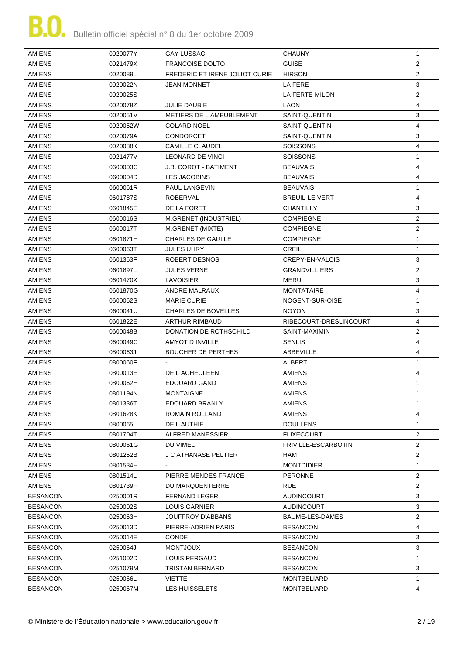

| AMIENS          | 0020077Y | <b>GAY LUSSAC</b>                     | <b>CHAUNY</b>          | $\mathbf{1}$                     |
|-----------------|----------|---------------------------------------|------------------------|----------------------------------|
| <b>AMIENS</b>   | 0021479X | <b>FRANCOISE DOLTO</b>                | <b>GUISE</b>           | $\overline{2}$                   |
| <b>AMIENS</b>   | 0020089L | <b>FREDERIC ET IRENE JOLIOT CURIE</b> | <b>HIRSON</b>          | $\overline{2}$                   |
| <b>AMIENS</b>   | 0020022N | <b>JEAN MONNET</b>                    | LA FERE                | 3                                |
| <b>AMIENS</b>   | 0020025S |                                       | LA FERTE-MILON         | $\overline{2}$                   |
|                 |          |                                       |                        | 4                                |
| <b>AMIENS</b>   | 0020078Z | <b>JULIE DAUBIE</b>                   | <b>LAON</b>            |                                  |
| <b>AMIENS</b>   | 0020051V | METIERS DE L AMEUBLEMENT              | SAINT-QUENTIN          | 3                                |
| <b>AMIENS</b>   | 0020052W | <b>COLARD NOEL</b>                    | SAINT-QUENTIN          | 4                                |
| <b>AMIENS</b>   | 0020079A | <b>CONDORCET</b>                      | SAINT-QUENTIN          | 3                                |
| <b>AMIENS</b>   | 0020088K | <b>CAMILLE CLAUDEL</b>                | <b>SOISSONS</b>        | 4                                |
| <b>AMIENS</b>   | 0021477V | LEONARD DE VINCI                      | <b>SOISSONS</b>        | $\mathbf{1}$                     |
| <b>AMIENS</b>   | 0600003C | <b>J.B. COROT - BATIMENT</b>          | <b>BEAUVAIS</b>        | 4                                |
| <b>AMIENS</b>   | 0600004D | LES JACOBINS                          | <b>BEAUVAIS</b>        | 4                                |
| <b>AMIENS</b>   | 0600061R | PAUL LANGEVIN                         | <b>BEAUVAIS</b>        | 1                                |
| <b>AMIENS</b>   | 0601787S | <b>ROBERVAL</b>                       | <b>BREUIL-LE-VERT</b>  | 4                                |
| <b>AMIENS</b>   | 0601845E | DE LA FORET                           | CHANTILLY              | 3                                |
| <b>AMIENS</b>   | 0600016S | M.GRENET (INDUSTRIEL)                 | <b>COMPIEGNE</b>       | 2                                |
| <b>AMIENS</b>   | 0600017T | M.GRENET (MIXTE)                      | <b>COMPIEGNE</b>       | $\overline{2}$                   |
| <b>AMIENS</b>   | 0601871H | <b>CHARLES DE GAULLE</b>              | <b>COMPIEGNE</b>       | 1                                |
| <b>AMIENS</b>   | 0600063T | <b>JULES UHRY</b>                     | CREIL                  | $\mathbf{1}$                     |
| <b>AMIENS</b>   | 0601363F | ROBERT DESNOS                         | CREPY-EN-VALOIS        | 3                                |
| <b>AMIENS</b>   | 0601897L | <b>JULES VERNE</b>                    | <b>GRANDVILLIERS</b>   | 2                                |
| <b>AMIENS</b>   | 0601470X | <b>LAVOISIER</b>                      | MERU                   | 3                                |
| <b>AMIENS</b>   | 0601870G | <b>ANDRE MALRAUX</b>                  | <b>MONTATAIRE</b>      | 4                                |
| <b>AMIENS</b>   | 0600062S | <b>MARIE CURIE</b>                    | NOGENT-SUR-OISE        | $\mathbf{1}$                     |
| <b>AMIENS</b>   | 0600041U | <b>CHARLES DE BOVELLES</b>            | <b>NOYON</b>           | 3                                |
| <b>AMIENS</b>   | 0601822E | ARTHUR RIMBAUD                        | RIBECOURT-DRESLINCOURT | 4                                |
| <b>AMIENS</b>   | 0600048B | DONATION DE ROTHSCHILD                | SAINT-MAXIMIN          | $\overline{2}$                   |
| <b>AMIENS</b>   | 0600049C | AMYOT D INVILLE                       | <b>SENLIS</b>          | 4                                |
| <b>AMIENS</b>   | 0800063J | <b>BOUCHER DE PERTHES</b>             | ABBEVILLE              | 4                                |
| <b>AMIENS</b>   | 0800060F |                                       | <b>ALBERT</b>          | $\mathbf 1$                      |
| <b>AMIENS</b>   | 0800013E | DE L ACHEULEEN                        | AMIENS                 | 4                                |
| <b>AMIENS</b>   | 0800062H | EDOUARD GAND                          | <b>AMIENS</b>          | $\mathbf{1}$                     |
| <b>AMIENS</b>   | 0801194N | <b>MONTAIGNE</b>                      | <b>AMIENS</b>          | 1                                |
| AMIENS          | 0801336T | EDOUARD BRANLY                        | AMIENS                 | $\mathbf{1}$                     |
| <b>AMIENS</b>   | 0801628K | ROMAIN ROLLAND                        | <b>AMIENS</b>          | 4                                |
|                 |          |                                       |                        |                                  |
| <b>AMIENS</b>   | 0800065L | DE L AUTHIE                           | <b>DOULLENS</b>        | $\mathbf{1}$                     |
| <b>AMIENS</b>   | 0801704T | ALFRED MANESSIER                      | <b>FLIXECOURT</b>      | $\overline{2}$<br>$\overline{2}$ |
| <b>AMIENS</b>   | 0800061G | DU VIMEU                              | FRIVILLE-ESCARBOTIN    |                                  |
| <b>AMIENS</b>   | 0801252B | J C ATHANASE PELTIER                  | HAM                    | $\overline{2}$                   |
| <b>AMIENS</b>   | 0801534H |                                       | <b>MONTDIDIER</b>      | $\mathbf 1$                      |
| <b>AMIENS</b>   | 0801514L | PIERRE MENDES FRANCE                  | <b>PERONNE</b>         | $\overline{2}$                   |
| <b>AMIENS</b>   | 0801739F | DU MARQUENTERRE                       | <b>RUE</b>             | $\overline{2}$                   |
| <b>BESANCON</b> | 0250001R | <b>FERNAND LEGER</b>                  | AUDINCOURT             | 3                                |
| <b>BESANCON</b> | 0250002S | <b>LOUIS GARNIER</b>                  | AUDINCOURT             | 3                                |
| <b>BESANCON</b> | 0250063H | JOUFFROY D'ABBANS                     | BAUME-LES-DAMES        | $\overline{2}$                   |
| <b>BESANCON</b> | 0250013D | PIERRE-ADRIEN PARIS                   | <b>BESANCON</b>        | 4                                |
| <b>BESANCON</b> | 0250014E | <b>CONDE</b>                          | <b>BESANCON</b>        | 3                                |
| <b>BESANCON</b> | 0250064J | <b>MONTJOUX</b>                       | <b>BESANCON</b>        | 3                                |
| <b>BESANCON</b> | 0251002D | LOUIS PERGAUD                         | <b>BESANCON</b>        | 1                                |
| <b>BESANCON</b> | 0251079M | TRISTAN BERNARD                       | <b>BESANCON</b>        | 3                                |
| <b>BESANCON</b> | 0250066L | VIETTE                                | <b>MONTBELIARD</b>     | $\mathbf 1$                      |
| <b>BESANCON</b> | 0250067M | LES HUISSELETS                        | <b>MONTBELIARD</b>     | 4                                |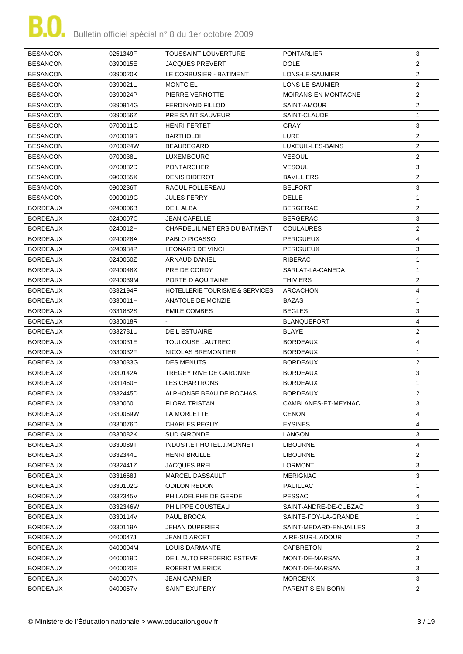| <b>BESANCON</b> | 0251349F | <b>TOUSSAINT LOUVERTURE</b>               | <b>PONTARLIER</b>      | 3              |
|-----------------|----------|-------------------------------------------|------------------------|----------------|
| <b>BESANCON</b> | 0390015E | <b>JACQUES PREVERT</b>                    | <b>DOLE</b>            | $\overline{2}$ |
| <b>BESANCON</b> | 0390020K | LE CORBUSIER - BATIMENT                   | LONS-LE-SAUNIER        | $\overline{2}$ |
| <b>BESANCON</b> | 0390021L | <b>MONTCIEL</b>                           | LONS-LE-SAUNIER        | $\overline{2}$ |
| <b>BESANCON</b> | 0390024P | PIERRE VERNOTTE                           | MOIRANS-EN-MONTAGNE    | $\overline{2}$ |
| <b>BESANCON</b> | 0390914G | <b>FERDINAND FILLOD</b>                   | SAINT-AMOUR            | $\overline{2}$ |
| <b>BESANCON</b> | 0390056Z | PRE SAINT SAUVEUR                         | SAINT-CLAUDE           | $\mathbf{1}$   |
| <b>BESANCON</b> | 0700011G | HENRI FERTET                              | GRAY                   | 3              |
| <b>BESANCON</b> | 0700019R | <b>BARTHOLDI</b>                          | <b>LURE</b>            | $\overline{2}$ |
| <b>BESANCON</b> | 0700024W | <b>BEAUREGARD</b>                         | LUXEUIL-LES-BAINS      | $\overline{2}$ |
| <b>BESANCON</b> | 0700038L | <b>LUXEMBOURG</b>                         | <b>VESOUL</b>          | $\overline{2}$ |
| <b>BESANCON</b> | 0700882D | <b>PONTARCHER</b>                         | <b>VESOUL</b>          | 3              |
| <b>BESANCON</b> | 0900355X | <b>DENIS DIDEROT</b>                      | <b>BAVILLIERS</b>      | $\overline{2}$ |
|                 |          |                                           |                        |                |
| <b>BESANCON</b> | 0900236T | RAOUL FOLLEREAU                           | <b>BELFORT</b>         | 3              |
| <b>BESANCON</b> | 0900019G | <b>JULES FERRY</b>                        | <b>DELLE</b>           | $\mathbf{1}$   |
| <b>BORDEAUX</b> | 0240006B | DE L ALBA                                 | <b>BERGERAC</b>        | $\overline{2}$ |
| <b>BORDEAUX</b> | 0240007C | <b>JEAN CAPELLE</b>                       | <b>BERGERAC</b>        | 3              |
| <b>BORDEAUX</b> | 0240012H | CHARDEUIL METIERS DU BATIMENT             | <b>COULAURES</b>       | 2              |
| <b>BORDEAUX</b> | 0240028A | PABLO PICASSO                             | <b>PERIGUEUX</b>       | 4              |
| <b>BORDEAUX</b> | 0240984P | LEONARD DE VINCI                          | PERIGUEUX              | 3              |
| <b>BORDEAUX</b> | 0240050Z | <b>ARNAUD DANIEL</b>                      | RIBERAC                | $\mathbf{1}$   |
| <b>BORDEAUX</b> | 0240048X | PRE DE CORDY                              | SARLAT-LA-CANEDA       | $\mathbf{1}$   |
| <b>BORDEAUX</b> | 0240039M | PORTE D AQUITAINE                         | <b>THIVIERS</b>        | $\overline{2}$ |
| <b>BORDEAUX</b> | 0332194F | <b>HOTELLERIE TOURISME &amp; SERVICES</b> | <b>ARCACHON</b>        | 4              |
| <b>BORDEAUX</b> | 0330011H | ANATOLE DE MONZIE                         | <b>BAZAS</b>           | $\mathbf{1}$   |
| <b>BORDEAUX</b> | 0331882S | <b>EMILE COMBES</b>                       | <b>BEGLES</b>          | 3              |
| <b>BORDEAUX</b> | 0330018R |                                           | <b>BLANQUEFORT</b>     | 4              |
| <b>BORDEAUX</b> | 0332781U | DE L ESTUAIRE                             | <b>BLAYE</b>           | 2              |
| <b>BORDEAUX</b> | 0330031E | <b>TOULOUSE LAUTREC</b>                   | <b>BORDEAUX</b>        | 4              |
| <b>BORDEAUX</b> | 0330032F | NICOLAS BREMONTIER                        | <b>BORDEAUX</b>        | $\mathbf{1}$   |
| <b>BORDEAUX</b> | 0330033G | <b>DES MENUTS</b>                         | <b>BORDEAUX</b>        | 2              |
| <b>BORDEAUX</b> | 0330142A | TREGEY RIVE DE GARONNE                    | <b>BORDEAUX</b>        | 3              |
| <b>BORDEAUX</b> | 0331460H | <b>LES CHARTRONS</b>                      | <b>BORDEAUX</b>        | $\mathbf{1}$   |
| <b>BORDEAUX</b> | 0332445D | ALPHONSE BEAU DE ROCHAS                   | <b>BORDEAUX</b>        | 2              |
| <b>BORDEAUX</b> | 0330060L | <b>FLORA TRISTAN</b>                      | CAMBLANES-ET-MEYNAC    | 3              |
| <b>BORDEAUX</b> | 0330069W | LA MORLETTE                               | <b>CENON</b>           | 4              |
| <b>BORDEAUX</b> | 0330076D | <b>CHARLES PEGUY</b>                      | <b>EYSINES</b>         | 4              |
| <b>BORDEAUX</b> | 0330082K | <b>SUD GIRONDE</b>                        | <b>LANGON</b>          | 3              |
| <b>BORDEAUX</b> | 0330089T | INDUST.ET HOTEL.J.MONNET                  | <b>LIBOURNE</b>        | 4              |
| <b>BORDEAUX</b> | 0332344U | <b>HENRI BRULLE</b>                       | <b>LIBOURNE</b>        | $\overline{2}$ |
| <b>BORDEAUX</b> | 0332441Z | <b>JACQUES BREL</b>                       | <b>LORMONT</b>         | 3              |
| <b>BORDEAUX</b> | 0331668J | MARCEL DASSAULT                           | <b>MERIGNAC</b>        | 3              |
| <b>BORDEAUX</b> | 0330102G | <b>ODILON REDON</b>                       | PAUILLAC               | 1              |
| <b>BORDEAUX</b> | 0332345V | PHILADELPHE DE GERDE                      | <b>PESSAC</b>          | 4              |
| <b>BORDEAUX</b> | 0332346W | PHILIPPE COUSTEAU                         | SAINT-ANDRE-DE-CUBZAC  | 3              |
| <b>BORDEAUX</b> | 0330114V | PAUL BROCA                                | SAINTE-FOY-LA-GRANDE   | $\mathbf{1}$   |
| <b>BORDEAUX</b> | 0330119A | JEHAN DUPERIER                            | SAINT-MEDARD-EN-JALLES | 3              |
| <b>BORDEAUX</b> | 0400047J | JEAN D ARCET                              | AIRE-SUR-L'ADOUR       | $\overline{2}$ |
| <b>BORDEAUX</b> | 0400004M | LOUIS DARMANTE                            | CAPBRETON              | $\overline{2}$ |
| <b>BORDEAUX</b> | 0400019D | DE L AUTO FREDERIC ESTEVE                 | MONT-DE-MARSAN         | 3              |
| <b>BORDEAUX</b> | 0400020E | ROBERT WLERICK                            | MONT-DE-MARSAN         | 3              |
| <b>BORDEAUX</b> | 0400097N | JEAN GARNIER                              | <b>MORCENX</b>         | 3              |
| <b>BORDEAUX</b> | 0400057V | SAINT-EXUPERY                             | PARENTIS-EN-BORN       | $\overline{2}$ |
|                 |          |                                           |                        |                |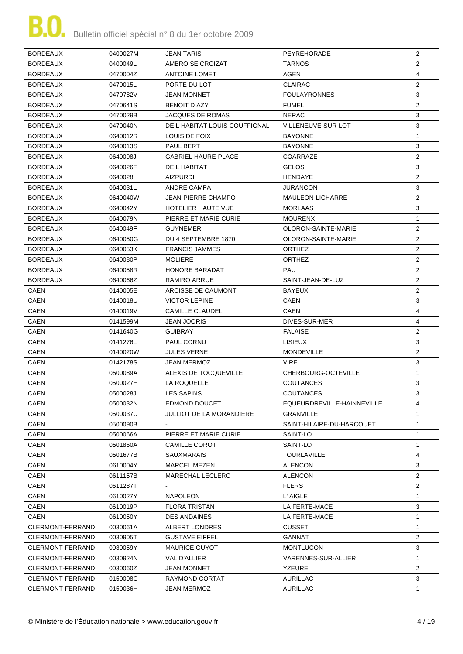| <b>BORDEAUX</b>  | 0400027M | <b>JEAN TARIS</b>               | PEYREHORADE                | $\overline{2}$ |
|------------------|----------|---------------------------------|----------------------------|----------------|
| <b>BORDEAUX</b>  | 0400049L | AMBROISE CROIZAT                | <b>TARNOS</b>              | $\overline{2}$ |
| <b>BORDEAUX</b>  | 0470004Z | <b>ANTOINE LOMET</b>            | AGEN                       | 4              |
| <b>BORDEAUX</b>  | 0470015L | PORTE DU LOT                    | <b>CLAIRAC</b>             | $\overline{2}$ |
| <b>BORDEAUX</b>  | 0470782V | <b>JEAN MONNET</b>              | <b>FOULAYRONNES</b>        | 3              |
| <b>BORDEAUX</b>  | 0470641S | <b>BENOIT D AZY</b>             | <b>FUMEL</b>               | $\overline{2}$ |
| <b>BORDEAUX</b>  | 0470029B | <b>JACQUES DE ROMAS</b>         | <b>NERAC</b>               | 3              |
| <b>BORDEAUX</b>  | 0470040N | DE L HABITAT LOUIS COUFFIGNAL   | VILLENEUVE-SUR-LOT         | 3              |
| <b>BORDEAUX</b>  | 0640012R | LOUIS DE FOIX                   | <b>BAYONNE</b>             | 1              |
| <b>BORDEAUX</b>  | 0640013S | PAUL BERT                       | <b>BAYONNE</b>             | 3              |
| <b>BORDEAUX</b>  | 0640098J | <b>GABRIEL HAURE-PLACE</b>      | COARRAZE                   | $\overline{2}$ |
| <b>BORDEAUX</b>  | 0640026F | DE L HABITAT                    | <b>GELOS</b>               | 3              |
| <b>BORDEAUX</b>  | 0640028H | <b>AIZPURDI</b>                 | <b>HENDAYE</b>             | $\overline{2}$ |
| <b>BORDEAUX</b>  | 0640031L | ANDRE CAMPA                     | JURANCON                   | 3              |
| <b>BORDEAUX</b>  | 0640040W | <b>JEAN-PIERRE CHAMPO</b>       | MAULEON-LICHARRE           | $\overline{2}$ |
| <b>BORDEAUX</b>  | 0640042Y | HOTELIER HAUTE VUE              | <b>MORLAAS</b>             | 3              |
| <b>BORDEAUX</b>  | 0640079N | PIERRE ET MARIE CURIE           | <b>MOURENX</b>             | $\mathbf{1}$   |
| <b>BORDEAUX</b>  | 0640049F | <b>GUYNEMER</b>                 | <b>OLORON-SAINTE-MARIE</b> | $\overline{2}$ |
| <b>BORDEAUX</b>  | 0640050G | DU 4 SEPTEMBRE 1870             | OLORON-SAINTE-MARIE        | 2              |
| <b>BORDEAUX</b>  | 0640053K | <b>FRANCIS JAMMES</b>           | <b>ORTHEZ</b>              | $\overline{2}$ |
| <b>BORDEAUX</b>  | 0640080P | <b>MOLIERE</b>                  | <b>ORTHEZ</b>              | $\overline{2}$ |
| <b>BORDEAUX</b>  | 0640058R | <b>HONORE BARADAT</b>           | PAU                        | $\overline{2}$ |
| <b>BORDEAUX</b>  | 0640066Z | <b>RAMIRO ARRUE</b>             | SAINT-JEAN-DE-LUZ          | $\overline{2}$ |
| CAEN             | 0140005E | ARCISSE DE CAUMONT              | <b>BAYEUX</b>              | $\overline{2}$ |
| CAEN             | 0140018U | <b>VICTOR LEPINE</b>            | <b>CAEN</b>                | 3              |
| CAEN             | 0140019V | <b>CAMILLE CLAUDEL</b>          | <b>CAEN</b>                | $\overline{4}$ |
| CAEN             | 0141599M | <b>JEAN JOORIS</b>              | DIVES-SUR-MER              | 4              |
| CAEN             | 0141640G | <b>GUIBRAY</b>                  | <b>FALAISE</b>             | $\overline{2}$ |
| CAEN             | 0141276L | PAUL CORNU                      | <b>LISIEUX</b>             | 3              |
| <b>CAEN</b>      | 0140020W | <b>JULES VERNE</b>              | <b>MONDEVILLE</b>          | $\overline{2}$ |
| <b>CAEN</b>      | 0142178S | <b>JEAN MERMOZ</b>              | <b>VIRE</b>                | 3              |
| CAEN             | 0500089A | ALEXIS DE TOCQUEVILLE           | CHERBOURG-OCTEVILLE        | $\mathbf{1}$   |
| CAEN             | 0500027H | LA ROQUELLE                     | <b>COUTANCES</b>           | 3              |
| CAEN             | 0500028J | <b>LES SAPINS</b>               | <b>COUTANCES</b>           | 3              |
| <b>CAEN</b>      | 0500032N | EDMOND DOUCET                   | EQUEURDREVILLE-HAINNEVILLE | 4              |
| CAEN             | 0500037U | <b>JULLIOT DE LA MORANDIERE</b> | GRANVILLE                  | 1              |
| CAEN             | 0500090B |                                 | SAINT-HILAIRE-DU-HARCOUET  | $\mathbf{1}$   |
| CAEN             | 0500066A | PIERRE ET MARIE CURIE           | SAINT-LO                   | $\mathbf{1}$   |
| CAEN             | 0501860A | CAMILLE COROT                   | SAINT-LO                   | $\mathbf{1}$   |
| CAEN             | 0501677B | <b>SAUXMARAIS</b>               | <b>TOURLAVILLE</b>         | 4              |
| CAEN             | 0610004Y | MARCEL MEZEN                    | <b>ALENCON</b>             | 3              |
| CAEN             | 0611157B | <b>MARECHAL LECLERC</b>         | ALENCON                    | 2              |
| CAEN             | 0611287T |                                 | <b>FLERS</b>               | $\overline{2}$ |
| CAEN             | 0610027Y | <b>NAPOLEON</b>                 | L' AIGLE                   | $\mathbf{1}$   |
| CAEN             | 0610019P | <b>FLORA TRISTAN</b>            | LA FERTE-MACE              | 3              |
| CAEN             | 0610050Y | <b>DES ANDAINES</b>             | LA FERTE-MACE              | $\mathbf{1}$   |
| CLERMONT-FERRAND | 0030061A | ALBERT LONDRES                  | CUSSET                     | $\mathbf{1}$   |
| CLERMONT-FERRAND | 0030905T | <b>GUSTAVE EIFFEL</b>           | GANNAT                     | 2              |
| CLERMONT-FERRAND | 0030059Y | <b>MAURICE GUYOT</b>            | <b>MONTLUCON</b>           | 3              |
| CLERMONT-FERRAND | 0030924N | VAL D'ALLIER                    | VARENNES-SUR-ALLIER        | $\mathbf{1}$   |
| CLERMONT-FERRAND | 0030060Z | <b>JEAN MONNET</b>              | <b>YZEURE</b>              | 2              |
| CLERMONT-FERRAND | 0150008C | RAYMOND CORTAT                  | AURILLAC                   | 3              |
| CLERMONT-FERRAND | 0150036H | <b>JEAN MERMOZ</b>              | <b>AURILLAC</b>            | $\mathbf{1}$   |
|                  |          |                                 |                            |                |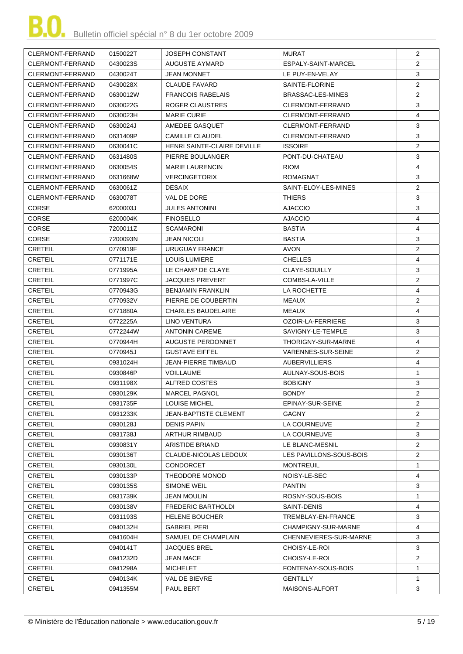| CLERMONT-FERRAND        | 0150022T | <b>JOSEPH CONSTANT</b>       | <b>MURAT</b>            | $\overline{2}$ |
|-------------------------|----------|------------------------------|-------------------------|----------------|
| CLERMONT-FERRAND        | 0430023S | AUGUSTE AYMARD               | ESPALY-SAINT-MARCEL     | $\overline{2}$ |
| <b>CLERMONT-FERRAND</b> | 0430024T | JEAN MONNET                  | LE PUY-EN-VELAY         | 3              |
| CLERMONT-FERRAND        | 0430028X | <b>CLAUDE FAVARD</b>         | SAINTE-FLORINE          | $\overline{2}$ |
| CLERMONT-FERRAND        | 0630012W | <b>FRANCOIS RABELAIS</b>     | BRASSAC-LES-MINES       | $\overline{2}$ |
| CLERMONT-FERRAND        | 0630022G | ROGER CLAUSTRES              | CLERMONT-FERRAND        | 3              |
| CLERMONT-FERRAND        | 0630023H | <b>MARIE CURIE</b>           | CLERMONT-FERRAND        | 4              |
| CLERMONT-FERRAND        | 0630024J | AMEDEE GASQUET               | CLERMONT-FERRAND        | 3              |
| CLERMONT-FERRAND        | 0631409P | <b>CAMILLE CLAUDEL</b>       | CLERMONT-FERRAND        | 3              |
| CLERMONT-FERRAND        | 0630041C | HENRI SAINTE-CLAIRE DEVILLE  | <b>ISSOIRE</b>          | $\overline{2}$ |
| CLERMONT-FERRAND        | 0631480S | PIERRE BOULANGER             | PONT-DU-CHATEAU         | 3              |
| CLERMONT-FERRAND        | 0630054S | <b>MARIE LAURENCIN</b>       | <b>RIOM</b>             | $\overline{4}$ |
| CLERMONT-FERRAND        | 0631668W | <b>VERCINGETORIX</b>         | <b>ROMAGNAT</b>         | 3              |
| CLERMONT-FERRAND        | 0630061Z | <b>DESAIX</b>                | SAINT-ELOY-LES-MINES    | $\overline{2}$ |
| CLERMONT-FERRAND        | 0630078T | VAL DE DORE                  | <b>THIERS</b>           | 3              |
| <b>CORSE</b>            | 6200003J | <b>JULES ANTONINI</b>        | <b>AJACCIO</b>          | 3              |
| <b>CORSE</b>            | 6200004K | <b>FINOSELLO</b>             | <b>AJACCIO</b>          | 4              |
| CORSE                   | 7200011Z | <b>SCAMARONI</b>             | <b>BASTIA</b>           | 4              |
| <b>CORSE</b>            | 7200093N | <b>JEAN NICOLI</b>           | <b>BASTIA</b>           | 3              |
| <b>CRETEIL</b>          | 0770919F | <b>URUGUAY FRANCE</b>        | <b>AVON</b>             | $\overline{2}$ |
| <b>CRETEIL</b>          | 0771171E | LOUIS LUMIERE                | <b>CHELLES</b>          | 4              |
| <b>CRETEIL</b>          | 0771995A | LE CHAMP DE CLAYE            | CLAYE-SOUILLY           | 3              |
| <b>CRETEIL</b>          | 0771997C | <b>JACQUES PREVERT</b>       | COMBS-LA-VILLE          | $\overline{2}$ |
| <b>CRETEIL</b>          | 0770943G | <b>BENJAMIN FRANKLIN</b>     | LA ROCHETTE             | 4              |
| <b>CRETEIL</b>          | 0770932V | PIERRE DE COUBERTIN          | MEAUX                   | $\overline{2}$ |
| <b>CRETEIL</b>          | 0771880A | <b>CHARLES BAUDELAIRE</b>    | MEAUX                   | 4              |
| <b>CRETEIL</b>          | 0772225A | <b>LINO VENTURA</b>          | OZOIR-LA-FERRIERE       | 3              |
| <b>CRETEIL</b>          | 0772244W | <b>ANTONIN CAREME</b>        | SAVIGNY-LE-TEMPLE       | 3              |
| <b>CRETEIL</b>          | 0770944H | AUGUSTE PERDONNET            | THORIGNY-SUR-MARNE      | 4              |
| <b>CRETEIL</b>          | 0770945J | <b>GUSTAVE EIFFEL</b>        | VARENNES-SUR-SEINE      | $\overline{2}$ |
| <b>CRETEIL</b>          | 0931024H | <b>JEAN-PIERRE TIMBAUD</b>   | <b>AUBERVILLIERS</b>    | 4              |
| <b>CRETEIL</b>          | 0930846P | VOILLAUME                    | AULNAY-SOUS-BOIS        | $\mathbf{1}$   |
| <b>CRETEIL</b>          | 0931198X | ALFRED COSTES                | <b>BOBIGNY</b>          | 3              |
| CRETEIL                 | 0930129K | MARCEL PAGNOL                | <b>BONDY</b>            | $\overline{2}$ |
| <b>CRETEIL</b>          | 0931735F | LOUISE MICHEL                | EPINAY-SUR-SEINE        | $\overline{2}$ |
| <b>CRETEIL</b>          | 0931233K | <b>JEAN-BAPTISTE CLEMENT</b> | GAGNY                   | $\overline{2}$ |
| <b>CRETEIL</b>          | 0930128J | <b>DENIS PAPIN</b>           | LA COURNEUVE            | $\overline{2}$ |
| <b>CRETEIL</b>          | 0931738J | <b>ARTHUR RIMBAUD</b>        | LA COURNEUVE            | 3              |
| <b>CRETEIL</b>          | 0930831Y | ARISTIDE BRIAND              | LE BLANC-MESNIL         | $\overline{2}$ |
| <b>CRETEIL</b>          | 0930136T | CLAUDE-NICOLAS LEDOUX        | LES PAVILLONS-SOUS-BOIS | $\overline{2}$ |
| <b>CRETEIL</b>          | 0930130L | <b>CONDORCET</b>             | <b>MONTREUIL</b>        | 1              |
| <b>CRETEIL</b>          | 0930133P | THEODORE MONOD               | NOISY-LE-SEC            | 4              |
| <b>CRETEIL</b>          | 0930135S | SIMONE WEIL                  | <b>PANTIN</b>           | 3              |
| <b>CRETEIL</b>          | 0931739K | <b>JEAN MOULIN</b>           | ROSNY-SOUS-BOIS         | 1              |
| <b>CRETEIL</b>          | 0930138V | <b>FREDERIC BARTHOLDI</b>    | SAINT-DENIS             | 4              |
| <b>CRETEIL</b>          | 0931193S | <b>HELENE BOUCHER</b>        | TREMBLAY-EN-FRANCE      | 3              |
| <b>CRETEIL</b>          | 0940132H | <b>GABRIEL PERI</b>          | CHAMPIGNY-SUR-MARNE     | 4              |
| <b>CRETEIL</b>          | 0941604H | SAMUEL DE CHAMPLAIN          | CHENNEVIERES-SUR-MARNE  | 3              |
| <b>CRETEIL</b>          | 0940141T | JACQUES BREL                 | CHOISY-LE-ROI           | 3              |
| <b>CRETEIL</b>          | 0941232D | JEAN MACE                    | CHOISY-LE-ROI           | $\overline{2}$ |
| <b>CRETEIL</b>          | 0941298A | <b>MICHELET</b>              | FONTENAY-SOUS-BOIS      | $\mathbf 1$    |
| <b>CRETEIL</b>          | 0940134K | VAL DE BIEVRE                | <b>GENTILLY</b>         | $\mathbf 1$    |
| <b>CRETEIL</b>          | 0941355M | PAUL BERT                    | MAISONS-ALFORT          | 3              |
|                         |          |                              |                         |                |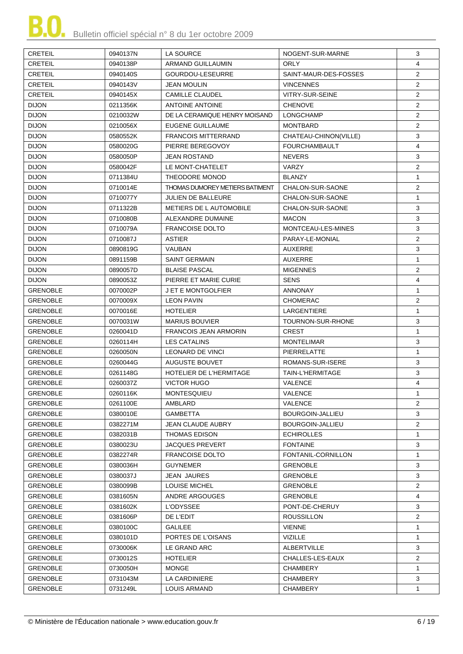| <b>CRETEIL</b>  | 0940137N | LA SOURCE                       | NOGENT-SUR-MARNE       | 3              |
|-----------------|----------|---------------------------------|------------------------|----------------|
| <b>CRETEIL</b>  | 0940138P | ARMAND GUILLAUMIN               | <b>ORLY</b>            | 4              |
| <b>CRETEIL</b>  | 0940140S | GOURDOU-LESEURRE                | SAINT-MAUR-DES-FOSSES  | $\overline{2}$ |
| <b>CRETEIL</b>  | 0940143V | <b>JEAN MOULIN</b>              | <b>VINCENNES</b>       | $\overline{2}$ |
| <b>CRETEIL</b>  | 0940145X | <b>CAMILLE CLAUDEL</b>          | <b>VITRY-SUR-SEINE</b> | $\overline{2}$ |
| <b>DIJON</b>    | 0211356K | <b>ANTOINE ANTOINE</b>          | <b>CHENOVE</b>         | $\overline{2}$ |
| <b>DIJON</b>    | 0210032W | DE LA CERAMIQUE HENRY MOISAND   | <b>LONGCHAMP</b>       | $\overline{2}$ |
| <b>DIJON</b>    | 0210056X | EUGENE GUILLAUME                | <b>MONTBARD</b>        | $\overline{2}$ |
| <b>DIJON</b>    | 0580552K | <b>FRANCOIS MITTERRAND</b>      | CHATEAU-CHINON(VILLE)  | 3              |
| <b>DIJON</b>    | 0580020G | PIERRE BEREGOVOY                | <b>FOURCHAMBAULT</b>   | 4              |
| <b>DIJON</b>    | 0580050P | <b>JEAN ROSTAND</b>             | <b>NEVERS</b>          | 3              |
| <b>DIJON</b>    | 0580042F | LE MONT-CHATELET                | <b>VARZY</b>           | $\overline{2}$ |
| <b>DIJON</b>    | 0711384U | THEODORE MONOD                  | <b>BLANZY</b>          | $\mathbf{1}$   |
| <b>DIJON</b>    | 0710014E | THOMAS DUMOREY METIERS BATIMENT | CHALON-SUR-SAONE       | $\overline{2}$ |
| <b>DIJON</b>    | 0710077Y | <b>JULIEN DE BALLEURE</b>       | CHALON-SUR-SAONE       | $\mathbf{1}$   |
| <b>DIJON</b>    | 0711322B | METIERS DE L AUTOMOBILE         | CHALON-SUR-SAONE       | 3              |
| <b>DIJON</b>    | 0710080B | ALEXANDRE DUMAINE               | <b>MACON</b>           | 3              |
| <b>DIJON</b>    | 0710079A | <b>FRANCOISE DOLTO</b>          | MONTCEAU-LES-MINES     | 3              |
| <b>DIJON</b>    | 0710087J | <b>ASTIER</b>                   | PARAY-LE-MONIAL        | $\overline{2}$ |
| <b>DIJON</b>    | 0890819G | <b>VAUBAN</b>                   | <b>AUXERRE</b>         | 3              |
| <b>DIJON</b>    | 0891159B | <b>SAINT GERMAIN</b>            | <b>AUXERRE</b>         | $\mathbf{1}$   |
| <b>DIJON</b>    | 0890057D | <b>BLAISE PASCAL</b>            | <b>MIGENNES</b>        | $\overline{2}$ |
| <b>DIJON</b>    | 0890053Z | PIERRE ET MARIE CURIE           | <b>SENS</b>            | 4              |
| <b>GRENOBLE</b> | 0070002P | J ET E MONTGOLFIER              | <b>ANNONAY</b>         | $\mathbf{1}$   |
| <b>GRENOBLE</b> | 0070009X | <b>LEON PAVIN</b>               | <b>CHOMERAC</b>        | $\overline{2}$ |
| <b>GRENOBLE</b> | 0070016E | <b>HOTELIER</b>                 | LARGENTIERE            | $\mathbf{1}$   |
| <b>GRENOBLE</b> | 0070031W | <b>MARIUS BOUVIER</b>           | TOURNON-SUR-RHONE      | 3              |
| <b>GRENOBLE</b> | 0260041D | <b>FRANCOIS JEAN ARMORIN</b>    | <b>CREST</b>           | $\mathbf{1}$   |
| <b>GRENOBLE</b> | 0260114H | <b>LES CATALINS</b>             | <b>MONTELIMAR</b>      | 3              |
| <b>GRENOBLE</b> | 0260050N | LEONARD DE VINCI                | <b>PIERRELATTE</b>     | $\mathbf{1}$   |
| <b>GRENOBLE</b> | 0260044G | AUGUSTE BOUVET                  | ROMANS-SUR-ISERE       | 3              |
| <b>GRENOBLE</b> | 0261148G | <b>HOTELIER DE L'HERMITAGE</b>  | TAIN-L'HERMITAGE       | 3              |
| <b>GRENOBLE</b> | 0260037Z | <b>VICTOR HUGO</b>              | VALENCE                | 4              |
| <b>GRENOBLE</b> | 0260116K | MONTESQUIEU                     | VALENCE                | 1              |
| <b>GRENOBLE</b> | 0261100E | AMBLARD                         | VALENCE                | 2              |
| <b>GRENOBLE</b> | 0380010E | <b>GAMBETTA</b>                 | BOURGOIN-JALLIEU       | 3              |
| <b>GRENOBLE</b> | 0382271M | JEAN CLAUDE AUBRY               | BOURGOIN-JALLIEU       | $\overline{2}$ |
| <b>GRENOBLE</b> | 0382031B | <b>THOMAS EDISON</b>            | <b>ECHIROLLES</b>      | $\mathbf 1$    |
| <b>GRENOBLE</b> | 0380023U | <b>JACQUES PREVERT</b>          | <b>FONTAINE</b>        | 3              |
| <b>GRENOBLE</b> | 0382274R | <b>FRANCOISE DOLTO</b>          | FONTANIL-CORNILLON     | $\mathbf{1}$   |
| <b>GRENOBLE</b> | 0380036H | <b>GUYNEMER</b>                 | <b>GRENOBLE</b>        | 3              |
| GRENOBLE        | 0380037J | JEAN JAURES                     | <b>GRENOBLE</b>        | 3              |
| <b>GRENOBLE</b> | 0380099B | LOUISE MICHEL                   | <b>GRENOBLE</b>        | $\overline{2}$ |
| <b>GRENOBLE</b> | 0381605N | ANDRE ARGOUGES                  | <b>GRENOBLE</b>        | 4              |
| <b>GRENOBLE</b> | 0381602K | L'ODYSSEE                       | PONT-DE-CHERUY         | 3              |
| <b>GRENOBLE</b> | 0381606P | DE L'EDIT                       | <b>ROUSSILLON</b>      | $\overline{2}$ |
| <b>GRENOBLE</b> | 0380100C | <b>GALILEE</b>                  | <b>VIENNE</b>          | 1              |
| <b>GRENOBLE</b> | 0380101D | PORTES DE L'OISANS              | VIZILLE                | $\mathbf 1$    |
| <b>GRENOBLE</b> | 0730006K | LE GRAND ARC                    | ALBERTVILLE            | 3              |
| <b>GRENOBLE</b> | 0730012S | <b>HOTELIER</b>                 | CHALLES-LES-EAUX       | $\overline{2}$ |
| <b>GRENOBLE</b> | 0730050H | <b>MONGE</b>                    | <b>CHAMBERY</b>        | $\mathbf{1}$   |
| <b>GRENOBLE</b> | 0731043M | LA CARDINIERE                   | <b>CHAMBERY</b>        | 3              |
| <b>GRENOBLE</b> | 0731249L | LOUIS ARMAND                    | CHAMBERY               | 1              |
|                 |          |                                 |                        |                |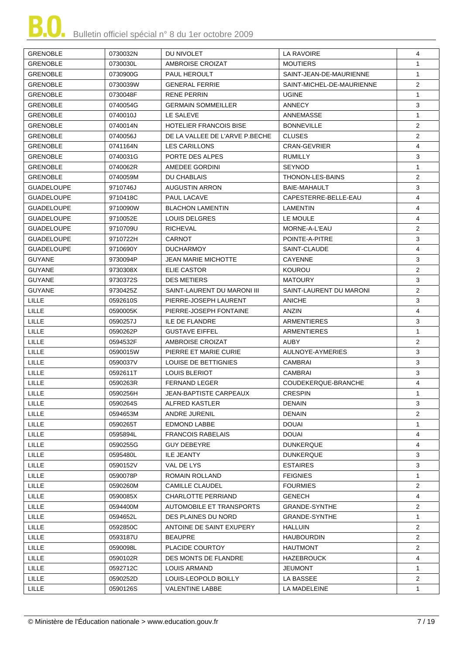| <b>GRENOBLE</b>   | 0730032N | DU NIVOLET                     | LA RAVOIRE                | 4              |
|-------------------|----------|--------------------------------|---------------------------|----------------|
| <b>GRENOBLE</b>   | 0730030L | AMBROISE CROIZAT               | <b>MOUTIERS</b>           | $\mathbf{1}$   |
| <b>GRENOBLE</b>   | 0730900G | PAUL HEROULT                   | SAINT-JEAN-DE-MAURIENNE   | $\mathbf{1}$   |
| <b>GRENOBLE</b>   | 0730039W | <b>GENERAL FERRIE</b>          | SAINT-MICHEL-DE-MAURIENNE | $\overline{2}$ |
| <b>GRENOBLE</b>   | 0730048F | <b>RENE PERRIN</b>             | <b>UGINE</b>              | $\mathbf{1}$   |
| <b>GRENOBLE</b>   | 0740054G | <b>GERMAIN SOMMEILLER</b>      | ANNECY                    | 3              |
| <b>GRENOBLE</b>   | 0740010J | LE SALEVE                      | ANNEMASSE                 | $\mathbf{1}$   |
| <b>GRENOBLE</b>   | 0740014N | <b>HOTELIER FRANCOIS BISE</b>  | <b>BONNEVILLE</b>         | $\overline{c}$ |
| <b>GRENOBLE</b>   | 0740056J | DE LA VALLEE DE L'ARVE P.BECHE | <b>CLUSES</b>             | $\overline{2}$ |
| <b>GRENOBLE</b>   | 0741164N | LES CARILLONS                  | <b>CRAN-GEVRIER</b>       | 4              |
| <b>GRENOBLE</b>   | 0740031G | PORTE DES ALPES                | RUMILLY                   | 3              |
| <b>GRENOBLE</b>   | 0740062R | AMEDEE GORDINI                 | <b>SEYNOD</b>             | $\mathbf{1}$   |
| <b>GRENOBLE</b>   | 0740059M | DU CHABLAIS                    | THONON-LES-BAINS          | $\overline{2}$ |
| <b>GUADELOUPE</b> | 9710746J | <b>AUGUSTIN ARRON</b>          | BAIE-MAHAULT              | 3              |
| <b>GUADELOUPE</b> | 9710418C | <b>PAUL LACAVE</b>             | CAPESTERRE-BELLE-EAU      | 4              |
| <b>GUADELOUPE</b> | 9710090W | <b>BLACHON LAMENTIN</b>        | <b>LAMENTIN</b>           | 4              |
| <b>GUADELOUPE</b> | 9710052E | <b>LOUIS DELGRES</b>           | LE MOULE                  | $\overline{4}$ |
| <b>GUADELOUPE</b> | 9710709U | <b>RICHEVAL</b>                | MORNE-A-L'EAU             | $\overline{2}$ |
| <b>GUADELOUPE</b> | 9710722H | <b>CARNOT</b>                  | POINTE-A-PITRE            | 3              |
| <b>GUADELOUPE</b> | 9710690Y | <b>DUCHARMOY</b>               | SAINT-CLAUDE              | 4              |
| <b>GUYANE</b>     | 9730094P | <b>JEAN MARIE MICHOTTE</b>     | <b>CAYENNE</b>            | 3              |
| <b>GUYANE</b>     | 9730308X | ELIE CASTOR                    | <b>KOUROU</b>             | 2              |
|                   |          |                                |                           | 3              |
| <b>GUYANE</b>     | 9730372S | <b>DES METIERS</b>             | <b>MATOURY</b>            |                |
| <b>GUYANE</b>     | 9730425Z | SAINT-LAURENT DU MARONI III    | SAINT-LAURENT DU MARONI   | $\overline{2}$ |
| <b>LILLE</b>      | 0592610S | PIERRE-JOSEPH LAURENT          | <b>ANICHE</b>             | 3              |
| <b>LILLE</b>      | 0590005K | PIERRE-JOSEPH FONTAINE         | ANZIN                     | $\overline{4}$ |
| <b>LILLE</b>      | 0590257J | <b>ILE DE FLANDRE</b>          | <b>ARMENTIERES</b>        | 3              |
| LILLE             | 0590262P | <b>GUSTAVE EIFFEL</b>          | ARMENTIERES               | $\mathbf{1}$   |
| <b>LILLE</b>      | 0594532F | AMBROISE CROIZAT               | AUBY                      | $\overline{2}$ |
| <b>LILLE</b>      | 0590015W | PIERRE ET MARIE CURIE          | AULNOYE-AYMERIES          | 3              |
| LILLE             | 0590037V | LOUISE DE BETTIGNIES           | CAMBRAI                   | 3              |
| <b>LILLE</b>      | 0592611T | <b>LOUIS BLERIOT</b>           | CAMBRAI                   | 3              |
| LILLE             | 0590263R | <b>FERNAND LEGER</b>           | COUDEKERQUE-BRANCHE       | 4              |
| LILLE             | 0590256H | JEAN-BAPTISTE CARPEAUX         | <b>CRESPIN</b>            | 1              |
| LILLE             | 0590264S | ALFRED KASTLER                 | <b>DENAIN</b>             | 3              |
| <b>LILLE</b>      | 0594653M | ANDRE JURENIL                  | <b>DENAIN</b>             | 2              |
| <b>LILLE</b>      | 0590265T | EDMOND LABBE                   | DOUAI                     | 1              |
| <b>LILLE</b>      | 0595894L | <b>FRANCOIS RABELAIS</b>       | DOUAI                     | 4              |
| <b>LILLE</b>      | 0590255G | <b>GUY DEBEYRE</b>             | <b>DUNKERQUE</b>          | 4              |
| <b>LILLE</b>      | 0595480L | ILE JEANTY                     | <b>DUNKERQUE</b>          | 3              |
| LILLE             | 0590152V | VAL DE LYS                     | <b>ESTAIRES</b>           | 3              |
| <b>LILLE</b>      | 0590078P | ROMAIN ROLLAND                 | <b>FEIGNIES</b>           | 1              |
| LILLE             | 0590260M | <b>CAMILLE CLAUDEL</b>         | <b>FOURMIES</b>           | $\overline{2}$ |
| <b>LILLE</b>      | 0590085X | CHARLOTTE PERRIAND             | GENECH                    | 4              |
| <b>LILLE</b>      | 0594400M | AUTOMOBILE ET TRANSPORTS       | GRANDE-SYNTHE             | $\overline{2}$ |
| <b>LILLE</b>      | 0594652L | DES PLAINES DU NORD            | GRANDE-SYNTHE             | $\mathbf{1}$   |
| <b>LILLE</b>      | 0592850C | ANTOINE DE SAINT EXUPERY       | HALLUIN                   | $\overline{2}$ |
| LILLE             | 0593187U | <b>BEAUPRE</b>                 | <b>HAUBOURDIN</b>         | $\overline{2}$ |
| <b>LILLE</b>      | 0590098L | PLACIDE COURTOY                | <b>HAUTMONT</b>           | $\overline{2}$ |
| <b>LILLE</b>      | 0590102R | DES MONTS DE FLANDRE           | <b>HAZEBROUCK</b>         | 4              |
| <b>LILLE</b>      | 0592712C | LOUIS ARMAND                   | JEUMONT                   | 1              |
| <b>LILLE</b>      | 0590252D | LOUIS-LEOPOLD BOILLY           | LA BASSEE                 | 2              |
| <b>LILLE</b>      | 0590126S | <b>VALENTINE LABBE</b>         | LA MADELEINE              | $\mathbf{1}$   |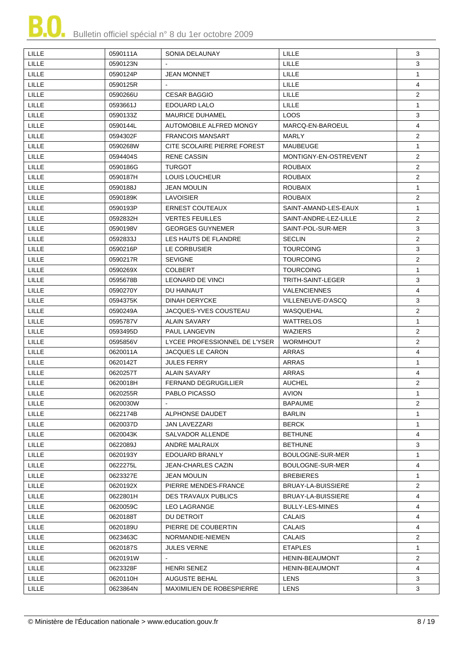

| <b>LILLE</b> | 0590111A | SONIA DELAUNAY                   | LILLE                 | 3              |
|--------------|----------|----------------------------------|-----------------------|----------------|
| <b>LILLE</b> | 0590123N |                                  | <b>LILLE</b>          | 3              |
| <b>LILLE</b> | 0590124P | <b>JEAN MONNET</b>               | LILLE                 | $\mathbf{1}$   |
| LILLE        | 0590125R |                                  | LILLE                 | 4              |
| <b>LILLE</b> | 0590266U | <b>CESAR BAGGIO</b>              | <b>LILLE</b>          | $\overline{2}$ |
| <b>LILLE</b> | 0593661J | EDOUARD LALO                     | LILLE                 | $\mathbf{1}$   |
| <b>LILLE</b> | 0590133Z | <b>MAURICE DUHAMEL</b>           | <b>LOOS</b>           | 3              |
| LILLE        | 0590144L | AUTOMOBILE ALFRED MONGY          | MARCO-EN-BAROEUL      | 4              |
| LILLE        | 0594302F | <b>FRANCOIS MANSART</b>          | MARLY                 | $\overline{2}$ |
| <b>LILLE</b> | 0590268W | CITE SCOLAIRE PIERRE FOREST      | MAUBEUGE              | $\mathbf{1}$   |
| <b>LILLE</b> | 0594404S | <b>RENE CASSIN</b>               | MONTIGNY-EN-OSTREVENT | $\overline{2}$ |
| <b>LILLE</b> | 0590186G | <b>TURGOT</b>                    | <b>ROUBAIX</b>        | $\overline{2}$ |
| <b>LILLE</b> | 0590187H | LOUIS LOUCHEUR                   | <b>ROUBAIX</b>        | $\overline{2}$ |
| <b>LILLE</b> | 0590188J | <b>JEAN MOULIN</b>               | <b>ROUBAIX</b>        | $\mathbf{1}$   |
| <b>LILLE</b> | 0590189K | <b>LAVOISIER</b>                 | <b>ROUBAIX</b>        | $\overline{2}$ |
| <b>LILLE</b> | 0590193P | <b>ERNEST COUTEAUX</b>           | SAINT-AMAND-LES-EAUX  | $\mathbf{1}$   |
| LILLE        | 0592832H | <b>VERTES FEUILLES</b>           | SAINT-ANDRE-LEZ-LILLE | $\overline{2}$ |
| <b>LILLE</b> | 0590198V | <b>GEORGES GUYNEMER</b>          | SAINT-POL-SUR-MER     | 3              |
| <b>LILLE</b> | 0592833J | LES HAUTS DE FLANDRE             | <b>SECLIN</b>         | $\overline{2}$ |
| <b>LILLE</b> | 0590216P | <b>LE CORBUSIER</b>              | <b>TOURCOING</b>      | 3              |
| <b>LILLE</b> | 0590217R | <b>SEVIGNE</b>                   | <b>TOURCOING</b>      | $\overline{2}$ |
| LILLE        | 0590269X | <b>COLBERT</b>                   | <b>TOURCOING</b>      | $\mathbf{1}$   |
| LILLE        | 0595678B | LEONARD DE VINCI                 | TRITH-SAINT-LEGER     | 3              |
| <b>LILLE</b> | 0590270Y | DU HAINAUT                       | <b>VALENCIENNES</b>   | 4              |
| <b>LILLE</b> | 0594375K | <b>DINAH DERYCKE</b>             | VILLENEUVE-D'ASCQ     | 3              |
| <b>LILLE</b> | 0590249A | JACQUES-YVES COUSTEAU            | WASQUEHAL             | $\overline{2}$ |
| LILLE        | 0595787V | <b>ALAIN SAVARY</b>              | WATTRELOS             | $\mathbf{1}$   |
| LILLE        | 0593495D | PAUL LANGEVIN                    | WAZIERS               | $\overline{2}$ |
| <b>LILLE</b> | 0595856V | LYCEE PROFESSIONNEL DE L'YSER    | <b>WORMHOUT</b>       | $\overline{2}$ |
| LILLE        | 0620011A | JACQUES LE CARON                 | <b>ARRAS</b>          | 4              |
| <b>LILLE</b> | 0620142T | <b>JULES FERRY</b>               | ARRAS                 | $\mathbf{1}$   |
| <b>LILLE</b> | 0620257T | ALAIN SAVARY                     | ARRAS                 | 4              |
| <b>LILLE</b> | 0620018H | <b>FERNAND DEGRUGILLIER</b>      | <b>AUCHEL</b>         | $\overline{2}$ |
| LILLE        | 0620255R | PABLO PICASSO                    | <b>AVION</b>          | 1              |
| LILLE        | 0620030W |                                  | <b>BAPAUME</b>        | $\overline{2}$ |
| LILLE        | 0622174B | ALPHONSE DAUDET                  | <b>BARLIN</b>         | 1              |
| <b>LILLE</b> | 0620037D | <b>JAN LAVEZZARI</b>             | BERCK                 | 1              |
| LILLE        | 0620043K | SALVADOR ALLENDE                 | <b>BETHUNE</b>        | 4              |
| LILLE        | 0622089J | ANDRE MALRAUX                    | <b>BETHUNE</b>        | 3              |
| <b>LILLE</b> | 0620193Y | EDOUARD BRANLY                   | BOULOGNE-SUR-MER      | $\mathbf{1}$   |
| <b>LILLE</b> | 0622275L | JEAN-CHARLES CAZIN               | BOULOGNE-SUR-MER      | 4              |
| <b>LILLE</b> | 0623327E | JEAN MOULIN                      | <b>BREBIERES</b>      | 1              |
| <b>LILLE</b> | 0620192X | PIERRE MENDES-FRANCE             | BRUAY-LA-BUISSIERE    | $\overline{2}$ |
| <b>LILLE</b> | 0622801H | <b>DES TRAVAUX PUBLICS</b>       | BRUAY-LA-BUISSIERE    | 4              |
| <b>LILLE</b> | 0620059C | <b>LEO LAGRANGE</b>              | BULLY-LES-MINES       | 4              |
| <b>LILLE</b> | 0620188T | DU DETROIT                       | <b>CALAIS</b>         | 4              |
| <b>LILLE</b> | 0620189U | PIERRE DE COUBERTIN              | CALAIS                | 4              |
| LILLE        | 0623463C | NORMANDIE-NIEMEN                 | <b>CALAIS</b>         | $\overline{2}$ |
| <b>LILLE</b> | 0620187S | <b>JULES VERNE</b>               | <b>ETAPLES</b>        | $\mathbf{1}$   |
| <b>LILLE</b> | 0620191W |                                  | HENIN-BEAUMONT        | $\overline{2}$ |
| <b>LILLE</b> | 0623328F | <b>HENRI SENEZ</b>               | HENIN-BEAUMONT        | $\overline{4}$ |
| <b>LILLE</b> | 0620110H | <b>AUGUSTE BEHAL</b>             | LENS                  | 3              |
| LILLE        | 0623864N | <b>MAXIMILIEN DE ROBESPIERRE</b> | LENS                  | 3              |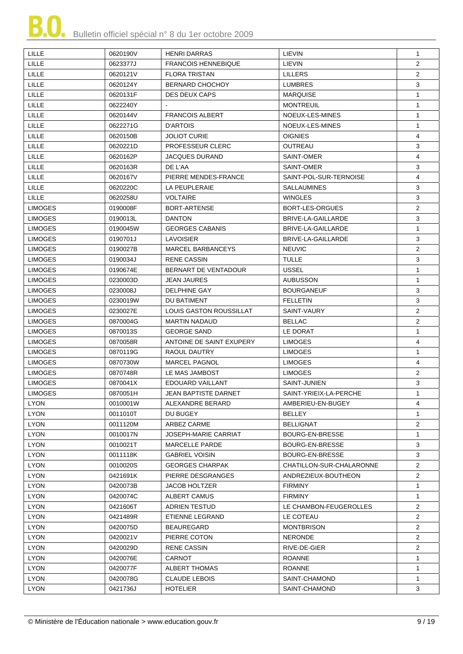| LILLE          | 0620190V | <b>HENRI DARRAS</b>            | LIEVIN                   | $\mathbf{1}$   |
|----------------|----------|--------------------------------|--------------------------|----------------|
| <b>LILLE</b>   | 0623377J | <b>FRANCOIS HENNEBIQUE</b>     | LIEVIN                   | $\overline{2}$ |
| LILLE          | 0620121V | <b>FLORA TRISTAN</b>           | <b>LILLERS</b>           | $\overline{2}$ |
| LILLE          | 0620124Y | <b>BERNARD CHOCHOY</b>         | <b>LUMBRES</b>           | 3              |
| <b>LILLE</b>   | 0620131F | <b>DES DEUX CAPS</b>           | <b>MARQUISE</b>          | $\mathbf{1}$   |
| <b>LILLE</b>   | 0622240Y |                                | <b>MONTREUIL</b>         | $\mathbf{1}$   |
| <b>LILLE</b>   | 0620144V | <b>FRANCOIS ALBERT</b>         | NOEUX-LES-MINES          | $\mathbf{1}$   |
| LILLE          | 0622271G | D'ARTOIS                       | NOEUX-LES-MINES          | $\mathbf{1}$   |
| <b>LILLE</b>   | 0620150B | <b>JOLIOT CURIE</b>            | <b>OIGNIES</b>           | 4              |
| <b>LILLE</b>   | 0620221D | PROFESSEUR CLERC               | <b>OUTREAU</b>           | 3              |
| <b>LILLE</b>   | 0620162P | <b>JACQUES DURAND</b>          | SAINT-OMER               | 4              |
| LILLE          | 0620163R | DE L'AA                        | SAINT-OMER               | 3              |
| LILLE          | 0620167V | PIERRE MENDES-FRANCE           | SAINT-POL-SUR-TERNOISE   | $\overline{4}$ |
| <b>LILLE</b>   | 0620220C | LA PEUPLERAIE                  | <b>SALLAUMINES</b>       | 3              |
| <b>LILLE</b>   | 0620258U | <b>VOLTAIRE</b>                | <b>WINGLES</b>           | 3              |
| <b>LIMOGES</b> | 0190008F | BORT-ARTENSE                   | <b>BORT-LES-ORGUES</b>   | $\overline{2}$ |
| <b>LIMOGES</b> | 0190013L | <b>DANTON</b>                  | BRIVE-LA-GAILLARDE       | 3              |
| <b>LIMOGES</b> | 0190045W | <b>GEORGES CABANIS</b>         | BRIVE-LA-GAILLARDE       | 1              |
| <b>LIMOGES</b> | 0190701J | <b>LAVOISIER</b>               | BRIVE-LA-GAILLARDE       | 3              |
| <b>LIMOGES</b> | 0190027B | <b>MARCEL BARBANCEYS</b>       | <b>NEUVIC</b>            | $\overline{2}$ |
| <b>LIMOGES</b> | 0190034J | <b>RENE CASSIN</b>             | <b>TULLE</b>             | 3              |
| <b>LIMOGES</b> | 0190674E | BERNART DE VENTADOUR           | <b>USSEL</b>             | $\mathbf{1}$   |
| <b>LIMOGES</b> | 0230003D | JEAN JAURES                    | <b>AUBUSSON</b>          | 1              |
| <b>LIMOGES</b> | 0230008J | <b>DELPHINE GAY</b>            | <b>BOURGANEUF</b>        | 3              |
| <b>LIMOGES</b> | 0230019W | DU BATIMENT                    | <b>FELLETIN</b>          | 3              |
| <b>LIMOGES</b> | 0230027E | <b>LOUIS GASTON ROUSSILLAT</b> | SAINT-VAURY              | $\overline{2}$ |
| <b>LIMOGES</b> | 0870004G | <b>MARTIN NADAUD</b>           | <b>BELLAC</b>            | 2              |
| <b>LIMOGES</b> | 0870013S | <b>GEORGE SAND</b>             | LE DORAT                 | $\mathbf{1}$   |
| <b>LIMOGES</b> | 0870058R | ANTOINE DE SAINT EXUPERY       | <b>LIMOGES</b>           | 4              |
| <b>LIMOGES</b> | 0870119G | RAOUL DAUTRY                   | <b>LIMOGES</b>           | $\mathbf{1}$   |
| <b>LIMOGES</b> | 0870730W | <b>MARCEL PAGNOL</b>           | <b>LIMOGES</b>           | 4              |
| <b>LIMOGES</b> | 0870748R | LE MAS JAMBOST                 | <b>LIMOGES</b>           | $\overline{2}$ |
| <b>LIMOGES</b> | 0870041X | EDOUARD VAILLANT               | SAINT-JUNIEN             | 3              |
| <b>LIMOGES</b> | 0870051H | JEAN BAPTISTE DARNET           | SAINT-YRIEIX-LA-PERCHE   | $\mathbf{1}$   |
| <b>LYON</b>    | 0010001W | ALEXANDRE BERARD               | AMBERIEU-EN-BUGEY        | 4              |
| <b>LYON</b>    | 0011010T | DU BUGEY                       | <b>BELLEY</b>            | 1              |
| <b>LYON</b>    | 0011120M | ARBEZ CARME                    | <b>BELLIGNAT</b>         | $\overline{2}$ |
| <b>LYON</b>    | 0010017N | <b>JOSEPH-MARIE CARRIAT</b>    | BOURG-EN-BRESSE          | $\mathbf{1}$   |
| <b>LYON</b>    | 0010021T | <b>MARCELLE PARDE</b>          | BOURG-EN-BRESSE          | 3              |
| <b>LYON</b>    | 0011118K | <b>GABRIEL VOISIN</b>          | BOURG-EN-BRESSE          | 3              |
| <b>LYON</b>    | 0010020S | <b>GEORGES CHARPAK</b>         | CHATILLON-SUR-CHALARONNE | $\overline{2}$ |
| <b>LYON</b>    | 0421691K | PIERRE DESGRANGES              | ANDREZIEUX-BOUTHEON      | $\overline{2}$ |
| <b>LYON</b>    | 0420073B | JACOB HOLTZER                  | <b>FIRMINY</b>           | -1             |
| <b>LYON</b>    | 0420074C | ALBERT CAMUS                   | <b>FIRMINY</b>           | $\mathbf{1}$   |
| <b>LYON</b>    | 0421606T | ADRIEN TESTUD                  | LE CHAMBON-FEUGEROLLES   | $\overline{2}$ |
| <b>LYON</b>    | 0421489R | ETIENNE LEGRAND                | LE COTEAU                | $\overline{2}$ |
| <b>LYON</b>    | 0420075D | <b>BEAUREGARD</b>              | <b>MONTBRISON</b>        | $\overline{2}$ |
| <b>LYON</b>    | 0420021V | PIERRE COTON                   | <b>NERONDE</b>           | $\overline{2}$ |
| <b>LYON</b>    | 0420029D | <b>RENE CASSIN</b>             | RIVE-DE-GIER             | $\overline{2}$ |
| <b>LYON</b>    | 0420076E | <b>CARNOT</b>                  | <b>ROANNE</b>            | $\mathbf{1}$   |
| <b>LYON</b>    | 0420077F | <b>ALBERT THOMAS</b>           | <b>ROANNE</b>            | $\mathbf{1}$   |
| <b>LYON</b>    | 0420078G | <b>CLAUDE LEBOIS</b>           | SAINT-CHAMOND            | $\mathbf{1}$   |
| <b>LYON</b>    | 0421736J | <b>HOTELIER</b>                | SAINT-CHAMOND            | 3              |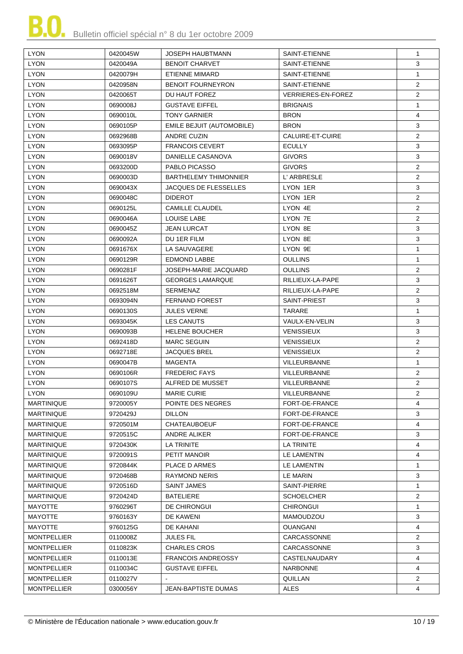

| <b>LYON</b>        | 0420045W | JOSEPH HAUBTMANN                 | SAINT-ETIENNE             | $\mathbf{1}$   |
|--------------------|----------|----------------------------------|---------------------------|----------------|
| <b>LYON</b>        | 0420049A | <b>BENOIT CHARVET</b>            | SAINT-ETIENNE             | 3              |
| <b>LYON</b>        | 0420079H | <b>ETIENNE MIMARD</b>            | SAINT-ETIENNE             | $\mathbf{1}$   |
| <b>LYON</b>        | 0420958N | <b>BENOIT FOURNEYRON</b>         | SAINT-ETIENNE             | $\overline{2}$ |
| <b>LYON</b>        | 0420065T | DU HAUT FOREZ                    | <b>VERRIERES-EN-FOREZ</b> | $\overline{2}$ |
| <b>LYON</b>        | 0690008J | <b>GUSTAVE EIFFEL</b>            | <b>BRIGNAIS</b>           | $\mathbf{1}$   |
| <b>LYON</b>        | 0690010L | <b>TONY GARNIER</b>              | <b>BRON</b>               | $\overline{4}$ |
| <b>LYON</b>        | 0690105P | <b>EMILE BEJUIT (AUTOMOBILE)</b> | <b>BRON</b>               | 3              |
| <b>LYON</b>        | 0692968B | <b>ANDRE CUZIN</b>               | CALUIRE-ET-CUIRE          | $\overline{2}$ |
| <b>LYON</b>        | 0693095P | <b>FRANCOIS CEVERT</b>           | <b>ECULLY</b>             | 3              |
| <b>LYON</b>        | 0690018V | DANIELLE CASANOVA                | <b>GIVORS</b>             | 3              |
| <b>LYON</b>        | 0693200D | PABLO PICASSO                    | <b>GIVORS</b>             | $\overline{2}$ |
| <b>LYON</b>        | 0690003D | <b>BARTHELEMY THIMONNIER</b>     | L' ARBRESLE               | $\overline{2}$ |
| <b>LYON</b>        |          |                                  |                           | 3              |
| <b>LYON</b>        | 0690043X | <b>JACQUES DE FLESSELLES</b>     | LYON 1ER                  | $\overline{2}$ |
|                    | 0690048C | <b>DIDEROT</b>                   | LYON 1ER                  | $\overline{2}$ |
| <b>LYON</b>        | 0690125L | <b>CAMILLE CLAUDEL</b>           | LYON 4E                   |                |
| <b>LYON</b>        | 0690046A | <b>LOUISE LABE</b>               | LYON 7E                   | $\overline{2}$ |
| <b>LYON</b>        | 0690045Z | JEAN LURCAT                      | LYON 8E                   | 3              |
| <b>LYON</b>        | 0690092A | DU 1ER FILM                      | LYON 8E                   | 3              |
| <b>LYON</b>        | 0691676X | LA SAUVAGERE                     | LYON 9E                   | $\mathbf{1}$   |
| <b>LYON</b>        | 0690129R | <b>EDMOND LABBE</b>              | <b>OULLINS</b>            | $\mathbf{1}$   |
| <b>LYON</b>        | 0690281F | JOSEPH-MARIE JACQUARD            | <b>OULLINS</b>            | $\overline{2}$ |
| <b>LYON</b>        | 0691626T | <b>GEORGES LAMARQUE</b>          | RILLIEUX-LA-PAPE          | 3              |
| <b>LYON</b>        | 0692518M | <b>SERMENAZ</b>                  | RILLIEUX-LA-PAPE          | $\overline{2}$ |
| <b>LYON</b>        | 0693094N | <b>FERNAND FOREST</b>            | SAINT-PRIEST              | 3              |
| <b>LYON</b>        | 0690130S | <b>JULES VERNE</b>               | <b>TARARE</b>             | $\mathbf{1}$   |
| <b>LYON</b>        | 0693045K | <b>LES CANUTS</b>                | VAULX-EN-VELIN            | 3              |
| <b>LYON</b>        | 0690093B | <b>HELENE BOUCHER</b>            | <b>VENISSIEUX</b>         | 3              |
| <b>LYON</b>        | 0692418D | <b>MARC SEGUIN</b>               | <b>VENISSIEUX</b>         | $\overline{2}$ |
| <b>LYON</b>        | 0692718E | <b>JACQUES BREL</b>              | <b>VENISSIEUX</b>         | $\overline{2}$ |
| <b>LYON</b>        | 0690047B | MAGENTA                          | <b>VILLEURBANNE</b>       | $\mathbf{1}$   |
| <b>LYON</b>        | 0690106R | <b>FREDERIC FAYS</b>             | <b>VILLEURBANNE</b>       | $\overline{2}$ |
| <b>LYON</b>        | 0690107S | ALFRED DE MUSSET                 | <b>VILLEURBANNE</b>       | $\overline{2}$ |
| LYON               | 0690109U | MARIE CURIE                      | VILLEURBANNE              | $\overline{2}$ |
| <b>MARTINIQUE</b>  | 9720005Y | POINTE DES NEGRES                | FORT-DE-FRANCE            | 4              |
| <b>MARTINIQUE</b>  | 9720429J | <b>DILLON</b>                    | FORT-DE-FRANCE            | 3              |
| <b>MARTINIQUE</b>  | 9720501M | <b>CHATEAUBOEUF</b>              | FORT-DE-FRANCE            | 4              |
| <b>MARTINIQUE</b>  | 9720515C | ANDRE ALIKER                     | FORT-DE-FRANCE            | 3              |
| <b>MARTINIQUE</b>  | 9720430K | LA TRINITE                       | LA TRINITE                | 4              |
| <b>MARTINIQUE</b>  | 9720091S | PETIT MANOIR                     | LE LAMENTIN               | 4              |
| <b>MARTINIQUE</b>  | 9720844K | PLACE D ARMES                    | LE LAMENTIN               | 1              |
| <b>MARTINIQUE</b>  | 9720468B | <b>RAYMOND NERIS</b>             | LE MARIN                  | 3              |
| <b>MARTINIQUE</b>  | 9720516D | SAINT JAMES                      | SAINT-PIERRE              | 1              |
| <b>MARTINIQUE</b>  | 9720424D | BATELIERE                        | SCHOELCHER                | $\overline{2}$ |
| MAYOTTE            | 9760296T | DE CHIRONGUI                     | <b>CHIRONGUI</b>          | 1              |
| <b>MAYOTTE</b>     | 9760163Y | DE KAWENI                        | MAMOUDZOU                 | 3              |
| <b>MAYOTTE</b>     | 9760125G | DE KAHANI                        | <b>OUANGANI</b>           | 4              |
| <b>MONTPELLIER</b> | 0110008Z | <b>JULES FIL</b>                 | CARCASSONNE               | $\overline{2}$ |
| <b>MONTPELLIER</b> | 0110823K | <b>CHARLES CROS</b>              | CARCASSONNE               | 3              |
| <b>MONTPELLIER</b> | 0110013E | <b>FRANCOIS ANDREOSSY</b>        | CASTELNAUDARY             | 4              |
| <b>MONTPELLIER</b> | 0110034C | <b>GUSTAVE EIFFEL</b>            | NARBONNE                  | 4              |
| <b>MONTPELLIER</b> | 0110027V |                                  | QUILLAN                   | $\overline{2}$ |
| <b>MONTPELLIER</b> | 0300056Y | <b>JEAN-BAPTISTE DUMAS</b>       | ALES                      | 4              |
|                    |          |                                  |                           |                |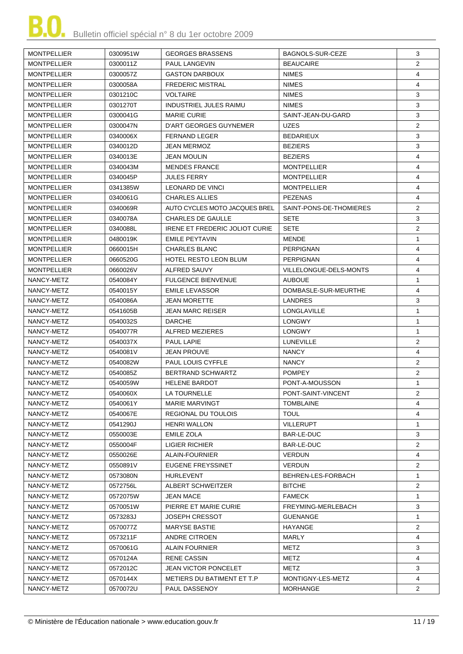| <b>MONTPELLIER</b> | 0300951W | <b>GEORGES BRASSENS</b>        | <b>BAGNOLS-SUR-CEZE</b> | 3              |
|--------------------|----------|--------------------------------|-------------------------|----------------|
| <b>MONTPELLIER</b> | 0300011Z | <b>PAUL LANGEVIN</b>           | <b>BEAUCAIRE</b>        | $\overline{2}$ |
| <b>MONTPELLIER</b> | 0300057Z | <b>GASTON DARBOUX</b>          | <b>NIMES</b>            | 4              |
| <b>MONTPELLIER</b> | 0300058A | <b>FREDERIC MISTRAL</b>        | <b>NIMES</b>            | $\overline{4}$ |
| <b>MONTPELLIER</b> | 0301210C | <b>VOLTAIRE</b>                | <b>NIMES</b>            | 3              |
| <b>MONTPELLIER</b> | 0301270T | <b>INDUSTRIEL JULES RAIMU</b>  | <b>NIMES</b>            | 3              |
| <b>MONTPELLIER</b> | 0300041G | <b>MARIE CURIE</b>             | SAINT-JEAN-DU-GARD      | 3              |
| <b>MONTPELLIER</b> | 0300047N | D'ART GEORGES GUYNEMER         | <b>UZES</b>             | $\overline{2}$ |
| <b>MONTPELLIER</b> | 0340006X | <b>FERNAND LEGER</b>           | <b>BEDARIEUX</b>        | 3              |
| <b>MONTPELLIER</b> | 0340012D | <b>JEAN MERMOZ</b>             | <b>BEZIERS</b>          | 3              |
| <b>MONTPELLIER</b> | 0340013E | <b>JEAN MOULIN</b>             | <b>BEZIERS</b>          | 4              |
| <b>MONTPELLIER</b> | 0340043M | <b>MENDES FRANCE</b>           | <b>MONTPELLIER</b>      | 4              |
| <b>MONTPELLIER</b> | 0340045P | <b>JULES FERRY</b>             | <b>MONTPELLIER</b>      | 4              |
| <b>MONTPELLIER</b> | 0341385W | <b>LEONARD DE VINCI</b>        | <b>MONTPELLIER</b>      | 4              |
| <b>MONTPELLIER</b> | 0340061G | <b>CHARLES ALLIES</b>          | <b>PEZENAS</b>          | 4              |
| <b>MONTPELLIER</b> | 0340069R | AUTO CYCLES MOTO JACQUES BREL  | SAINT-PONS-DE-THOMIERES | $\overline{2}$ |
| <b>MONTPELLIER</b> | 0340078A | <b>CHARLES DE GAULLE</b>       | <b>SETE</b>             | 3              |
| <b>MONTPELLIER</b> | 0340088L | IRENE ET FREDERIC JOLIOT CURIE | <b>SETE</b>             | $\overline{2}$ |
| <b>MONTPELLIER</b> | 0480019K | EMILE PEYTAVIN                 | <b>MENDE</b>            | $\mathbf{1}$   |
| <b>MONTPELLIER</b> | 0660015H | <b>CHARLES BLANC</b>           | <b>PERPIGNAN</b>        | 4              |
| <b>MONTPELLIER</b> | 0660520G | <b>HOTEL RESTO LEON BLUM</b>   | <b>PERPIGNAN</b>        | 4              |
| <b>MONTPELLIER</b> | 0660026V | ALFRED SAUVY                   | VILLELONGUE-DELS-MONTS  | $\overline{4}$ |
| NANCY-METZ         | 0540084Y | <b>FULGENCE BIENVENUE</b>      | <b>AUBOUE</b>           | $\mathbf{1}$   |
| NANCY-METZ         | 0540015Y | <b>EMILE LEVASSOR</b>          | DOMBASLE-SUR-MEURTHE    | 4              |
| NANCY-METZ         | 0540086A | <b>JEAN MORETTE</b>            | <b>LANDRES</b>          | 3              |
| NANCY-METZ         | 0541605B | <b>JEAN MARC REISER</b>        | LONGLAVILLE             | $\mathbf{1}$   |
| NANCY-METZ         | 0540032S | <b>DARCHE</b>                  | <b>LONGWY</b>           | $\mathbf{1}$   |
| NANCY-METZ         | 0540077R | ALFRED MEZIERES                | <b>LONGWY</b>           | $\mathbf{1}$   |
| NANCY-METZ         | 0540037X | PAUL LAPIE                     | <b>LUNEVILLE</b>        | $\overline{2}$ |
| NANCY-METZ         | 0540081V | <b>JEAN PROUVE</b>             | <b>NANCY</b>            | 4              |
| NANCY-METZ         | 0540082W | <b>PAUL LOUIS CYFFLE</b>       | <b>NANCY</b>            | $\overline{2}$ |
| NANCY-METZ         | 0540085Z | BERTRAND SCHWARTZ              | <b>POMPEY</b>           | $\overline{2}$ |
| NANCY-METZ         | 0540059W | <b>HELENE BARDOT</b>           | PONT-A-MOUSSON          | $\mathbf{1}$   |
| NANCY-METZ         | 0540060X | LA TOURNELLE                   | PONT-SAINT-VINCENT      | $\overline{2}$ |
| NANCY-METZ         | 0540061Y | MARIE MARVINGT                 | <b>TOMBLAINE</b>        | 4              |
| NANCY-METZ         | 0540067E | REGIONAL DU TOULOIS            | <b>TOUL</b>             | 4              |
| NANCY-METZ         | 0541290J | <b>HENRI WALLON</b>            | <b>VILLERUPT</b>        | $\mathbf{1}$   |
| NANCY-METZ         | 0550003E | <b>EMILE ZOLA</b>              | BAR-LE-DUC              | 3              |
| NANCY-METZ         | 0550004F | LIGIER RICHIER                 | BAR-LE-DUC              | $\overline{2}$ |
| NANCY-METZ         | 0550026E | <b>ALAIN-FOURNIER</b>          | <b>VERDUN</b>           | 4              |
| NANCY-METZ         | 0550891V | EUGENE FREYSSINET              | <b>VERDUN</b>           | $\overline{2}$ |
| NANCY-METZ         | 0573080N | <b>HURLEVENT</b>               | BEHREN-LES-FORBACH      | $\mathbf{1}$   |
| NANCY-METZ         | 0572756L | <b>ALBERT SCHWEITZER</b>       | <b>BITCHE</b>           | $\overline{2}$ |
| NANCY-METZ         | 0572075W | <b>JEAN MACE</b>               | <b>FAMECK</b>           | $\mathbf{1}$   |
| NANCY-METZ         | 0570051W | PIERRE ET MARIE CURIE          | FREYMING-MERLEBACH      | 3              |
| NANCY-METZ         | 0573283J | <b>JOSEPH CRESSOT</b>          | <b>GUENANGE</b>         | $\mathbf{1}$   |
| NANCY-METZ         | 0570077Z | MARYSE BASTIE                  | HAYANGE                 | $\overline{2}$ |
| NANCY-METZ         | 0573211F | ANDRE CITROEN                  | <b>MARLY</b>            | 4              |
| NANCY-METZ         | 0570061G | <b>ALAIN FOURNIER</b>          | METZ                    | 3              |
| NANCY-METZ         | 0570124A | <b>RENE CASSIN</b>             | METZ                    | 4              |
| NANCY-METZ         | 0572012C | <b>JEAN VICTOR PONCELET</b>    | METZ                    | 3              |
| NANCY-METZ         | 0570144X | METIERS DU BATIMENT ET T.P     | MONTIGNY-LES-METZ       | 4              |
| NANCY-METZ         | 0570072U | PAUL DASSENOY                  | <b>MORHANGE</b>         | $\mathbf{2}$   |
|                    |          |                                |                         |                |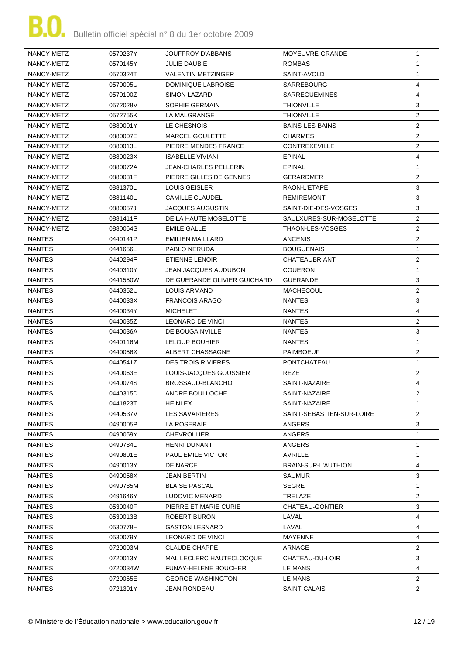| NANCY-METZ                     | 0570237Y | <b>JOUFFROY D'ABBANS</b>                  | MOYEUVRE-GRANDE                | $\mathbf{1}$                 |
|--------------------------------|----------|-------------------------------------------|--------------------------------|------------------------------|
| NANCY-METZ                     | 0570145Y | <b>JULIE DAUBIE</b>                       | <b>ROMBAS</b>                  | $\mathbf{1}$                 |
| NANCY-METZ                     | 0570324T | <b>VALENTIN METZINGER</b>                 | SAINT-AVOLD                    | $\mathbf{1}$                 |
| NANCY-METZ                     | 0570095U | DOMINIQUE LABROISE                        | <b>SARREBOURG</b>              | 4                            |
| NANCY-METZ                     | 0570100Z | <b>SIMON LAZARD</b>                       | <b>SARREGUEMINES</b>           | 4                            |
| NANCY-METZ                     | 0572028V | SOPHIE GERMAIN                            | <b>THIONVILLE</b>              | 3                            |
| NANCY-METZ                     | 0572755K | LA MALGRANGE                              | <b>THIONVILLE</b>              | $\overline{2}$               |
| NANCY-METZ                     | 0880001Y | LE CHESNOIS                               | <b>BAINS-LES-BAINS</b>         | $\overline{2}$               |
| NANCY-METZ                     | 0880007E | MARCEL GOULETTE                           | <b>CHARMES</b>                 | $\overline{2}$               |
| NANCY-METZ                     | 0880013L | PIERRE MENDES FRANCE                      | <b>CONTREXEVILLE</b>           | $\overline{2}$               |
| NANCY-METZ                     | 0880023X | <b>ISABELLE VIVIANI</b>                   | <b>EPINAL</b>                  | 4                            |
| NANCY-METZ                     | 0880072A | <b>JEAN-CHARLES PELLERIN</b>              | EPINAL                         | $\mathbf{1}$                 |
| NANCY-METZ                     | 0880031F | PIERRE GILLES DE GENNES                   | GERARDMER                      | 2                            |
| NANCY-METZ                     | 0881370L | <b>LOUIS GEISLER</b>                      | RAON-L'ETAPE                   | 3                            |
| NANCY-METZ                     | 0881140L | <b>CAMILLE CLAUDEL</b>                    | <b>REMIREMONT</b>              | 3                            |
| NANCY-METZ                     | 0880057J | <b>JACQUES AUGUSTIN</b>                   | SAINT-DIE-DES-VOSGES           | 3                            |
| NANCY-METZ                     | 0881411F | DE LA HAUTE MOSELOTTE                     | SAULXURES-SUR-MOSELOTTE        | $\overline{2}$               |
| NANCY-METZ                     | 0880064S | <b>EMILE GALLE</b>                        | THAON-LES-VOSGES               | $\overline{2}$               |
| <b>NANTES</b>                  | 0440141P | <b>EMILIEN MAILLARD</b>                   | <b>ANCENIS</b>                 | $\overline{2}$               |
| <b>NANTES</b>                  | 0441656L | PABLO NERUDA                              | <b>BOUGUENAIS</b>              | $\mathbf{1}$                 |
| <b>NANTES</b>                  | 0440294F | ETIENNE LENOIR                            | <b>CHATEAUBRIANT</b>           | $\overline{2}$               |
| <b>NANTES</b>                  | 0440310Y | <b>JEAN JACQUES AUDUBON</b>               | <b>COUERON</b>                 | $\mathbf{1}$                 |
| <b>NANTES</b>                  | 0441550W | DE GUERANDE OLIVIER GUICHARD              | <b>GUERANDE</b>                | 3                            |
| <b>NANTES</b>                  | 0440352U | LOUIS ARMAND                              | <b>MACHECOUL</b>               | $\overline{2}$               |
| <b>NANTES</b>                  | 0440033X | <b>FRANCOIS ARAGO</b>                     | <b>NANTES</b>                  | 3                            |
| <b>NANTES</b>                  | 0440034Y | <b>MICHELET</b>                           | <b>NANTES</b>                  | 4                            |
| <b>NANTES</b>                  | 0440035Z | <b>LEONARD DE VINCI</b>                   | <b>NANTES</b>                  | $\overline{2}$               |
| <b>NANTES</b>                  | 0440036A | DE BOUGAINVILLE                           | <b>NANTES</b>                  | 3                            |
| <b>NANTES</b>                  | 0440116M | <b>LELOUP BOUHIER</b>                     | <b>NANTES</b>                  | $\mathbf{1}$                 |
| <b>NANTES</b>                  | 0440056X | ALBERT CHASSAGNE                          | <b>PAIMBOEUF</b>               | $\overline{2}$               |
| <b>NANTES</b>                  | 0440541Z | <b>DES TROIS RIVIERES</b>                 | PONTCHATEAU                    | $\mathbf{1}$                 |
| <b>NANTES</b>                  | 0440063E | LOUIS-JACQUES GOUSSIER                    | REZE                           | $\overline{2}$               |
| <b>NANTES</b>                  | 0440074S | BROSSAUD-BLANCHO                          | SAINT-NAZAIRE                  | 4                            |
| <b>NANTES</b>                  | 0440315D |                                           |                                | 2                            |
|                                | 0441823T | ANDRE BOULLOCHE                           | SAINT-NAZAIRE<br>SAINT-NAZAIRE | $\mathbf{1}$                 |
| <b>NANTES</b><br><b>NANTES</b> | 0440537V | HEINLEX<br><b>LES SAVARIERES</b>          | SAINT-SEBASTIEN-SUR-LOIRE      | $\overline{2}$               |
|                                |          |                                           | <b>ANGERS</b>                  |                              |
| NANTES                         | 0490005P | LA ROSERAIE                               |                                | 3                            |
| <b>NANTES</b><br><b>NANTES</b> | 0490059Y | <b>CHEVROLLIER</b><br><b>HENRI DUNANT</b> | ANGERS<br><b>ANGERS</b>        | $\mathbf{1}$<br>$\mathbf{1}$ |
|                                | 0490784L | <b>PAUL EMILE VICTOR</b>                  |                                |                              |
| <b>NANTES</b>                  | 0490801E |                                           | AVRILLE                        | $\mathbf{1}$                 |
| <b>NANTES</b>                  | 0490013Y | DE NARCE                                  | BRAIN-SUR-L'AUTHION            | 4                            |
| NANTES                         | 0490058X | <b>JEAN BERTIN</b>                        | <b>SAUMUR</b>                  | 3                            |
| <b>NANTES</b>                  | 0490785M | <b>BLAISE PASCAL</b>                      | <b>SEGRE</b>                   | $\mathbf{1}$                 |
| <b>NANTES</b>                  | 0491646Y | LUDOVIC MENARD                            | TRELAZE                        | $\overline{2}$               |
| NANTES                         | 0530040F | PIERRE ET MARIE CURIE                     | CHATEAU-GONTIER                | 3                            |
| <b>NANTES</b>                  | 0530013B | ROBERT BURON                              | LAVAL                          | 4                            |
| <b>NANTES</b>                  | 0530778H | <b>GASTON LESNARD</b>                     | LAVAL                          | 4                            |
| <b>NANTES</b>                  | 0530079Y | LEONARD DE VINCI                          | MAYENNE                        | 4                            |
| <b>NANTES</b>                  | 0720003M | <b>CLAUDE CHAPPE</b>                      | ARNAGE                         | $\overline{2}$               |
| <b>NANTES</b>                  | 0720013Y | MAL LECLERC HAUTECLOCQUE                  | CHATEAU-DU-LOIR                | 3                            |
| <b>NANTES</b>                  | 0720034W | <b>FUNAY-HELENE BOUCHER</b>               | LE MANS                        | 4                            |
| <b>NANTES</b>                  | 0720065E | <b>GEORGE WASHINGTON</b>                  | LE MANS                        | $\overline{2}$               |
| <b>NANTES</b>                  | 0721301Y | <b>JEAN RONDEAU</b>                       | SAINT-CALAIS                   | $\overline{2}$               |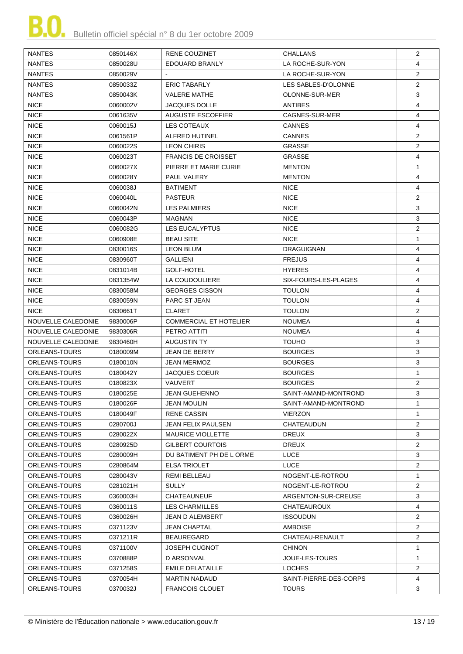

| <b>NANTES</b>        | 0850146X | RENE COUZINET                 | CHALLANS               | $\overline{2}$ |
|----------------------|----------|-------------------------------|------------------------|----------------|
| <b>NANTES</b>        | 0850028U | EDOUARD BRANLY                | LA ROCHE-SUR-YON       | $\overline{4}$ |
| <b>NANTES</b>        | 0850029V |                               | LA ROCHE-SUR-YON       | $\overline{2}$ |
| <b>NANTES</b>        | 0850033Z | <b>ERIC TABARLY</b>           | LES SABLES-D'OLONNE    | $\overline{2}$ |
| <b>NANTES</b>        | 0850043K | <b>VALERE MATHE</b>           | OLONNE-SUR-MER         | 3              |
| <b>NICE</b>          | 0060002V | <b>JACQUES DOLLE</b>          | <b>ANTIBES</b>         | 4              |
| <b>NICE</b>          | 0061635V | <b>AUGUSTE ESCOFFIER</b>      | CAGNES-SUR-MER         | 4              |
| <b>NICE</b>          | 0060015J | LES COTEAUX                   | CANNES                 | 4              |
| <b>NICE</b>          | 0061561P | <b>ALFRED HUTINEL</b>         | <b>CANNES</b>          | $\overline{2}$ |
| <b>NICE</b>          | 0060022S | <b>LEON CHIRIS</b>            | <b>GRASSE</b>          | $\overline{2}$ |
| <b>NICE</b>          | 0060023T | <b>FRANCIS DE CROISSET</b>    | <b>GRASSE</b>          | 4              |
| <b>NICE</b>          | 0060027X | PIERRE ET MARIE CURIE         | <b>MENTON</b>          | $\mathbf{1}$   |
| <b>NICE</b>          | 0060028Y | PAUL VALERY                   | <b>MENTON</b>          | 4              |
| <b>NICE</b>          | 0060038J | <b>BATIMENT</b>               | <b>NICE</b>            | 4              |
| <b>NICE</b>          | 0060040L | <b>PASTEUR</b>                | <b>NICE</b>            | $\overline{2}$ |
| <b>NICE</b>          | 0060042N | <b>LES PALMIERS</b>           | <b>NICE</b>            | 3              |
| <b>NICE</b>          | 0060043P | <b>MAGNAN</b>                 | <b>NICE</b>            | 3              |
| <b>NICE</b>          | 0060082G | <b>LES EUCALYPTUS</b>         | <b>NICE</b>            | $\overline{2}$ |
| <b>NICE</b>          | 0060908E | <b>BEAU SITE</b>              | <b>NICE</b>            | $\mathbf{1}$   |
| <b>NICE</b>          | 0830016S | <b>LEON BLUM</b>              | <b>DRAGUIGNAN</b>      | 4              |
| <b>NICE</b>          | 0830960T | <b>GALLIENI</b>               | <b>FREJUS</b>          | 4              |
| <b>NICE</b>          | 0831014B | GOLF-HOTEL                    | <b>HYERES</b>          | 4              |
| <b>NICE</b>          | 0831354W | LA COUDOULIERE                | SIX-FOURS-LES-PLAGES   | 4              |
| <b>NICE</b>          | 0830058M | <b>GEORGES CISSON</b>         | <b>TOULON</b>          | 4              |
| <b>NICE</b>          | 0830059N | PARC ST JEAN                  | <b>TOULON</b>          | 4              |
| <b>NICE</b>          | 0830661T | <b>CLARET</b>                 | <b>TOULON</b>          | 2              |
| NOUVELLE CALEDONIE   | 9830006P | <b>COMMERCIAL ET HOTELIER</b> | <b>NOUMEA</b>          | 4              |
| NOUVELLE CALEDONIE   | 9830306R | PETRO ATTITI                  | <b>NOUMEA</b>          | 4              |
| NOUVELLE CALEDONIE   | 9830460H | <b>AUGUSTIN TY</b>            | <b>TOUHO</b>           | 3              |
| <b>ORLEANS-TOURS</b> | 0180009M | JEAN DE BERRY                 | <b>BOURGES</b>         | 3              |
| ORLEANS-TOURS        | 0180010N | <b>JEAN MERMOZ</b>            |                        | 3              |
|                      |          | <b>JACQUES COEUR</b>          | <b>BOURGES</b>         | $\mathbf 1$    |
| ORLEANS-TOURS        | 0180042Y |                               | <b>BOURGES</b>         | $\overline{2}$ |
| ORLEANS-TOURS        | 0180823X | <b>VAUVERT</b>                | <b>BOURGES</b>         |                |
| ORLEANS-TOURS        | 0180025E | <b>JEAN GUEHENNO</b>          | SAINT-AMAND-MONTROND   | 3              |
| ORLEANS-TOURS        | 0180026F | <b>JEAN MOULIN</b>            | SAINT-AMAND-MONTROND   | $\mathbf{1}$   |
| ORLEANS-TOURS        | 0180049F | RENE CASSIN                   | <b>VIERZON</b>         | $\mathbf{1}$   |
| ORLEANS-TOURS        | 0280700J | JEAN FELIX PAULSEN            | <b>CHATEAUDUN</b>      | $\overline{2}$ |
| ORLEANS-TOURS        | 0280022X | <b>MAURICE VIOLLETTE</b>      | <b>DREUX</b>           | 3              |
| ORLEANS-TOURS        | 0280925D | GILBERT COURTOIS              | <b>DREUX</b>           | $\overline{2}$ |
| ORLEANS-TOURS        | 0280009H | DU BATIMENT PH DE L ORME      | <b>LUCE</b>            | 3              |
| ORLEANS-TOURS        | 0280864M | <b>ELSA TRIOLET</b>           | LUCE                   | $\overline{2}$ |
| ORLEANS-TOURS        | 0280043V | <b>REMI BELLEAU</b>           | NOGENT-LE-ROTROU       | $\mathbf{1}$   |
| ORLEANS-TOURS        | 0281021H | <b>SULLY</b>                  | NOGENT-LE-ROTROU       | $\overline{2}$ |
| ORLEANS-TOURS        | 0360003H | CHATEAUNEUF                   | ARGENTON-SUR-CREUSE    | 3              |
| ORLEANS-TOURS        | 0360011S | LES CHARMILLES                | <b>CHATEAUROUX</b>     | 4              |
| ORLEANS-TOURS        | 0360026H | JEAN D ALEMBERT               | <b>ISSOUDUN</b>        | $\overline{2}$ |
| ORLEANS-TOURS        | 0371123V | <b>JEAN CHAPTAL</b>           | <b>AMBOISE</b>         | $\overline{2}$ |
| ORLEANS-TOURS        | 0371211R | BEAUREGARD                    | CHATEAU-RENAULT        | $\overline{2}$ |
| ORLEANS-TOURS        | 0371100V | JOSEPH CUGNOT                 | <b>CHINON</b>          | $\mathbf{1}$   |
| ORLEANS-TOURS        | 0370888P | D ARSONVAL                    | JOUE-LES-TOURS         | $\mathbf 1$    |
| ORLEANS-TOURS        | 0371258S | <b>EMILE DELATAILLE</b>       | LOCHES                 | $\overline{2}$ |
| ORLEANS-TOURS        | 0370054H | <b>MARTIN NADAUD</b>          | SAINT-PIERRE-DES-CORPS | 4              |
| ORLEANS-TOURS        | 0370032J | <b>FRANCOIS CLOUET</b>        | <b>TOURS</b>           | 3              |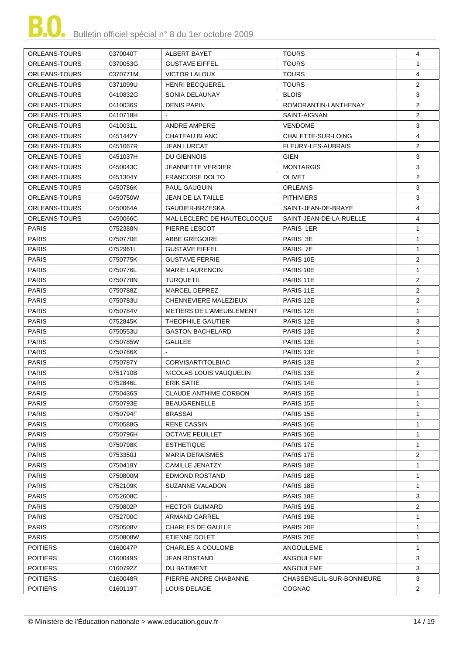| <b>TOURS</b><br>ORLEANS-TOURS<br><b>GUSTAVE EIFFEL</b><br>$\mathbf{1}$<br>0370053G<br>ORLEANS-TOURS<br><b>VICTOR LALOUX</b><br><b>TOURS</b><br>4<br>0370771M<br>$\overline{2}$<br><b>TOURS</b><br>ORLEANS-TOURS<br>0371099U<br><b>HENRI BECQUEREL</b><br>3<br>ORLEANS-TOURS<br>0410832G<br>SONIA DELAUNAY<br><b>BLOIS</b><br>$\overline{2}$<br>ORLEANS-TOURS<br><b>DENIS PAPIN</b><br>ROMORANTIN-LANTHENAY<br>0410036S<br>$\overline{2}$<br>ORLEANS-TOURS<br>0410718H<br>SAINT-AIGNAN<br>3<br>ORLEANS-TOURS<br><b>ANDRE AMPERE</b><br><b>VENDOME</b><br>0410031L<br>ORLEANS-TOURS<br>CHALETTE-SUR-LOING<br>4<br>0451442Y<br>CHATEAU BLANC<br>FLEURY-LES-AUBRAIS<br>2<br>ORLEANS-TOURS<br>0451067R<br><b>JEAN LURCAT</b><br>3<br>ORLEANS-TOURS<br>0451037H<br>DU GIENNOIS<br><b>GIEN</b><br>3<br><b>JEANNETTE VERDIER</b><br>ORLEANS-TOURS<br>0450043C<br><b>MONTARGIS</b><br>2<br><b>FRANCOISE DOLTO</b><br><b>OLIVET</b><br>ORLEANS-TOURS<br>0451304Y<br>ORLEANS-TOURS<br>PAUL GAUGUIN<br><b>ORLEANS</b><br>3<br>0450786K<br>3<br>ORLEANS-TOURS<br>0450750W<br>JEAN DE LA TAILLE<br><b>PITHIVIERS</b><br>SAINT-JEAN-DE-BRAYE<br>4<br>ORLEANS-TOURS<br>0450064A<br>GAUDIER-BRZESKA<br>4<br>ORLEANS-TOURS<br>0450066C<br>MAL LECLERC DE HAUTECLOCQUE<br>SAINT-JEAN-DE-LA-RUELLE<br><b>PARIS</b><br>PARIS 1ER<br>$\mathbf{1}$<br>0752388N<br>PIERRE LESCOT<br><b>PARIS</b><br>0750770E<br>PARIS 3E<br>$\mathbf{1}$<br>ABBE GREGOIRE<br><b>PARIS</b><br>0752961L<br><b>GUSTAVE EIFFEL</b><br>PARIS 7E<br>$\mathbf{1}$<br><b>PARIS</b><br>$\overline{2}$<br><b>GUSTAVE FERRIE</b><br>PARIS 10E<br>0750775K<br><b>PARIS</b><br>0750776L<br><b>MARIE LAURENCIN</b><br>PARIS 10E<br>$\mathbf{1}$<br>$\overline{2}$<br><b>PARIS</b><br>0750778N<br><b>TURQUETIL</b><br>PARIS 11E<br><b>PARIS</b><br>$\overline{2}$<br>0750788Z<br>MARCEL DEPREZ<br>PARIS 11E<br><b>PARIS</b><br>$\overline{2}$<br>0750783U<br>CHENNEVIERE MALEZIEUX<br>PARIS 12E<br><b>PARIS</b><br>METIERS DE L'AMEUBLEMENT<br>PARIS 12E<br>$\mathbf{1}$<br>0750784V<br>3<br><b>PARIS</b><br>THEOPHILE GAUTIER<br>PARIS 12E<br>0752845K<br>$\overline{2}$<br><b>PARIS</b><br>0750553U<br><b>GASTON BACHELARD</b><br>PARIS 13E<br><b>PARIS</b><br>PARIS 13E<br>0750785W<br><b>GALILEE</b><br>$\mathbf{1}$<br><b>PARIS</b><br>PARIS 13E<br>$\mathbf{1}$<br>0750786X<br>$\overline{2}$<br><b>PARIS</b><br>PARIS <sub>13E</sub><br>0750787Y<br>CORVISART/TOLBIAC<br><b>PARIS</b><br>$\overline{2}$<br>NICOLAS LOUIS VAUQUELIN<br>0751710B<br>PARIS 13E<br><b>PARIS</b><br><b>ERIK SATIE</b><br>PARIS 14E<br>$\mathbf{1}$<br>0752846L<br><b>PARIS</b><br>PARIS 15E<br>0750436S<br>CLAUDE ANTHIME CORBON<br>1<br><b>PARIS</b><br>0750793E<br><b>BEAUGRENELLE</b><br>PARIS 15E<br>$\mathbf{1}$<br><b>PARIS</b><br>PARIS 15E<br>0750794F<br><b>BRASSAI</b><br>$\mathbf{1}$<br><b>PARIS</b><br>PARIS 16E<br>0750588G<br>RENE CASSIN<br>-1<br><b>PARIS</b><br>0750796H<br><b>OCTAVE FEUILLET</b><br>PARIS 16E<br>$\mathbf{1}$<br><b>PARIS</b><br>0750798K<br><b>ESTHETIQUE</b><br>PARIS 17E<br>$\mathbf{1}$<br><b>PARIS</b><br><b>MARIA DERAISMES</b><br>PARIS 17E<br>$\overline{2}$<br>0753350J<br><b>PARIS</b><br><b>CAMILLE JENATZY</b><br>PARIS 18E<br>0750419Y<br>-1<br><b>PARIS</b><br>PARIS 18E<br>0750800M<br>EDMOND ROSTAND<br>-1<br><b>PARIS</b><br>0752109K<br>SUZANNE VALADON<br>PARIS 18E<br>$\mathbf{1}$<br><b>PARIS</b><br>0752608C<br>PARIS 18E<br>3<br>$\overline{2}$<br><b>PARIS</b><br>0750802P<br><b>HECTOR GUIMARD</b><br>PARIS 19E<br><b>PARIS</b><br>0752700C<br>ARMAND CARREL<br>PARIS 19E<br>-1<br><b>PARIS</b><br>0750508V<br><b>CHARLES DE GAULLE</b><br>PARIS 20E<br>-1<br><b>PARIS</b><br>0750808W<br>ETIENNE DOLET<br>PARIS 20E<br>$\mathbf{1}$<br><b>POITIERS</b><br><b>CHARLES A COULOMB</b><br>ANGOULEME<br>$\mathbf{1}$<br>0160047P<br><b>POITIERS</b><br>ANGOULEME<br>3<br>0160049S<br><b>JEAN ROSTAND</b><br>3<br><b>POITIERS</b><br>ANGOULEME<br>0160792Z<br>DU BATIMENT<br><b>POITIERS</b><br>CHASSENEUIL-SUR-BONNIEURE<br>3<br>0160048R<br>PIERRE-ANDRE CHABANNE<br><b>POITIERS</b><br>0160119T<br><b>COGNAC</b><br>$\overline{2}$<br>LOUIS DELAGE | <b>ORLEANS-TOURS</b> | 0370040T | ALBERT BAYET | <b>TOURS</b> | 4 |
|------------------------------------------------------------------------------------------------------------------------------------------------------------------------------------------------------------------------------------------------------------------------------------------------------------------------------------------------------------------------------------------------------------------------------------------------------------------------------------------------------------------------------------------------------------------------------------------------------------------------------------------------------------------------------------------------------------------------------------------------------------------------------------------------------------------------------------------------------------------------------------------------------------------------------------------------------------------------------------------------------------------------------------------------------------------------------------------------------------------------------------------------------------------------------------------------------------------------------------------------------------------------------------------------------------------------------------------------------------------------------------------------------------------------------------------------------------------------------------------------------------------------------------------------------------------------------------------------------------------------------------------------------------------------------------------------------------------------------------------------------------------------------------------------------------------------------------------------------------------------------------------------------------------------------------------------------------------------------------------------------------------------------------------------------------------------------------------------------------------------------------------------------------------------------------------------------------------------------------------------------------------------------------------------------------------------------------------------------------------------------------------------------------------------------------------------------------------------------------------------------------------------------------------------------------------------------------------------------------------------------------------------------------------------------------------------------------------------------------------------------------------------------------------------------------------------------------------------------------------------------------------------------------------------------------------------------------------------------------------------------------------------------------------------------------------------------------------------------------------------------------------------------------------------------------------------------------------------------------------------------------------------------------------------------------------------------------------------------------------------------------------------------------------------------------------------------------------------------------------------------------------------------------------------------------------------------------------------------------------------------------------------------------------------------------------------------------------------------------------------------------------------------------------------------------------------------------------------------------------------------------------------------------------------------------------------------------------------------------------------------------------------------------------------------------------------------------------------------------------------------------------|----------------------|----------|--------------|--------------|---|
|                                                                                                                                                                                                                                                                                                                                                                                                                                                                                                                                                                                                                                                                                                                                                                                                                                                                                                                                                                                                                                                                                                                                                                                                                                                                                                                                                                                                                                                                                                                                                                                                                                                                                                                                                                                                                                                                                                                                                                                                                                                                                                                                                                                                                                                                                                                                                                                                                                                                                                                                                                                                                                                                                                                                                                                                                                                                                                                                                                                                                                                                                                                                                                                                                                                                                                                                                                                                                                                                                                                                                                                                                                                                                                                                                                                                                                                                                                                                                                                                                                                                                                                                          |                      |          |              |              |   |
|                                                                                                                                                                                                                                                                                                                                                                                                                                                                                                                                                                                                                                                                                                                                                                                                                                                                                                                                                                                                                                                                                                                                                                                                                                                                                                                                                                                                                                                                                                                                                                                                                                                                                                                                                                                                                                                                                                                                                                                                                                                                                                                                                                                                                                                                                                                                                                                                                                                                                                                                                                                                                                                                                                                                                                                                                                                                                                                                                                                                                                                                                                                                                                                                                                                                                                                                                                                                                                                                                                                                                                                                                                                                                                                                                                                                                                                                                                                                                                                                                                                                                                                                          |                      |          |              |              |   |
|                                                                                                                                                                                                                                                                                                                                                                                                                                                                                                                                                                                                                                                                                                                                                                                                                                                                                                                                                                                                                                                                                                                                                                                                                                                                                                                                                                                                                                                                                                                                                                                                                                                                                                                                                                                                                                                                                                                                                                                                                                                                                                                                                                                                                                                                                                                                                                                                                                                                                                                                                                                                                                                                                                                                                                                                                                                                                                                                                                                                                                                                                                                                                                                                                                                                                                                                                                                                                                                                                                                                                                                                                                                                                                                                                                                                                                                                                                                                                                                                                                                                                                                                          |                      |          |              |              |   |
|                                                                                                                                                                                                                                                                                                                                                                                                                                                                                                                                                                                                                                                                                                                                                                                                                                                                                                                                                                                                                                                                                                                                                                                                                                                                                                                                                                                                                                                                                                                                                                                                                                                                                                                                                                                                                                                                                                                                                                                                                                                                                                                                                                                                                                                                                                                                                                                                                                                                                                                                                                                                                                                                                                                                                                                                                                                                                                                                                                                                                                                                                                                                                                                                                                                                                                                                                                                                                                                                                                                                                                                                                                                                                                                                                                                                                                                                                                                                                                                                                                                                                                                                          |                      |          |              |              |   |
|                                                                                                                                                                                                                                                                                                                                                                                                                                                                                                                                                                                                                                                                                                                                                                                                                                                                                                                                                                                                                                                                                                                                                                                                                                                                                                                                                                                                                                                                                                                                                                                                                                                                                                                                                                                                                                                                                                                                                                                                                                                                                                                                                                                                                                                                                                                                                                                                                                                                                                                                                                                                                                                                                                                                                                                                                                                                                                                                                                                                                                                                                                                                                                                                                                                                                                                                                                                                                                                                                                                                                                                                                                                                                                                                                                                                                                                                                                                                                                                                                                                                                                                                          |                      |          |              |              |   |
|                                                                                                                                                                                                                                                                                                                                                                                                                                                                                                                                                                                                                                                                                                                                                                                                                                                                                                                                                                                                                                                                                                                                                                                                                                                                                                                                                                                                                                                                                                                                                                                                                                                                                                                                                                                                                                                                                                                                                                                                                                                                                                                                                                                                                                                                                                                                                                                                                                                                                                                                                                                                                                                                                                                                                                                                                                                                                                                                                                                                                                                                                                                                                                                                                                                                                                                                                                                                                                                                                                                                                                                                                                                                                                                                                                                                                                                                                                                                                                                                                                                                                                                                          |                      |          |              |              |   |
|                                                                                                                                                                                                                                                                                                                                                                                                                                                                                                                                                                                                                                                                                                                                                                                                                                                                                                                                                                                                                                                                                                                                                                                                                                                                                                                                                                                                                                                                                                                                                                                                                                                                                                                                                                                                                                                                                                                                                                                                                                                                                                                                                                                                                                                                                                                                                                                                                                                                                                                                                                                                                                                                                                                                                                                                                                                                                                                                                                                                                                                                                                                                                                                                                                                                                                                                                                                                                                                                                                                                                                                                                                                                                                                                                                                                                                                                                                                                                                                                                                                                                                                                          |                      |          |              |              |   |
|                                                                                                                                                                                                                                                                                                                                                                                                                                                                                                                                                                                                                                                                                                                                                                                                                                                                                                                                                                                                                                                                                                                                                                                                                                                                                                                                                                                                                                                                                                                                                                                                                                                                                                                                                                                                                                                                                                                                                                                                                                                                                                                                                                                                                                                                                                                                                                                                                                                                                                                                                                                                                                                                                                                                                                                                                                                                                                                                                                                                                                                                                                                                                                                                                                                                                                                                                                                                                                                                                                                                                                                                                                                                                                                                                                                                                                                                                                                                                                                                                                                                                                                                          |                      |          |              |              |   |
|                                                                                                                                                                                                                                                                                                                                                                                                                                                                                                                                                                                                                                                                                                                                                                                                                                                                                                                                                                                                                                                                                                                                                                                                                                                                                                                                                                                                                                                                                                                                                                                                                                                                                                                                                                                                                                                                                                                                                                                                                                                                                                                                                                                                                                                                                                                                                                                                                                                                                                                                                                                                                                                                                                                                                                                                                                                                                                                                                                                                                                                                                                                                                                                                                                                                                                                                                                                                                                                                                                                                                                                                                                                                                                                                                                                                                                                                                                                                                                                                                                                                                                                                          |                      |          |              |              |   |
|                                                                                                                                                                                                                                                                                                                                                                                                                                                                                                                                                                                                                                                                                                                                                                                                                                                                                                                                                                                                                                                                                                                                                                                                                                                                                                                                                                                                                                                                                                                                                                                                                                                                                                                                                                                                                                                                                                                                                                                                                                                                                                                                                                                                                                                                                                                                                                                                                                                                                                                                                                                                                                                                                                                                                                                                                                                                                                                                                                                                                                                                                                                                                                                                                                                                                                                                                                                                                                                                                                                                                                                                                                                                                                                                                                                                                                                                                                                                                                                                                                                                                                                                          |                      |          |              |              |   |
|                                                                                                                                                                                                                                                                                                                                                                                                                                                                                                                                                                                                                                                                                                                                                                                                                                                                                                                                                                                                                                                                                                                                                                                                                                                                                                                                                                                                                                                                                                                                                                                                                                                                                                                                                                                                                                                                                                                                                                                                                                                                                                                                                                                                                                                                                                                                                                                                                                                                                                                                                                                                                                                                                                                                                                                                                                                                                                                                                                                                                                                                                                                                                                                                                                                                                                                                                                                                                                                                                                                                                                                                                                                                                                                                                                                                                                                                                                                                                                                                                                                                                                                                          |                      |          |              |              |   |
|                                                                                                                                                                                                                                                                                                                                                                                                                                                                                                                                                                                                                                                                                                                                                                                                                                                                                                                                                                                                                                                                                                                                                                                                                                                                                                                                                                                                                                                                                                                                                                                                                                                                                                                                                                                                                                                                                                                                                                                                                                                                                                                                                                                                                                                                                                                                                                                                                                                                                                                                                                                                                                                                                                                                                                                                                                                                                                                                                                                                                                                                                                                                                                                                                                                                                                                                                                                                                                                                                                                                                                                                                                                                                                                                                                                                                                                                                                                                                                                                                                                                                                                                          |                      |          |              |              |   |
|                                                                                                                                                                                                                                                                                                                                                                                                                                                                                                                                                                                                                                                                                                                                                                                                                                                                                                                                                                                                                                                                                                                                                                                                                                                                                                                                                                                                                                                                                                                                                                                                                                                                                                                                                                                                                                                                                                                                                                                                                                                                                                                                                                                                                                                                                                                                                                                                                                                                                                                                                                                                                                                                                                                                                                                                                                                                                                                                                                                                                                                                                                                                                                                                                                                                                                                                                                                                                                                                                                                                                                                                                                                                                                                                                                                                                                                                                                                                                                                                                                                                                                                                          |                      |          |              |              |   |
|                                                                                                                                                                                                                                                                                                                                                                                                                                                                                                                                                                                                                                                                                                                                                                                                                                                                                                                                                                                                                                                                                                                                                                                                                                                                                                                                                                                                                                                                                                                                                                                                                                                                                                                                                                                                                                                                                                                                                                                                                                                                                                                                                                                                                                                                                                                                                                                                                                                                                                                                                                                                                                                                                                                                                                                                                                                                                                                                                                                                                                                                                                                                                                                                                                                                                                                                                                                                                                                                                                                                                                                                                                                                                                                                                                                                                                                                                                                                                                                                                                                                                                                                          |                      |          |              |              |   |
|                                                                                                                                                                                                                                                                                                                                                                                                                                                                                                                                                                                                                                                                                                                                                                                                                                                                                                                                                                                                                                                                                                                                                                                                                                                                                                                                                                                                                                                                                                                                                                                                                                                                                                                                                                                                                                                                                                                                                                                                                                                                                                                                                                                                                                                                                                                                                                                                                                                                                                                                                                                                                                                                                                                                                                                                                                                                                                                                                                                                                                                                                                                                                                                                                                                                                                                                                                                                                                                                                                                                                                                                                                                                                                                                                                                                                                                                                                                                                                                                                                                                                                                                          |                      |          |              |              |   |
|                                                                                                                                                                                                                                                                                                                                                                                                                                                                                                                                                                                                                                                                                                                                                                                                                                                                                                                                                                                                                                                                                                                                                                                                                                                                                                                                                                                                                                                                                                                                                                                                                                                                                                                                                                                                                                                                                                                                                                                                                                                                                                                                                                                                                                                                                                                                                                                                                                                                                                                                                                                                                                                                                                                                                                                                                                                                                                                                                                                                                                                                                                                                                                                                                                                                                                                                                                                                                                                                                                                                                                                                                                                                                                                                                                                                                                                                                                                                                                                                                                                                                                                                          |                      |          |              |              |   |
|                                                                                                                                                                                                                                                                                                                                                                                                                                                                                                                                                                                                                                                                                                                                                                                                                                                                                                                                                                                                                                                                                                                                                                                                                                                                                                                                                                                                                                                                                                                                                                                                                                                                                                                                                                                                                                                                                                                                                                                                                                                                                                                                                                                                                                                                                                                                                                                                                                                                                                                                                                                                                                                                                                                                                                                                                                                                                                                                                                                                                                                                                                                                                                                                                                                                                                                                                                                                                                                                                                                                                                                                                                                                                                                                                                                                                                                                                                                                                                                                                                                                                                                                          |                      |          |              |              |   |
|                                                                                                                                                                                                                                                                                                                                                                                                                                                                                                                                                                                                                                                                                                                                                                                                                                                                                                                                                                                                                                                                                                                                                                                                                                                                                                                                                                                                                                                                                                                                                                                                                                                                                                                                                                                                                                                                                                                                                                                                                                                                                                                                                                                                                                                                                                                                                                                                                                                                                                                                                                                                                                                                                                                                                                                                                                                                                                                                                                                                                                                                                                                                                                                                                                                                                                                                                                                                                                                                                                                                                                                                                                                                                                                                                                                                                                                                                                                                                                                                                                                                                                                                          |                      |          |              |              |   |
|                                                                                                                                                                                                                                                                                                                                                                                                                                                                                                                                                                                                                                                                                                                                                                                                                                                                                                                                                                                                                                                                                                                                                                                                                                                                                                                                                                                                                                                                                                                                                                                                                                                                                                                                                                                                                                                                                                                                                                                                                                                                                                                                                                                                                                                                                                                                                                                                                                                                                                                                                                                                                                                                                                                                                                                                                                                                                                                                                                                                                                                                                                                                                                                                                                                                                                                                                                                                                                                                                                                                                                                                                                                                                                                                                                                                                                                                                                                                                                                                                                                                                                                                          |                      |          |              |              |   |
|                                                                                                                                                                                                                                                                                                                                                                                                                                                                                                                                                                                                                                                                                                                                                                                                                                                                                                                                                                                                                                                                                                                                                                                                                                                                                                                                                                                                                                                                                                                                                                                                                                                                                                                                                                                                                                                                                                                                                                                                                                                                                                                                                                                                                                                                                                                                                                                                                                                                                                                                                                                                                                                                                                                                                                                                                                                                                                                                                                                                                                                                                                                                                                                                                                                                                                                                                                                                                                                                                                                                                                                                                                                                                                                                                                                                                                                                                                                                                                                                                                                                                                                                          |                      |          |              |              |   |
|                                                                                                                                                                                                                                                                                                                                                                                                                                                                                                                                                                                                                                                                                                                                                                                                                                                                                                                                                                                                                                                                                                                                                                                                                                                                                                                                                                                                                                                                                                                                                                                                                                                                                                                                                                                                                                                                                                                                                                                                                                                                                                                                                                                                                                                                                                                                                                                                                                                                                                                                                                                                                                                                                                                                                                                                                                                                                                                                                                                                                                                                                                                                                                                                                                                                                                                                                                                                                                                                                                                                                                                                                                                                                                                                                                                                                                                                                                                                                                                                                                                                                                                                          |                      |          |              |              |   |
|                                                                                                                                                                                                                                                                                                                                                                                                                                                                                                                                                                                                                                                                                                                                                                                                                                                                                                                                                                                                                                                                                                                                                                                                                                                                                                                                                                                                                                                                                                                                                                                                                                                                                                                                                                                                                                                                                                                                                                                                                                                                                                                                                                                                                                                                                                                                                                                                                                                                                                                                                                                                                                                                                                                                                                                                                                                                                                                                                                                                                                                                                                                                                                                                                                                                                                                                                                                                                                                                                                                                                                                                                                                                                                                                                                                                                                                                                                                                                                                                                                                                                                                                          |                      |          |              |              |   |
|                                                                                                                                                                                                                                                                                                                                                                                                                                                                                                                                                                                                                                                                                                                                                                                                                                                                                                                                                                                                                                                                                                                                                                                                                                                                                                                                                                                                                                                                                                                                                                                                                                                                                                                                                                                                                                                                                                                                                                                                                                                                                                                                                                                                                                                                                                                                                                                                                                                                                                                                                                                                                                                                                                                                                                                                                                                                                                                                                                                                                                                                                                                                                                                                                                                                                                                                                                                                                                                                                                                                                                                                                                                                                                                                                                                                                                                                                                                                                                                                                                                                                                                                          |                      |          |              |              |   |
|                                                                                                                                                                                                                                                                                                                                                                                                                                                                                                                                                                                                                                                                                                                                                                                                                                                                                                                                                                                                                                                                                                                                                                                                                                                                                                                                                                                                                                                                                                                                                                                                                                                                                                                                                                                                                                                                                                                                                                                                                                                                                                                                                                                                                                                                                                                                                                                                                                                                                                                                                                                                                                                                                                                                                                                                                                                                                                                                                                                                                                                                                                                                                                                                                                                                                                                                                                                                                                                                                                                                                                                                                                                                                                                                                                                                                                                                                                                                                                                                                                                                                                                                          |                      |          |              |              |   |
|                                                                                                                                                                                                                                                                                                                                                                                                                                                                                                                                                                                                                                                                                                                                                                                                                                                                                                                                                                                                                                                                                                                                                                                                                                                                                                                                                                                                                                                                                                                                                                                                                                                                                                                                                                                                                                                                                                                                                                                                                                                                                                                                                                                                                                                                                                                                                                                                                                                                                                                                                                                                                                                                                                                                                                                                                                                                                                                                                                                                                                                                                                                                                                                                                                                                                                                                                                                                                                                                                                                                                                                                                                                                                                                                                                                                                                                                                                                                                                                                                                                                                                                                          |                      |          |              |              |   |
|                                                                                                                                                                                                                                                                                                                                                                                                                                                                                                                                                                                                                                                                                                                                                                                                                                                                                                                                                                                                                                                                                                                                                                                                                                                                                                                                                                                                                                                                                                                                                                                                                                                                                                                                                                                                                                                                                                                                                                                                                                                                                                                                                                                                                                                                                                                                                                                                                                                                                                                                                                                                                                                                                                                                                                                                                                                                                                                                                                                                                                                                                                                                                                                                                                                                                                                                                                                                                                                                                                                                                                                                                                                                                                                                                                                                                                                                                                                                                                                                                                                                                                                                          |                      |          |              |              |   |
|                                                                                                                                                                                                                                                                                                                                                                                                                                                                                                                                                                                                                                                                                                                                                                                                                                                                                                                                                                                                                                                                                                                                                                                                                                                                                                                                                                                                                                                                                                                                                                                                                                                                                                                                                                                                                                                                                                                                                                                                                                                                                                                                                                                                                                                                                                                                                                                                                                                                                                                                                                                                                                                                                                                                                                                                                                                                                                                                                                                                                                                                                                                                                                                                                                                                                                                                                                                                                                                                                                                                                                                                                                                                                                                                                                                                                                                                                                                                                                                                                                                                                                                                          |                      |          |              |              |   |
|                                                                                                                                                                                                                                                                                                                                                                                                                                                                                                                                                                                                                                                                                                                                                                                                                                                                                                                                                                                                                                                                                                                                                                                                                                                                                                                                                                                                                                                                                                                                                                                                                                                                                                                                                                                                                                                                                                                                                                                                                                                                                                                                                                                                                                                                                                                                                                                                                                                                                                                                                                                                                                                                                                                                                                                                                                                                                                                                                                                                                                                                                                                                                                                                                                                                                                                                                                                                                                                                                                                                                                                                                                                                                                                                                                                                                                                                                                                                                                                                                                                                                                                                          |                      |          |              |              |   |
|                                                                                                                                                                                                                                                                                                                                                                                                                                                                                                                                                                                                                                                                                                                                                                                                                                                                                                                                                                                                                                                                                                                                                                                                                                                                                                                                                                                                                                                                                                                                                                                                                                                                                                                                                                                                                                                                                                                                                                                                                                                                                                                                                                                                                                                                                                                                                                                                                                                                                                                                                                                                                                                                                                                                                                                                                                                                                                                                                                                                                                                                                                                                                                                                                                                                                                                                                                                                                                                                                                                                                                                                                                                                                                                                                                                                                                                                                                                                                                                                                                                                                                                                          |                      |          |              |              |   |
|                                                                                                                                                                                                                                                                                                                                                                                                                                                                                                                                                                                                                                                                                                                                                                                                                                                                                                                                                                                                                                                                                                                                                                                                                                                                                                                                                                                                                                                                                                                                                                                                                                                                                                                                                                                                                                                                                                                                                                                                                                                                                                                                                                                                                                                                                                                                                                                                                                                                                                                                                                                                                                                                                                                                                                                                                                                                                                                                                                                                                                                                                                                                                                                                                                                                                                                                                                                                                                                                                                                                                                                                                                                                                                                                                                                                                                                                                                                                                                                                                                                                                                                                          |                      |          |              |              |   |
|                                                                                                                                                                                                                                                                                                                                                                                                                                                                                                                                                                                                                                                                                                                                                                                                                                                                                                                                                                                                                                                                                                                                                                                                                                                                                                                                                                                                                                                                                                                                                                                                                                                                                                                                                                                                                                                                                                                                                                                                                                                                                                                                                                                                                                                                                                                                                                                                                                                                                                                                                                                                                                                                                                                                                                                                                                                                                                                                                                                                                                                                                                                                                                                                                                                                                                                                                                                                                                                                                                                                                                                                                                                                                                                                                                                                                                                                                                                                                                                                                                                                                                                                          |                      |          |              |              |   |
|                                                                                                                                                                                                                                                                                                                                                                                                                                                                                                                                                                                                                                                                                                                                                                                                                                                                                                                                                                                                                                                                                                                                                                                                                                                                                                                                                                                                                                                                                                                                                                                                                                                                                                                                                                                                                                                                                                                                                                                                                                                                                                                                                                                                                                                                                                                                                                                                                                                                                                                                                                                                                                                                                                                                                                                                                                                                                                                                                                                                                                                                                                                                                                                                                                                                                                                                                                                                                                                                                                                                                                                                                                                                                                                                                                                                                                                                                                                                                                                                                                                                                                                                          |                      |          |              |              |   |
|                                                                                                                                                                                                                                                                                                                                                                                                                                                                                                                                                                                                                                                                                                                                                                                                                                                                                                                                                                                                                                                                                                                                                                                                                                                                                                                                                                                                                                                                                                                                                                                                                                                                                                                                                                                                                                                                                                                                                                                                                                                                                                                                                                                                                                                                                                                                                                                                                                                                                                                                                                                                                                                                                                                                                                                                                                                                                                                                                                                                                                                                                                                                                                                                                                                                                                                                                                                                                                                                                                                                                                                                                                                                                                                                                                                                                                                                                                                                                                                                                                                                                                                                          |                      |          |              |              |   |
|                                                                                                                                                                                                                                                                                                                                                                                                                                                                                                                                                                                                                                                                                                                                                                                                                                                                                                                                                                                                                                                                                                                                                                                                                                                                                                                                                                                                                                                                                                                                                                                                                                                                                                                                                                                                                                                                                                                                                                                                                                                                                                                                                                                                                                                                                                                                                                                                                                                                                                                                                                                                                                                                                                                                                                                                                                                                                                                                                                                                                                                                                                                                                                                                                                                                                                                                                                                                                                                                                                                                                                                                                                                                                                                                                                                                                                                                                                                                                                                                                                                                                                                                          |                      |          |              |              |   |
|                                                                                                                                                                                                                                                                                                                                                                                                                                                                                                                                                                                                                                                                                                                                                                                                                                                                                                                                                                                                                                                                                                                                                                                                                                                                                                                                                                                                                                                                                                                                                                                                                                                                                                                                                                                                                                                                                                                                                                                                                                                                                                                                                                                                                                                                                                                                                                                                                                                                                                                                                                                                                                                                                                                                                                                                                                                                                                                                                                                                                                                                                                                                                                                                                                                                                                                                                                                                                                                                                                                                                                                                                                                                                                                                                                                                                                                                                                                                                                                                                                                                                                                                          |                      |          |              |              |   |
|                                                                                                                                                                                                                                                                                                                                                                                                                                                                                                                                                                                                                                                                                                                                                                                                                                                                                                                                                                                                                                                                                                                                                                                                                                                                                                                                                                                                                                                                                                                                                                                                                                                                                                                                                                                                                                                                                                                                                                                                                                                                                                                                                                                                                                                                                                                                                                                                                                                                                                                                                                                                                                                                                                                                                                                                                                                                                                                                                                                                                                                                                                                                                                                                                                                                                                                                                                                                                                                                                                                                                                                                                                                                                                                                                                                                                                                                                                                                                                                                                                                                                                                                          |                      |          |              |              |   |
|                                                                                                                                                                                                                                                                                                                                                                                                                                                                                                                                                                                                                                                                                                                                                                                                                                                                                                                                                                                                                                                                                                                                                                                                                                                                                                                                                                                                                                                                                                                                                                                                                                                                                                                                                                                                                                                                                                                                                                                                                                                                                                                                                                                                                                                                                                                                                                                                                                                                                                                                                                                                                                                                                                                                                                                                                                                                                                                                                                                                                                                                                                                                                                                                                                                                                                                                                                                                                                                                                                                                                                                                                                                                                                                                                                                                                                                                                                                                                                                                                                                                                                                                          |                      |          |              |              |   |
|                                                                                                                                                                                                                                                                                                                                                                                                                                                                                                                                                                                                                                                                                                                                                                                                                                                                                                                                                                                                                                                                                                                                                                                                                                                                                                                                                                                                                                                                                                                                                                                                                                                                                                                                                                                                                                                                                                                                                                                                                                                                                                                                                                                                                                                                                                                                                                                                                                                                                                                                                                                                                                                                                                                                                                                                                                                                                                                                                                                                                                                                                                                                                                                                                                                                                                                                                                                                                                                                                                                                                                                                                                                                                                                                                                                                                                                                                                                                                                                                                                                                                                                                          |                      |          |              |              |   |
|                                                                                                                                                                                                                                                                                                                                                                                                                                                                                                                                                                                                                                                                                                                                                                                                                                                                                                                                                                                                                                                                                                                                                                                                                                                                                                                                                                                                                                                                                                                                                                                                                                                                                                                                                                                                                                                                                                                                                                                                                                                                                                                                                                                                                                                                                                                                                                                                                                                                                                                                                                                                                                                                                                                                                                                                                                                                                                                                                                                                                                                                                                                                                                                                                                                                                                                                                                                                                                                                                                                                                                                                                                                                                                                                                                                                                                                                                                                                                                                                                                                                                                                                          |                      |          |              |              |   |
|                                                                                                                                                                                                                                                                                                                                                                                                                                                                                                                                                                                                                                                                                                                                                                                                                                                                                                                                                                                                                                                                                                                                                                                                                                                                                                                                                                                                                                                                                                                                                                                                                                                                                                                                                                                                                                                                                                                                                                                                                                                                                                                                                                                                                                                                                                                                                                                                                                                                                                                                                                                                                                                                                                                                                                                                                                                                                                                                                                                                                                                                                                                                                                                                                                                                                                                                                                                                                                                                                                                                                                                                                                                                                                                                                                                                                                                                                                                                                                                                                                                                                                                                          |                      |          |              |              |   |
|                                                                                                                                                                                                                                                                                                                                                                                                                                                                                                                                                                                                                                                                                                                                                                                                                                                                                                                                                                                                                                                                                                                                                                                                                                                                                                                                                                                                                                                                                                                                                                                                                                                                                                                                                                                                                                                                                                                                                                                                                                                                                                                                                                                                                                                                                                                                                                                                                                                                                                                                                                                                                                                                                                                                                                                                                                                                                                                                                                                                                                                                                                                                                                                                                                                                                                                                                                                                                                                                                                                                                                                                                                                                                                                                                                                                                                                                                                                                                                                                                                                                                                                                          |                      |          |              |              |   |
|                                                                                                                                                                                                                                                                                                                                                                                                                                                                                                                                                                                                                                                                                                                                                                                                                                                                                                                                                                                                                                                                                                                                                                                                                                                                                                                                                                                                                                                                                                                                                                                                                                                                                                                                                                                                                                                                                                                                                                                                                                                                                                                                                                                                                                                                                                                                                                                                                                                                                                                                                                                                                                                                                                                                                                                                                                                                                                                                                                                                                                                                                                                                                                                                                                                                                                                                                                                                                                                                                                                                                                                                                                                                                                                                                                                                                                                                                                                                                                                                                                                                                                                                          |                      |          |              |              |   |
|                                                                                                                                                                                                                                                                                                                                                                                                                                                                                                                                                                                                                                                                                                                                                                                                                                                                                                                                                                                                                                                                                                                                                                                                                                                                                                                                                                                                                                                                                                                                                                                                                                                                                                                                                                                                                                                                                                                                                                                                                                                                                                                                                                                                                                                                                                                                                                                                                                                                                                                                                                                                                                                                                                                                                                                                                                                                                                                                                                                                                                                                                                                                                                                                                                                                                                                                                                                                                                                                                                                                                                                                                                                                                                                                                                                                                                                                                                                                                                                                                                                                                                                                          |                      |          |              |              |   |
|                                                                                                                                                                                                                                                                                                                                                                                                                                                                                                                                                                                                                                                                                                                                                                                                                                                                                                                                                                                                                                                                                                                                                                                                                                                                                                                                                                                                                                                                                                                                                                                                                                                                                                                                                                                                                                                                                                                                                                                                                                                                                                                                                                                                                                                                                                                                                                                                                                                                                                                                                                                                                                                                                                                                                                                                                                                                                                                                                                                                                                                                                                                                                                                                                                                                                                                                                                                                                                                                                                                                                                                                                                                                                                                                                                                                                                                                                                                                                                                                                                                                                                                                          |                      |          |              |              |   |
|                                                                                                                                                                                                                                                                                                                                                                                                                                                                                                                                                                                                                                                                                                                                                                                                                                                                                                                                                                                                                                                                                                                                                                                                                                                                                                                                                                                                                                                                                                                                                                                                                                                                                                                                                                                                                                                                                                                                                                                                                                                                                                                                                                                                                                                                                                                                                                                                                                                                                                                                                                                                                                                                                                                                                                                                                                                                                                                                                                                                                                                                                                                                                                                                                                                                                                                                                                                                                                                                                                                                                                                                                                                                                                                                                                                                                                                                                                                                                                                                                                                                                                                                          |                      |          |              |              |   |
|                                                                                                                                                                                                                                                                                                                                                                                                                                                                                                                                                                                                                                                                                                                                                                                                                                                                                                                                                                                                                                                                                                                                                                                                                                                                                                                                                                                                                                                                                                                                                                                                                                                                                                                                                                                                                                                                                                                                                                                                                                                                                                                                                                                                                                                                                                                                                                                                                                                                                                                                                                                                                                                                                                                                                                                                                                                                                                                                                                                                                                                                                                                                                                                                                                                                                                                                                                                                                                                                                                                                                                                                                                                                                                                                                                                                                                                                                                                                                                                                                                                                                                                                          |                      |          |              |              |   |
|                                                                                                                                                                                                                                                                                                                                                                                                                                                                                                                                                                                                                                                                                                                                                                                                                                                                                                                                                                                                                                                                                                                                                                                                                                                                                                                                                                                                                                                                                                                                                                                                                                                                                                                                                                                                                                                                                                                                                                                                                                                                                                                                                                                                                                                                                                                                                                                                                                                                                                                                                                                                                                                                                                                                                                                                                                                                                                                                                                                                                                                                                                                                                                                                                                                                                                                                                                                                                                                                                                                                                                                                                                                                                                                                                                                                                                                                                                                                                                                                                                                                                                                                          |                      |          |              |              |   |
|                                                                                                                                                                                                                                                                                                                                                                                                                                                                                                                                                                                                                                                                                                                                                                                                                                                                                                                                                                                                                                                                                                                                                                                                                                                                                                                                                                                                                                                                                                                                                                                                                                                                                                                                                                                                                                                                                                                                                                                                                                                                                                                                                                                                                                                                                                                                                                                                                                                                                                                                                                                                                                                                                                                                                                                                                                                                                                                                                                                                                                                                                                                                                                                                                                                                                                                                                                                                                                                                                                                                                                                                                                                                                                                                                                                                                                                                                                                                                                                                                                                                                                                                          |                      |          |              |              |   |
|                                                                                                                                                                                                                                                                                                                                                                                                                                                                                                                                                                                                                                                                                                                                                                                                                                                                                                                                                                                                                                                                                                                                                                                                                                                                                                                                                                                                                                                                                                                                                                                                                                                                                                                                                                                                                                                                                                                                                                                                                                                                                                                                                                                                                                                                                                                                                                                                                                                                                                                                                                                                                                                                                                                                                                                                                                                                                                                                                                                                                                                                                                                                                                                                                                                                                                                                                                                                                                                                                                                                                                                                                                                                                                                                                                                                                                                                                                                                                                                                                                                                                                                                          |                      |          |              |              |   |
|                                                                                                                                                                                                                                                                                                                                                                                                                                                                                                                                                                                                                                                                                                                                                                                                                                                                                                                                                                                                                                                                                                                                                                                                                                                                                                                                                                                                                                                                                                                                                                                                                                                                                                                                                                                                                                                                                                                                                                                                                                                                                                                                                                                                                                                                                                                                                                                                                                                                                                                                                                                                                                                                                                                                                                                                                                                                                                                                                                                                                                                                                                                                                                                                                                                                                                                                                                                                                                                                                                                                                                                                                                                                                                                                                                                                                                                                                                                                                                                                                                                                                                                                          |                      |          |              |              |   |
|                                                                                                                                                                                                                                                                                                                                                                                                                                                                                                                                                                                                                                                                                                                                                                                                                                                                                                                                                                                                                                                                                                                                                                                                                                                                                                                                                                                                                                                                                                                                                                                                                                                                                                                                                                                                                                                                                                                                                                                                                                                                                                                                                                                                                                                                                                                                                                                                                                                                                                                                                                                                                                                                                                                                                                                                                                                                                                                                                                                                                                                                                                                                                                                                                                                                                                                                                                                                                                                                                                                                                                                                                                                                                                                                                                                                                                                                                                                                                                                                                                                                                                                                          |                      |          |              |              |   |
|                                                                                                                                                                                                                                                                                                                                                                                                                                                                                                                                                                                                                                                                                                                                                                                                                                                                                                                                                                                                                                                                                                                                                                                                                                                                                                                                                                                                                                                                                                                                                                                                                                                                                                                                                                                                                                                                                                                                                                                                                                                                                                                                                                                                                                                                                                                                                                                                                                                                                                                                                                                                                                                                                                                                                                                                                                                                                                                                                                                                                                                                                                                                                                                                                                                                                                                                                                                                                                                                                                                                                                                                                                                                                                                                                                                                                                                                                                                                                                                                                                                                                                                                          |                      |          |              |              |   |
|                                                                                                                                                                                                                                                                                                                                                                                                                                                                                                                                                                                                                                                                                                                                                                                                                                                                                                                                                                                                                                                                                                                                                                                                                                                                                                                                                                                                                                                                                                                                                                                                                                                                                                                                                                                                                                                                                                                                                                                                                                                                                                                                                                                                                                                                                                                                                                                                                                                                                                                                                                                                                                                                                                                                                                                                                                                                                                                                                                                                                                                                                                                                                                                                                                                                                                                                                                                                                                                                                                                                                                                                                                                                                                                                                                                                                                                                                                                                                                                                                                                                                                                                          |                      |          |              |              |   |
|                                                                                                                                                                                                                                                                                                                                                                                                                                                                                                                                                                                                                                                                                                                                                                                                                                                                                                                                                                                                                                                                                                                                                                                                                                                                                                                                                                                                                                                                                                                                                                                                                                                                                                                                                                                                                                                                                                                                                                                                                                                                                                                                                                                                                                                                                                                                                                                                                                                                                                                                                                                                                                                                                                                                                                                                                                                                                                                                                                                                                                                                                                                                                                                                                                                                                                                                                                                                                                                                                                                                                                                                                                                                                                                                                                                                                                                                                                                                                                                                                                                                                                                                          |                      |          |              |              |   |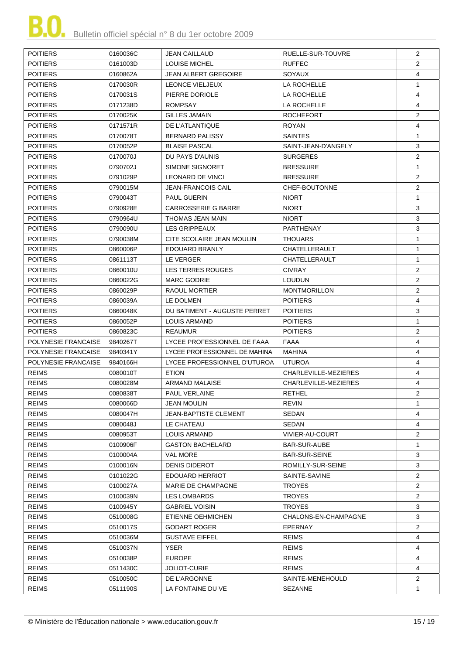| <b>POITIERS</b>     | 0160036C | <b>JEAN CAILLAUD</b>          | RUELLE-SUR-TOUVRE    | 2              |
|---------------------|----------|-------------------------------|----------------------|----------------|
| <b>POITIERS</b>     | 0161003D | <b>LOUISE MICHEL</b>          | <b>RUFFEC</b>        | $\overline{2}$ |
| <b>POITIERS</b>     | 0160862A | JEAN ALBERT GREGOIRE          | <b>SOYAUX</b>        | 4              |
| <b>POITIERS</b>     | 0170030R | LEONCE VIELJEUX               | LA ROCHELLE          | $\mathbf{1}$   |
| <b>POITIERS</b>     | 0170031S | PIERRE DORIOLE                | LA ROCHELLE          | 4              |
| <b>POITIERS</b>     | 0171238D | <b>ROMPSAY</b>                | LA ROCHELLE          | 4              |
| <b>POITIERS</b>     | 0170025K | <b>GILLES JAMAIN</b>          | <b>ROCHEFORT</b>     | $\overline{2}$ |
| <b>POITIERS</b>     | 0171571R | DE L'ATLANTIQUE               | <b>ROYAN</b>         | 4              |
| <b>POITIERS</b>     | 0170078T | <b>BERNARD PALISSY</b>        | <b>SAINTES</b>       | $\mathbf{1}$   |
| <b>POITIERS</b>     | 0170052P | <b>BLAISE PASCAL</b>          | SAINT-JEAN-D'ANGELY  | 3              |
| <b>POITIERS</b>     | 0170070J | DU PAYS D'AUNIS               | <b>SURGERES</b>      | $\overline{2}$ |
| <b>POITIERS</b>     | 0790702J | SIMONE SIGNORET               | <b>BRESSUIRE</b>     | $\mathbf{1}$   |
| <b>POITIERS</b>     | 0791029P | LEONARD DE VINCI              | <b>BRESSUIRE</b>     | $\overline{2}$ |
| <b>POITIERS</b>     | 0790015M | <b>JEAN-FRANCOIS CAIL</b>     | CHEF-BOUTONNE        | $\overline{2}$ |
| <b>POITIERS</b>     | 0790043T | <b>PAUL GUERIN</b>            | <b>NIORT</b>         | $\mathbf{1}$   |
| <b>POITIERS</b>     | 0790928E | <b>CARROSSERIE G BARRE</b>    | <b>NIORT</b>         | 3              |
| <b>POITIERS</b>     | 0790964U | THOMAS JEAN MAIN              | <b>NIORT</b>         | 3              |
| <b>POITIERS</b>     | 0790090U | LES GRIPPEAUX                 | PARTHENAY            | 3              |
| <b>POITIERS</b>     | 0790038M | CITE SCOLAIRE JEAN MOULIN     | <b>THOUARS</b>       | $\mathbf{1}$   |
| <b>POITIERS</b>     | 0860006P | EDOUARD BRANLY                | CHATELLERAULT        | $\mathbf{1}$   |
| <b>POITIERS</b>     | 0861113T | LE VERGER                     | CHATELLERAULT        | $\mathbf{1}$   |
| <b>POITIERS</b>     | 0860010U | <b>LES TERRES ROUGES</b>      | <b>CIVRAY</b>        | $\overline{2}$ |
| <b>POITIERS</b>     | 0860022G | <b>MARC GODRIE</b>            | <b>LOUDUN</b>        | $\overline{c}$ |
| <b>POITIERS</b>     | 0860029P | RAOUL MORTIER                 | <b>MONTMORILLON</b>  | $\overline{2}$ |
| <b>POITIERS</b>     | 0860039A | LE DOLMEN                     | <b>POITIERS</b>      | $\overline{4}$ |
| <b>POITIERS</b>     | 0860048K | DU BATIMENT - AUGUSTE PERRET  | <b>POITIERS</b>      | 3              |
| <b>POITIERS</b>     | 0860052P | <b>LOUIS ARMAND</b>           | <b>POITIERS</b>      | $\mathbf{1}$   |
| <b>POITIERS</b>     | 0860823C | <b>REAUMUR</b>                | <b>POITIERS</b>      | 2              |
| POLYNESIE FRANCAISE | 9840267T | LYCEE PROFESSIONNEL DE FAAA   | <b>FAAA</b>          | 4              |
| POLYNESIE FRANCAISE | 9840341Y | LYCEE PROFESSIONNEL DE MAHINA | MAHINA               | 4              |
| POLYNESIE FRANCAISE | 9840166H | LYCEE PROFESSIONNEL D'UTUROA  | <b>UTUROA</b>        | $\overline{4}$ |
| <b>REIMS</b>        | 0080010T | <b>ETION</b>                  | CHARLEVILLE-MEZIERES | 4              |
| <b>REIMS</b>        | 0080028M | <b>ARMAND MALAISE</b>         | CHARLEVILLE-MEZIERES | 4              |
| <b>REIMS</b>        | 0080838T | PAUL VERLAINE                 | <b>RETHEL</b>        | $\overline{2}$ |
| <b>REIMS</b>        | 0080066D | JEAN MOULIN                   | REVIN                | $\mathbf{1}$   |
| <b>REIMS</b>        | 0080047H | <b>JEAN-BAPTISTE CLEMENT</b>  | SEDAN                | 4              |
| <b>REIMS</b>        | 0080048J | LE CHATEAU                    | SEDAN                | 4              |
| <b>REIMS</b>        | 0080953T | LOUIS ARMAND                  | VIVIER-AU-COURT      | $\overline{2}$ |
| <b>REIMS</b>        | 0100906F | <b>GASTON BACHELARD</b>       | <b>BAR-SUR-AUBE</b>  | $\mathbf{1}$   |
| <b>REIMS</b>        | 0100004A | <b>VAL MORE</b>               | <b>BAR-SUR-SEINE</b> | 3              |
| <b>REIMS</b>        | 0100016N | <b>DENIS DIDEROT</b>          | ROMILLY-SUR-SEINE    | 3              |
| <b>REIMS</b>        | 0101022G | EDOUARD HERRIOT               | SAINTE-SAVINE        | 2              |
| <b>REIMS</b>        | 0100027A | <b>MARIE DE CHAMPAGNE</b>     | <b>TROYES</b>        | 2              |
| <b>REIMS</b>        | 0100039N | LES LOMBARDS                  | <b>TROYES</b>        | $\overline{2}$ |
| <b>REIMS</b>        | 0100945Y | <b>GABRIEL VOISIN</b>         | <b>TROYES</b>        | 3              |
| <b>REIMS</b>        | 0510008G | ETIENNE OEHMICHEN             | CHALONS-EN-CHAMPAGNE | 3              |
| <b>REIMS</b>        | 0510017S | GODART ROGER                  | <b>EPERNAY</b>       | 2              |
| <b>REIMS</b>        | 0510036M | <b>GUSTAVE EIFFEL</b>         | <b>REIMS</b>         | 4              |
| <b>REIMS</b>        | 0510037N | YSER                          | <b>REIMS</b>         | 4              |
| <b>REIMS</b>        | 0510038P | <b>EUROPE</b>                 | <b>REIMS</b>         | 4              |
| <b>REIMS</b>        | 0511430C | <b>JOLIOT-CURIE</b>           | <b>REIMS</b>         | 4              |
| <b>REIMS</b>        | 0510050C | DE L'ARGONNE                  | SAINTE-MENEHOULD     | 2              |
| <b>REIMS</b>        | 0511190S | LA FONTAINE DU VE             | <b>SEZANNE</b>       | $\mathbf{1}$   |
|                     |          |                               |                      |                |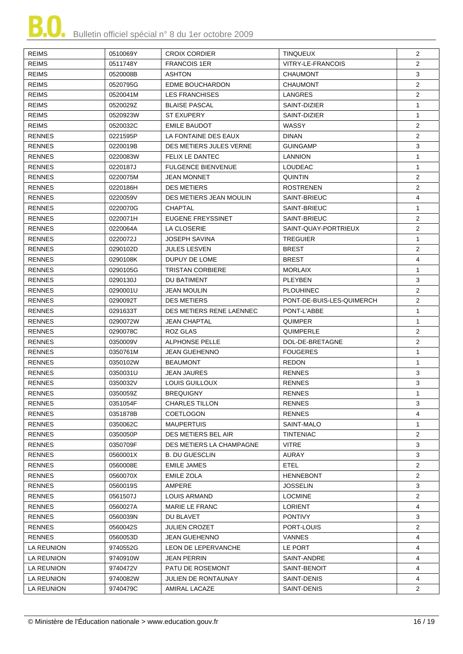| <b>REIMS</b>  | 0510069Y | <b>CROIX CORDIER</b>      | <b>TINQUEUX</b>           | $\overline{2}$ |
|---------------|----------|---------------------------|---------------------------|----------------|
| <b>REIMS</b>  | 0511748Y | <b>FRANCOIS 1ER</b>       | VITRY-LE-FRANCOIS         | $\overline{2}$ |
| <b>REIMS</b>  | 0520008B | <b>ASHTON</b>             | <b>CHAUMONT</b>           | 3              |
| <b>REIMS</b>  | 0520795G | <b>EDME BOUCHARDON</b>    | <b>CHAUMONT</b>           | $\overline{2}$ |
| <b>REIMS</b>  | 0520041M | <b>LES FRANCHISES</b>     | LANGRES                   | $\overline{2}$ |
| <b>REIMS</b>  | 0520029Z | <b>BLAISE PASCAL</b>      | SAINT-DIZIER              | $\mathbf{1}$   |
| <b>REIMS</b>  | 0520923W | <b>ST EXUPERY</b>         | SAINT-DIZIER              | $\mathbf{1}$   |
| <b>REIMS</b>  | 0520032C | <b>EMILE BAUDOT</b>       | WASSY                     | $\overline{2}$ |
| <b>RENNES</b> | 0221595P | LA FONTAINE DES EAUX      | <b>DINAN</b>              | $\overline{2}$ |
| <b>RENNES</b> | 0220019B | DES METIERS JULES VERNE   | <b>GUINGAMP</b>           | 3              |
| <b>RENNES</b> |          | <b>FELIX LE DANTEC</b>    |                           | $\mathbf{1}$   |
|               | 0220083W | <b>FULGENCE BIENVENUE</b> | <b>LANNION</b>            | $\mathbf{1}$   |
| <b>RENNES</b> | 0220187J |                           | <b>LOUDEAC</b>            |                |
| <b>RENNES</b> | 0220075M | JEAN MONNET               | <b>QUINTIN</b>            | $\overline{2}$ |
| <b>RENNES</b> | 0220186H | <b>DES METIERS</b>        | <b>ROSTRENEN</b>          | $\overline{2}$ |
| <b>RENNES</b> | 0220059V | DES METIERS JEAN MOULIN   | SAINT-BRIEUC              | $\overline{4}$ |
| <b>RENNES</b> | 0220070G | <b>CHAPTAL</b>            | SAINT-BRIEUC              | $\mathbf{1}$   |
| <b>RENNES</b> | 0220071H | EUGENE FREYSSINET         | SAINT-BRIEUC              | $\overline{2}$ |
| <b>RENNES</b> | 0220064A | LA CLOSERIE               | SAINT-QUAY-PORTRIEUX      | $\overline{c}$ |
| <b>RENNES</b> | 0220072J | <b>JOSEPH SAVINA</b>      | <b>TREGUIER</b>           | $\mathbf{1}$   |
| <b>RENNES</b> | 0290102D | <b>JULES LESVEN</b>       | <b>BREST</b>              | $\overline{2}$ |
| <b>RENNES</b> | 0290108K | DUPUY DE LOME             | <b>BREST</b>              | 4              |
| <b>RENNES</b> | 0290105G | <b>TRISTAN CORBIERE</b>   | <b>MORLAIX</b>            | $\mathbf{1}$   |
| <b>RENNES</b> | 0290130J | DU BATIMENT               | PLEYBEN                   | 3              |
| <b>RENNES</b> | 0290001U | <b>JEAN MOULIN</b>        | <b>PLOUHINEC</b>          | $\overline{2}$ |
| <b>RENNES</b> | 0290092T | <b>DES METIERS</b>        | PONT-DE-BUIS-LES-QUIMERCH | $\overline{2}$ |
| <b>RENNES</b> | 0291633T | DES METIERS RENE LAENNEC  | PONT-L'ABBE               | $\mathbf{1}$   |
| <b>RENNES</b> | 0290072W | <b>JEAN CHAPTAL</b>       | QUIMPER                   | $\mathbf{1}$   |
| <b>RENNES</b> | 0290078C | ROZ GLAS                  | QUIMPERLE                 | $\overline{2}$ |
| <b>RENNES</b> | 0350009V | <b>ALPHONSE PELLE</b>     | DOL-DE-BRETAGNE           | $\overline{2}$ |
| <b>RENNES</b> | 0350761M | JEAN GUEHENNO             | <b>FOUGERES</b>           | $\mathbf{1}$   |
| <b>RENNES</b> | 0350102W | <b>BEAUMONT</b>           | <b>REDON</b>              | $\mathbf{1}$   |
| <b>RENNES</b> | 0350031U | <b>JEAN JAURES</b>        | <b>RENNES</b>             | 3              |
| <b>RENNES</b> | 0350032V | LOUIS GUILLOUX            | <b>RENNES</b>             | 3              |
| <b>RENNES</b> | 0350059Z | <b>BREQUIGNY</b>          | <b>RENNES</b>             | 1              |
| <b>RENNES</b> | 0351054F | <b>CHARLES TILLON</b>     | <b>RENNES</b>             | 3              |
| <b>RENNES</b> | 0351878B | <b>COETLOGON</b>          | <b>RENNES</b>             | 4              |
| <b>RENNES</b> | 0350062C | <b>MAUPERTUIS</b>         | SAINT-MALO                | 1              |
| <b>RENNES</b> | 0350050P | DES METIERS BEL AIR       | <b>TINTENIAC</b>          | $\overline{2}$ |
| <b>RENNES</b> | 0350709F | DES METIERS LA CHAMPAGNE  | <b>VITRE</b>              | 3              |
| <b>RENNES</b> | 0560001X | <b>B. DU GUESCLIN</b>     | <b>AURAY</b>              | 3              |
| <b>RENNES</b> | 0560008E | <b>EMILE JAMES</b>        | <b>ETEL</b>               | $\overline{2}$ |
| <b>RENNES</b> | 0560070X | EMILE ZOLA                | <b>HENNEBONT</b>          | $\overline{2}$ |
| <b>RENNES</b> | 0560019S | AMPERE                    | <b>JOSSELIN</b>           | 3              |
| <b>RENNES</b> | 0561507J | LOUIS ARMAND              | <b>LOCMINE</b>            | $\overline{2}$ |
| <b>RENNES</b> | 0560027A | MARIE LE FRANC            | <b>LORIENT</b>            | 4              |
| <b>RENNES</b> | 0560039N | DU BLAVET                 | <b>PONTIVY</b>            | 3              |
| <b>RENNES</b> | 0560042S | JULIEN CROZET             | PORT-LOUIS                | $\overline{2}$ |
| <b>RENNES</b> | 0560053D | <b>JEAN GUEHENNO</b>      | <b>VANNES</b>             | 4              |
| LA REUNION    |          | LEON DE LEPERVANCHE       | LE PORT                   | 4              |
|               | 9740552G |                           |                           | 4              |
| LA REUNION    | 9740910W | JEAN PERRIN               | SAINT-ANDRE               |                |
| LA REUNION    | 9740472V | PATU DE ROSEMONT          | SAINT-BENOIT              | 4              |
| LA REUNION    | 9740082W | JULIEN DE RONTAUNAY       | SAINT-DENIS               | 4              |
| LA REUNION    | 9740479C | AMIRAL LACAZE             | SAINT-DENIS               | $\overline{2}$ |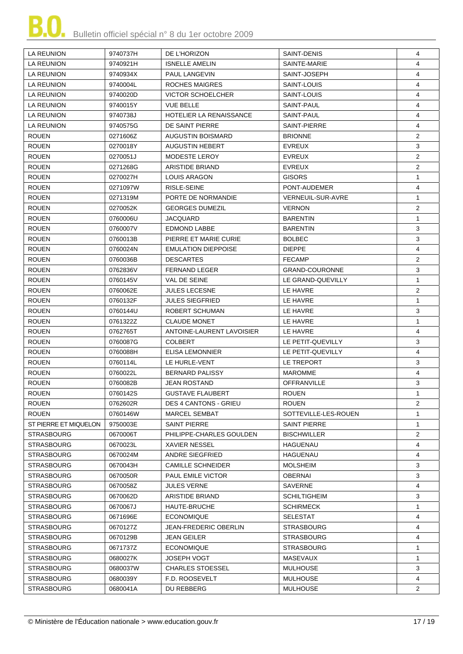| SAINTE-MARIE<br>4<br>LA REUNION<br>9740921H<br><b>ISNELLE AMELIN</b><br><b>LA REUNION</b><br><b>PAUL LANGEVIN</b><br>SAINT-JOSEPH<br>4<br>9740934X<br>ROCHES MAIGRES<br>4<br>LA REUNION<br>9740004L<br>SAINT-LOUIS<br><b>LA REUNION</b><br><b>VICTOR SCHOELCHER</b><br>SAINT-LOUIS<br>4<br>9740020D<br>4<br>LA REUNION<br>9740015Y<br><b>VUE BELLE</b><br>SAINT-PAUL<br>4<br><b>HOTELIER LA RENAISSANCE</b><br>SAINT-PAUL<br>LA REUNION<br>9740738J<br>SAINT-PIERRE<br>4<br>LA REUNION<br>9740575G<br>DE SAINT PIERRE<br><b>ROUEN</b><br><b>AUGUSTIN BOISMARD</b><br><b>BRIONNE</b><br>$\overline{2}$<br>0271606Z<br><b>ROUEN</b><br>3<br>0270018Y<br><b>AUGUSTIN HEBERT</b><br><b>EVREUX</b><br><b>ROUEN</b><br>MODESTE LEROY<br><b>EVREUX</b><br>$\overline{2}$<br>0270051J<br>$\overline{2}$<br><b>ROUEN</b><br>0271268G<br>ARISTIDE BRIAND<br>EVREUX<br>$\mathbf{1}$<br><b>ROUEN</b><br>0270027H<br>LOUIS ARAGON<br><b>GISORS</b><br><b>ROUEN</b><br>$\overline{4}$<br>0271097W<br>RISLE-SEINE<br>PONT-AUDEMER<br><b>ROUEN</b><br>0271319M<br>PORTE DE NORMANDIE<br><b>VERNEUIL-SUR-AVRE</b><br>$\mathbf{1}$<br>$\overline{2}$<br><b>ROUEN</b><br><b>GEORGES DUMEZIL</b><br><b>VERNON</b><br>0270052K<br><b>ROUEN</b><br><b>BARENTIN</b><br>$\mathbf{1}$<br>0760006U<br>JACQUARD<br><b>ROUEN</b><br>3<br>0760007V<br>EDMOND LABBE<br><b>BARENTIN</b><br><b>ROUEN</b><br>3<br>PIERRE ET MARIE CURIE<br><b>BOLBEC</b><br>0760013B<br><b>ROUEN</b><br>0760024N<br><b>EMULATION DIEPPOISE</b><br><b>DIEPPE</b><br>4<br><b>ROUEN</b><br>$\overline{2}$<br>0760036B<br><b>DESCARTES</b><br><b>FECAMP</b><br>$\mathbf{3}$<br><b>ROUEN</b><br><b>FERNAND LEGER</b><br>0762836V<br><b>GRAND-COURONNE</b><br>$\mathbf{1}$<br><b>ROUEN</b><br><b>VAL DE SEINE</b><br>LE GRAND-QUEVILLY<br>0760145V<br><b>ROUEN</b><br><b>JULES LECESNE</b><br>$\overline{2}$<br>0760062E<br>LE HAVRE<br><b>ROUEN</b><br>$\mathbf{1}$<br><b>JULES SIEGFRIED</b><br>LE HAVRE<br>0760132F<br><b>ROUEN</b><br>3<br>ROBERT SCHUMAN<br>LE HAVRE<br>0760144U<br><b>ROUEN</b><br>0761322Z<br><b>CLAUDE MONET</b><br>LE HAVRE<br>$\mathbf{1}$<br><b>ROUEN</b><br>ANTOINE-LAURENT LAVOISIER<br>4<br>0762765T<br>LE HAVRE<br><b>ROUEN</b><br>3<br>0760087G<br><b>COLBERT</b><br>LE PETIT-QUEVILLY<br><b>ROUEN</b><br>LE PETIT-QUEVILLY<br>4<br>0760088H<br>ELISA LEMONNIER<br>3<br><b>ROUEN</b><br>0760114L<br>LE HURLE-VENT<br>LE TREPORT<br>4<br><b>ROUEN</b><br>0760022L<br><b>BERNARD PALISSY</b><br><b>MAROMME</b><br><b>ROUEN</b><br>3<br><b>JEAN ROSTAND</b><br><b>OFFRANVILLE</b><br>0760082B<br><b>ROUEN</b><br>0760142S<br><b>GUSTAVE FLAUBERT</b><br><b>ROUEN</b><br>$\mathbf 1$<br>$\overline{2}$<br><b>ROUEN</b><br>0762602R<br><b>DES 4 CANTONS - GRIEU</b><br><b>ROUEN</b><br><b>ROUEN</b><br>0760146W<br><b>MARCEL SEMBAT</b><br>SOTTEVILLE-LES-ROUEN<br>1<br>ST PIERRE ET MIQUELON<br>9750003E<br><b>SAINT PIERRE</b><br>SAINT PIERRE<br>$\mathbf{1}$<br>$\overline{2}$<br><b>STRASBOURG</b><br>0670006T<br>PHILIPPE-CHARLES GOULDEN<br><b>BISCHWILLER</b><br><b>STRASBOURG</b><br>4<br>0670023L<br><b>XAVIER NESSEL</b><br>HAGUENAU<br><b>STRASBOURG</b><br><b>ANDRE SIEGFRIED</b><br>4<br>0670024M<br>HAGUENAU<br><b>CAMILLE SCHNEIDER</b><br>3<br><b>STRASBOURG</b><br>0670043H<br><b>MOLSHEIM</b><br><b>STRASBOURG</b><br>0670050R<br><b>PAUL EMILE VICTOR</b><br>OBERNAI<br>3<br>STRASBOURG<br>0670058Z<br><b>JULES VERNE</b><br>SAVERNE<br>4<br>3<br>STRASBOURG<br>0670062D<br>ARISTIDE BRIAND<br><b>SCHILTIGHEIM</b><br><b>STRASBOURG</b><br>HAUTE-BRUCHE<br><b>SCHIRMECK</b><br>1<br>0670067J<br><b>SELESTAT</b><br><b>STRASBOURG</b><br>0671696E<br><b>ECONOMIQUE</b><br>4<br>STRASBOURG<br>0670127Z<br><b>JEAN-FREDERIC OBERLIN</b><br><b>STRASBOURG</b><br>4<br>STRASBOURG<br>0670129B<br><b>JEAN GEILER</b><br><b>STRASBOURG</b><br>4<br>STRASBOURG<br>0671737Z<br><b>ECONOMIQUE</b><br><b>STRASBOURG</b><br>$\mathbf{1}$<br><b>STRASBOURG</b><br>0680027K<br><b>JOSEPH VOGT</b><br>MASEVAUX<br>$\mathbf{1}$<br>3<br><b>STRASBOURG</b><br><b>CHARLES STOESSEL</b><br>MULHOUSE<br>0680037W<br>F.D. ROOSEVELT<br>STRASBOURG<br>0680039Y<br>MULHOUSE<br>4<br><b>STRASBOURG</b><br>DU REBBERG<br>MULHOUSE<br>$\overline{2}$<br>0680041A | LA REUNION | 9740737H | DE L'HORIZON | SAINT-DENIS | 4 |
|--------------------------------------------------------------------------------------------------------------------------------------------------------------------------------------------------------------------------------------------------------------------------------------------------------------------------------------------------------------------------------------------------------------------------------------------------------------------------------------------------------------------------------------------------------------------------------------------------------------------------------------------------------------------------------------------------------------------------------------------------------------------------------------------------------------------------------------------------------------------------------------------------------------------------------------------------------------------------------------------------------------------------------------------------------------------------------------------------------------------------------------------------------------------------------------------------------------------------------------------------------------------------------------------------------------------------------------------------------------------------------------------------------------------------------------------------------------------------------------------------------------------------------------------------------------------------------------------------------------------------------------------------------------------------------------------------------------------------------------------------------------------------------------------------------------------------------------------------------------------------------------------------------------------------------------------------------------------------------------------------------------------------------------------------------------------------------------------------------------------------------------------------------------------------------------------------------------------------------------------------------------------------------------------------------------------------------------------------------------------------------------------------------------------------------------------------------------------------------------------------------------------------------------------------------------------------------------------------------------------------------------------------------------------------------------------------------------------------------------------------------------------------------------------------------------------------------------------------------------------------------------------------------------------------------------------------------------------------------------------------------------------------------------------------------------------------------------------------------------------------------------------------------------------------------------------------------------------------------------------------------------------------------------------------------------------------------------------------------------------------------------------------------------------------------------------------------------------------------------------------------------------------------------------------------------------------------------------------------------------------------------------------------------------------------------------------------------------------------------------------------------------------------------------------------------------------------------------------------------------------------------------------------------------------------------------------------------------------------------------------------------------------------------------------------------------------------------------------------------------------------------------------------------------------------------------------------------------------------|------------|----------|--------------|-------------|---|
|                                                                                                                                                                                                                                                                                                                                                                                                                                                                                                                                                                                                                                                                                                                                                                                                                                                                                                                                                                                                                                                                                                                                                                                                                                                                                                                                                                                                                                                                                                                                                                                                                                                                                                                                                                                                                                                                                                                                                                                                                                                                                                                                                                                                                                                                                                                                                                                                                                                                                                                                                                                                                                                                                                                                                                                                                                                                                                                                                                                                                                                                                                                                                                                                                                                                                                                                                                                                                                                                                                                                                                                                                                                                                                                                                                                                                                                                                                                                                                                                                                                                                                                                                                                                                                |            |          |              |             |   |
|                                                                                                                                                                                                                                                                                                                                                                                                                                                                                                                                                                                                                                                                                                                                                                                                                                                                                                                                                                                                                                                                                                                                                                                                                                                                                                                                                                                                                                                                                                                                                                                                                                                                                                                                                                                                                                                                                                                                                                                                                                                                                                                                                                                                                                                                                                                                                                                                                                                                                                                                                                                                                                                                                                                                                                                                                                                                                                                                                                                                                                                                                                                                                                                                                                                                                                                                                                                                                                                                                                                                                                                                                                                                                                                                                                                                                                                                                                                                                                                                                                                                                                                                                                                                                                |            |          |              |             |   |
|                                                                                                                                                                                                                                                                                                                                                                                                                                                                                                                                                                                                                                                                                                                                                                                                                                                                                                                                                                                                                                                                                                                                                                                                                                                                                                                                                                                                                                                                                                                                                                                                                                                                                                                                                                                                                                                                                                                                                                                                                                                                                                                                                                                                                                                                                                                                                                                                                                                                                                                                                                                                                                                                                                                                                                                                                                                                                                                                                                                                                                                                                                                                                                                                                                                                                                                                                                                                                                                                                                                                                                                                                                                                                                                                                                                                                                                                                                                                                                                                                                                                                                                                                                                                                                |            |          |              |             |   |
|                                                                                                                                                                                                                                                                                                                                                                                                                                                                                                                                                                                                                                                                                                                                                                                                                                                                                                                                                                                                                                                                                                                                                                                                                                                                                                                                                                                                                                                                                                                                                                                                                                                                                                                                                                                                                                                                                                                                                                                                                                                                                                                                                                                                                                                                                                                                                                                                                                                                                                                                                                                                                                                                                                                                                                                                                                                                                                                                                                                                                                                                                                                                                                                                                                                                                                                                                                                                                                                                                                                                                                                                                                                                                                                                                                                                                                                                                                                                                                                                                                                                                                                                                                                                                                |            |          |              |             |   |
|                                                                                                                                                                                                                                                                                                                                                                                                                                                                                                                                                                                                                                                                                                                                                                                                                                                                                                                                                                                                                                                                                                                                                                                                                                                                                                                                                                                                                                                                                                                                                                                                                                                                                                                                                                                                                                                                                                                                                                                                                                                                                                                                                                                                                                                                                                                                                                                                                                                                                                                                                                                                                                                                                                                                                                                                                                                                                                                                                                                                                                                                                                                                                                                                                                                                                                                                                                                                                                                                                                                                                                                                                                                                                                                                                                                                                                                                                                                                                                                                                                                                                                                                                                                                                                |            |          |              |             |   |
|                                                                                                                                                                                                                                                                                                                                                                                                                                                                                                                                                                                                                                                                                                                                                                                                                                                                                                                                                                                                                                                                                                                                                                                                                                                                                                                                                                                                                                                                                                                                                                                                                                                                                                                                                                                                                                                                                                                                                                                                                                                                                                                                                                                                                                                                                                                                                                                                                                                                                                                                                                                                                                                                                                                                                                                                                                                                                                                                                                                                                                                                                                                                                                                                                                                                                                                                                                                                                                                                                                                                                                                                                                                                                                                                                                                                                                                                                                                                                                                                                                                                                                                                                                                                                                |            |          |              |             |   |
|                                                                                                                                                                                                                                                                                                                                                                                                                                                                                                                                                                                                                                                                                                                                                                                                                                                                                                                                                                                                                                                                                                                                                                                                                                                                                                                                                                                                                                                                                                                                                                                                                                                                                                                                                                                                                                                                                                                                                                                                                                                                                                                                                                                                                                                                                                                                                                                                                                                                                                                                                                                                                                                                                                                                                                                                                                                                                                                                                                                                                                                                                                                                                                                                                                                                                                                                                                                                                                                                                                                                                                                                                                                                                                                                                                                                                                                                                                                                                                                                                                                                                                                                                                                                                                |            |          |              |             |   |
|                                                                                                                                                                                                                                                                                                                                                                                                                                                                                                                                                                                                                                                                                                                                                                                                                                                                                                                                                                                                                                                                                                                                                                                                                                                                                                                                                                                                                                                                                                                                                                                                                                                                                                                                                                                                                                                                                                                                                                                                                                                                                                                                                                                                                                                                                                                                                                                                                                                                                                                                                                                                                                                                                                                                                                                                                                                                                                                                                                                                                                                                                                                                                                                                                                                                                                                                                                                                                                                                                                                                                                                                                                                                                                                                                                                                                                                                                                                                                                                                                                                                                                                                                                                                                                |            |          |              |             |   |
|                                                                                                                                                                                                                                                                                                                                                                                                                                                                                                                                                                                                                                                                                                                                                                                                                                                                                                                                                                                                                                                                                                                                                                                                                                                                                                                                                                                                                                                                                                                                                                                                                                                                                                                                                                                                                                                                                                                                                                                                                                                                                                                                                                                                                                                                                                                                                                                                                                                                                                                                                                                                                                                                                                                                                                                                                                                                                                                                                                                                                                                                                                                                                                                                                                                                                                                                                                                                                                                                                                                                                                                                                                                                                                                                                                                                                                                                                                                                                                                                                                                                                                                                                                                                                                |            |          |              |             |   |
|                                                                                                                                                                                                                                                                                                                                                                                                                                                                                                                                                                                                                                                                                                                                                                                                                                                                                                                                                                                                                                                                                                                                                                                                                                                                                                                                                                                                                                                                                                                                                                                                                                                                                                                                                                                                                                                                                                                                                                                                                                                                                                                                                                                                                                                                                                                                                                                                                                                                                                                                                                                                                                                                                                                                                                                                                                                                                                                                                                                                                                                                                                                                                                                                                                                                                                                                                                                                                                                                                                                                                                                                                                                                                                                                                                                                                                                                                                                                                                                                                                                                                                                                                                                                                                |            |          |              |             |   |
|                                                                                                                                                                                                                                                                                                                                                                                                                                                                                                                                                                                                                                                                                                                                                                                                                                                                                                                                                                                                                                                                                                                                                                                                                                                                                                                                                                                                                                                                                                                                                                                                                                                                                                                                                                                                                                                                                                                                                                                                                                                                                                                                                                                                                                                                                                                                                                                                                                                                                                                                                                                                                                                                                                                                                                                                                                                                                                                                                                                                                                                                                                                                                                                                                                                                                                                                                                                                                                                                                                                                                                                                                                                                                                                                                                                                                                                                                                                                                                                                                                                                                                                                                                                                                                |            |          |              |             |   |
|                                                                                                                                                                                                                                                                                                                                                                                                                                                                                                                                                                                                                                                                                                                                                                                                                                                                                                                                                                                                                                                                                                                                                                                                                                                                                                                                                                                                                                                                                                                                                                                                                                                                                                                                                                                                                                                                                                                                                                                                                                                                                                                                                                                                                                                                                                                                                                                                                                                                                                                                                                                                                                                                                                                                                                                                                                                                                                                                                                                                                                                                                                                                                                                                                                                                                                                                                                                                                                                                                                                                                                                                                                                                                                                                                                                                                                                                                                                                                                                                                                                                                                                                                                                                                                |            |          |              |             |   |
|                                                                                                                                                                                                                                                                                                                                                                                                                                                                                                                                                                                                                                                                                                                                                                                                                                                                                                                                                                                                                                                                                                                                                                                                                                                                                                                                                                                                                                                                                                                                                                                                                                                                                                                                                                                                                                                                                                                                                                                                                                                                                                                                                                                                                                                                                                                                                                                                                                                                                                                                                                                                                                                                                                                                                                                                                                                                                                                                                                                                                                                                                                                                                                                                                                                                                                                                                                                                                                                                                                                                                                                                                                                                                                                                                                                                                                                                                                                                                                                                                                                                                                                                                                                                                                |            |          |              |             |   |
|                                                                                                                                                                                                                                                                                                                                                                                                                                                                                                                                                                                                                                                                                                                                                                                                                                                                                                                                                                                                                                                                                                                                                                                                                                                                                                                                                                                                                                                                                                                                                                                                                                                                                                                                                                                                                                                                                                                                                                                                                                                                                                                                                                                                                                                                                                                                                                                                                                                                                                                                                                                                                                                                                                                                                                                                                                                                                                                                                                                                                                                                                                                                                                                                                                                                                                                                                                                                                                                                                                                                                                                                                                                                                                                                                                                                                                                                                                                                                                                                                                                                                                                                                                                                                                |            |          |              |             |   |
|                                                                                                                                                                                                                                                                                                                                                                                                                                                                                                                                                                                                                                                                                                                                                                                                                                                                                                                                                                                                                                                                                                                                                                                                                                                                                                                                                                                                                                                                                                                                                                                                                                                                                                                                                                                                                                                                                                                                                                                                                                                                                                                                                                                                                                                                                                                                                                                                                                                                                                                                                                                                                                                                                                                                                                                                                                                                                                                                                                                                                                                                                                                                                                                                                                                                                                                                                                                                                                                                                                                                                                                                                                                                                                                                                                                                                                                                                                                                                                                                                                                                                                                                                                                                                                |            |          |              |             |   |
|                                                                                                                                                                                                                                                                                                                                                                                                                                                                                                                                                                                                                                                                                                                                                                                                                                                                                                                                                                                                                                                                                                                                                                                                                                                                                                                                                                                                                                                                                                                                                                                                                                                                                                                                                                                                                                                                                                                                                                                                                                                                                                                                                                                                                                                                                                                                                                                                                                                                                                                                                                                                                                                                                                                                                                                                                                                                                                                                                                                                                                                                                                                                                                                                                                                                                                                                                                                                                                                                                                                                                                                                                                                                                                                                                                                                                                                                                                                                                                                                                                                                                                                                                                                                                                |            |          |              |             |   |
|                                                                                                                                                                                                                                                                                                                                                                                                                                                                                                                                                                                                                                                                                                                                                                                                                                                                                                                                                                                                                                                                                                                                                                                                                                                                                                                                                                                                                                                                                                                                                                                                                                                                                                                                                                                                                                                                                                                                                                                                                                                                                                                                                                                                                                                                                                                                                                                                                                                                                                                                                                                                                                                                                                                                                                                                                                                                                                                                                                                                                                                                                                                                                                                                                                                                                                                                                                                                                                                                                                                                                                                                                                                                                                                                                                                                                                                                                                                                                                                                                                                                                                                                                                                                                                |            |          |              |             |   |
|                                                                                                                                                                                                                                                                                                                                                                                                                                                                                                                                                                                                                                                                                                                                                                                                                                                                                                                                                                                                                                                                                                                                                                                                                                                                                                                                                                                                                                                                                                                                                                                                                                                                                                                                                                                                                                                                                                                                                                                                                                                                                                                                                                                                                                                                                                                                                                                                                                                                                                                                                                                                                                                                                                                                                                                                                                                                                                                                                                                                                                                                                                                                                                                                                                                                                                                                                                                                                                                                                                                                                                                                                                                                                                                                                                                                                                                                                                                                                                                                                                                                                                                                                                                                                                |            |          |              |             |   |
|                                                                                                                                                                                                                                                                                                                                                                                                                                                                                                                                                                                                                                                                                                                                                                                                                                                                                                                                                                                                                                                                                                                                                                                                                                                                                                                                                                                                                                                                                                                                                                                                                                                                                                                                                                                                                                                                                                                                                                                                                                                                                                                                                                                                                                                                                                                                                                                                                                                                                                                                                                                                                                                                                                                                                                                                                                                                                                                                                                                                                                                                                                                                                                                                                                                                                                                                                                                                                                                                                                                                                                                                                                                                                                                                                                                                                                                                                                                                                                                                                                                                                                                                                                                                                                |            |          |              |             |   |
|                                                                                                                                                                                                                                                                                                                                                                                                                                                                                                                                                                                                                                                                                                                                                                                                                                                                                                                                                                                                                                                                                                                                                                                                                                                                                                                                                                                                                                                                                                                                                                                                                                                                                                                                                                                                                                                                                                                                                                                                                                                                                                                                                                                                                                                                                                                                                                                                                                                                                                                                                                                                                                                                                                                                                                                                                                                                                                                                                                                                                                                                                                                                                                                                                                                                                                                                                                                                                                                                                                                                                                                                                                                                                                                                                                                                                                                                                                                                                                                                                                                                                                                                                                                                                                |            |          |              |             |   |
|                                                                                                                                                                                                                                                                                                                                                                                                                                                                                                                                                                                                                                                                                                                                                                                                                                                                                                                                                                                                                                                                                                                                                                                                                                                                                                                                                                                                                                                                                                                                                                                                                                                                                                                                                                                                                                                                                                                                                                                                                                                                                                                                                                                                                                                                                                                                                                                                                                                                                                                                                                                                                                                                                                                                                                                                                                                                                                                                                                                                                                                                                                                                                                                                                                                                                                                                                                                                                                                                                                                                                                                                                                                                                                                                                                                                                                                                                                                                                                                                                                                                                                                                                                                                                                |            |          |              |             |   |
|                                                                                                                                                                                                                                                                                                                                                                                                                                                                                                                                                                                                                                                                                                                                                                                                                                                                                                                                                                                                                                                                                                                                                                                                                                                                                                                                                                                                                                                                                                                                                                                                                                                                                                                                                                                                                                                                                                                                                                                                                                                                                                                                                                                                                                                                                                                                                                                                                                                                                                                                                                                                                                                                                                                                                                                                                                                                                                                                                                                                                                                                                                                                                                                                                                                                                                                                                                                                                                                                                                                                                                                                                                                                                                                                                                                                                                                                                                                                                                                                                                                                                                                                                                                                                                |            |          |              |             |   |
|                                                                                                                                                                                                                                                                                                                                                                                                                                                                                                                                                                                                                                                                                                                                                                                                                                                                                                                                                                                                                                                                                                                                                                                                                                                                                                                                                                                                                                                                                                                                                                                                                                                                                                                                                                                                                                                                                                                                                                                                                                                                                                                                                                                                                                                                                                                                                                                                                                                                                                                                                                                                                                                                                                                                                                                                                                                                                                                                                                                                                                                                                                                                                                                                                                                                                                                                                                                                                                                                                                                                                                                                                                                                                                                                                                                                                                                                                                                                                                                                                                                                                                                                                                                                                                |            |          |              |             |   |
|                                                                                                                                                                                                                                                                                                                                                                                                                                                                                                                                                                                                                                                                                                                                                                                                                                                                                                                                                                                                                                                                                                                                                                                                                                                                                                                                                                                                                                                                                                                                                                                                                                                                                                                                                                                                                                                                                                                                                                                                                                                                                                                                                                                                                                                                                                                                                                                                                                                                                                                                                                                                                                                                                                                                                                                                                                                                                                                                                                                                                                                                                                                                                                                                                                                                                                                                                                                                                                                                                                                                                                                                                                                                                                                                                                                                                                                                                                                                                                                                                                                                                                                                                                                                                                |            |          |              |             |   |
|                                                                                                                                                                                                                                                                                                                                                                                                                                                                                                                                                                                                                                                                                                                                                                                                                                                                                                                                                                                                                                                                                                                                                                                                                                                                                                                                                                                                                                                                                                                                                                                                                                                                                                                                                                                                                                                                                                                                                                                                                                                                                                                                                                                                                                                                                                                                                                                                                                                                                                                                                                                                                                                                                                                                                                                                                                                                                                                                                                                                                                                                                                                                                                                                                                                                                                                                                                                                                                                                                                                                                                                                                                                                                                                                                                                                                                                                                                                                                                                                                                                                                                                                                                                                                                |            |          |              |             |   |
|                                                                                                                                                                                                                                                                                                                                                                                                                                                                                                                                                                                                                                                                                                                                                                                                                                                                                                                                                                                                                                                                                                                                                                                                                                                                                                                                                                                                                                                                                                                                                                                                                                                                                                                                                                                                                                                                                                                                                                                                                                                                                                                                                                                                                                                                                                                                                                                                                                                                                                                                                                                                                                                                                                                                                                                                                                                                                                                                                                                                                                                                                                                                                                                                                                                                                                                                                                                                                                                                                                                                                                                                                                                                                                                                                                                                                                                                                                                                                                                                                                                                                                                                                                                                                                |            |          |              |             |   |
|                                                                                                                                                                                                                                                                                                                                                                                                                                                                                                                                                                                                                                                                                                                                                                                                                                                                                                                                                                                                                                                                                                                                                                                                                                                                                                                                                                                                                                                                                                                                                                                                                                                                                                                                                                                                                                                                                                                                                                                                                                                                                                                                                                                                                                                                                                                                                                                                                                                                                                                                                                                                                                                                                                                                                                                                                                                                                                                                                                                                                                                                                                                                                                                                                                                                                                                                                                                                                                                                                                                                                                                                                                                                                                                                                                                                                                                                                                                                                                                                                                                                                                                                                                                                                                |            |          |              |             |   |
|                                                                                                                                                                                                                                                                                                                                                                                                                                                                                                                                                                                                                                                                                                                                                                                                                                                                                                                                                                                                                                                                                                                                                                                                                                                                                                                                                                                                                                                                                                                                                                                                                                                                                                                                                                                                                                                                                                                                                                                                                                                                                                                                                                                                                                                                                                                                                                                                                                                                                                                                                                                                                                                                                                                                                                                                                                                                                                                                                                                                                                                                                                                                                                                                                                                                                                                                                                                                                                                                                                                                                                                                                                                                                                                                                                                                                                                                                                                                                                                                                                                                                                                                                                                                                                |            |          |              |             |   |
|                                                                                                                                                                                                                                                                                                                                                                                                                                                                                                                                                                                                                                                                                                                                                                                                                                                                                                                                                                                                                                                                                                                                                                                                                                                                                                                                                                                                                                                                                                                                                                                                                                                                                                                                                                                                                                                                                                                                                                                                                                                                                                                                                                                                                                                                                                                                                                                                                                                                                                                                                                                                                                                                                                                                                                                                                                                                                                                                                                                                                                                                                                                                                                                                                                                                                                                                                                                                                                                                                                                                                                                                                                                                                                                                                                                                                                                                                                                                                                                                                                                                                                                                                                                                                                |            |          |              |             |   |
|                                                                                                                                                                                                                                                                                                                                                                                                                                                                                                                                                                                                                                                                                                                                                                                                                                                                                                                                                                                                                                                                                                                                                                                                                                                                                                                                                                                                                                                                                                                                                                                                                                                                                                                                                                                                                                                                                                                                                                                                                                                                                                                                                                                                                                                                                                                                                                                                                                                                                                                                                                                                                                                                                                                                                                                                                                                                                                                                                                                                                                                                                                                                                                                                                                                                                                                                                                                                                                                                                                                                                                                                                                                                                                                                                                                                                                                                                                                                                                                                                                                                                                                                                                                                                                |            |          |              |             |   |
|                                                                                                                                                                                                                                                                                                                                                                                                                                                                                                                                                                                                                                                                                                                                                                                                                                                                                                                                                                                                                                                                                                                                                                                                                                                                                                                                                                                                                                                                                                                                                                                                                                                                                                                                                                                                                                                                                                                                                                                                                                                                                                                                                                                                                                                                                                                                                                                                                                                                                                                                                                                                                                                                                                                                                                                                                                                                                                                                                                                                                                                                                                                                                                                                                                                                                                                                                                                                                                                                                                                                                                                                                                                                                                                                                                                                                                                                                                                                                                                                                                                                                                                                                                                                                                |            |          |              |             |   |
|                                                                                                                                                                                                                                                                                                                                                                                                                                                                                                                                                                                                                                                                                                                                                                                                                                                                                                                                                                                                                                                                                                                                                                                                                                                                                                                                                                                                                                                                                                                                                                                                                                                                                                                                                                                                                                                                                                                                                                                                                                                                                                                                                                                                                                                                                                                                                                                                                                                                                                                                                                                                                                                                                                                                                                                                                                                                                                                                                                                                                                                                                                                                                                                                                                                                                                                                                                                                                                                                                                                                                                                                                                                                                                                                                                                                                                                                                                                                                                                                                                                                                                                                                                                                                                |            |          |              |             |   |
|                                                                                                                                                                                                                                                                                                                                                                                                                                                                                                                                                                                                                                                                                                                                                                                                                                                                                                                                                                                                                                                                                                                                                                                                                                                                                                                                                                                                                                                                                                                                                                                                                                                                                                                                                                                                                                                                                                                                                                                                                                                                                                                                                                                                                                                                                                                                                                                                                                                                                                                                                                                                                                                                                                                                                                                                                                                                                                                                                                                                                                                                                                                                                                                                                                                                                                                                                                                                                                                                                                                                                                                                                                                                                                                                                                                                                                                                                                                                                                                                                                                                                                                                                                                                                                |            |          |              |             |   |
|                                                                                                                                                                                                                                                                                                                                                                                                                                                                                                                                                                                                                                                                                                                                                                                                                                                                                                                                                                                                                                                                                                                                                                                                                                                                                                                                                                                                                                                                                                                                                                                                                                                                                                                                                                                                                                                                                                                                                                                                                                                                                                                                                                                                                                                                                                                                                                                                                                                                                                                                                                                                                                                                                                                                                                                                                                                                                                                                                                                                                                                                                                                                                                                                                                                                                                                                                                                                                                                                                                                                                                                                                                                                                                                                                                                                                                                                                                                                                                                                                                                                                                                                                                                                                                |            |          |              |             |   |
|                                                                                                                                                                                                                                                                                                                                                                                                                                                                                                                                                                                                                                                                                                                                                                                                                                                                                                                                                                                                                                                                                                                                                                                                                                                                                                                                                                                                                                                                                                                                                                                                                                                                                                                                                                                                                                                                                                                                                                                                                                                                                                                                                                                                                                                                                                                                                                                                                                                                                                                                                                                                                                                                                                                                                                                                                                                                                                                                                                                                                                                                                                                                                                                                                                                                                                                                                                                                                                                                                                                                                                                                                                                                                                                                                                                                                                                                                                                                                                                                                                                                                                                                                                                                                                |            |          |              |             |   |
|                                                                                                                                                                                                                                                                                                                                                                                                                                                                                                                                                                                                                                                                                                                                                                                                                                                                                                                                                                                                                                                                                                                                                                                                                                                                                                                                                                                                                                                                                                                                                                                                                                                                                                                                                                                                                                                                                                                                                                                                                                                                                                                                                                                                                                                                                                                                                                                                                                                                                                                                                                                                                                                                                                                                                                                                                                                                                                                                                                                                                                                                                                                                                                                                                                                                                                                                                                                                                                                                                                                                                                                                                                                                                                                                                                                                                                                                                                                                                                                                                                                                                                                                                                                                                                |            |          |              |             |   |
|                                                                                                                                                                                                                                                                                                                                                                                                                                                                                                                                                                                                                                                                                                                                                                                                                                                                                                                                                                                                                                                                                                                                                                                                                                                                                                                                                                                                                                                                                                                                                                                                                                                                                                                                                                                                                                                                                                                                                                                                                                                                                                                                                                                                                                                                                                                                                                                                                                                                                                                                                                                                                                                                                                                                                                                                                                                                                                                                                                                                                                                                                                                                                                                                                                                                                                                                                                                                                                                                                                                                                                                                                                                                                                                                                                                                                                                                                                                                                                                                                                                                                                                                                                                                                                |            |          |              |             |   |
|                                                                                                                                                                                                                                                                                                                                                                                                                                                                                                                                                                                                                                                                                                                                                                                                                                                                                                                                                                                                                                                                                                                                                                                                                                                                                                                                                                                                                                                                                                                                                                                                                                                                                                                                                                                                                                                                                                                                                                                                                                                                                                                                                                                                                                                                                                                                                                                                                                                                                                                                                                                                                                                                                                                                                                                                                                                                                                                                                                                                                                                                                                                                                                                                                                                                                                                                                                                                                                                                                                                                                                                                                                                                                                                                                                                                                                                                                                                                                                                                                                                                                                                                                                                                                                |            |          |              |             |   |
|                                                                                                                                                                                                                                                                                                                                                                                                                                                                                                                                                                                                                                                                                                                                                                                                                                                                                                                                                                                                                                                                                                                                                                                                                                                                                                                                                                                                                                                                                                                                                                                                                                                                                                                                                                                                                                                                                                                                                                                                                                                                                                                                                                                                                                                                                                                                                                                                                                                                                                                                                                                                                                                                                                                                                                                                                                                                                                                                                                                                                                                                                                                                                                                                                                                                                                                                                                                                                                                                                                                                                                                                                                                                                                                                                                                                                                                                                                                                                                                                                                                                                                                                                                                                                                |            |          |              |             |   |
|                                                                                                                                                                                                                                                                                                                                                                                                                                                                                                                                                                                                                                                                                                                                                                                                                                                                                                                                                                                                                                                                                                                                                                                                                                                                                                                                                                                                                                                                                                                                                                                                                                                                                                                                                                                                                                                                                                                                                                                                                                                                                                                                                                                                                                                                                                                                                                                                                                                                                                                                                                                                                                                                                                                                                                                                                                                                                                                                                                                                                                                                                                                                                                                                                                                                                                                                                                                                                                                                                                                                                                                                                                                                                                                                                                                                                                                                                                                                                                                                                                                                                                                                                                                                                                |            |          |              |             |   |
|                                                                                                                                                                                                                                                                                                                                                                                                                                                                                                                                                                                                                                                                                                                                                                                                                                                                                                                                                                                                                                                                                                                                                                                                                                                                                                                                                                                                                                                                                                                                                                                                                                                                                                                                                                                                                                                                                                                                                                                                                                                                                                                                                                                                                                                                                                                                                                                                                                                                                                                                                                                                                                                                                                                                                                                                                                                                                                                                                                                                                                                                                                                                                                                                                                                                                                                                                                                                                                                                                                                                                                                                                                                                                                                                                                                                                                                                                                                                                                                                                                                                                                                                                                                                                                |            |          |              |             |   |
|                                                                                                                                                                                                                                                                                                                                                                                                                                                                                                                                                                                                                                                                                                                                                                                                                                                                                                                                                                                                                                                                                                                                                                                                                                                                                                                                                                                                                                                                                                                                                                                                                                                                                                                                                                                                                                                                                                                                                                                                                                                                                                                                                                                                                                                                                                                                                                                                                                                                                                                                                                                                                                                                                                                                                                                                                                                                                                                                                                                                                                                                                                                                                                                                                                                                                                                                                                                                                                                                                                                                                                                                                                                                                                                                                                                                                                                                                                                                                                                                                                                                                                                                                                                                                                |            |          |              |             |   |
|                                                                                                                                                                                                                                                                                                                                                                                                                                                                                                                                                                                                                                                                                                                                                                                                                                                                                                                                                                                                                                                                                                                                                                                                                                                                                                                                                                                                                                                                                                                                                                                                                                                                                                                                                                                                                                                                                                                                                                                                                                                                                                                                                                                                                                                                                                                                                                                                                                                                                                                                                                                                                                                                                                                                                                                                                                                                                                                                                                                                                                                                                                                                                                                                                                                                                                                                                                                                                                                                                                                                                                                                                                                                                                                                                                                                                                                                                                                                                                                                                                                                                                                                                                                                                                |            |          |              |             |   |
|                                                                                                                                                                                                                                                                                                                                                                                                                                                                                                                                                                                                                                                                                                                                                                                                                                                                                                                                                                                                                                                                                                                                                                                                                                                                                                                                                                                                                                                                                                                                                                                                                                                                                                                                                                                                                                                                                                                                                                                                                                                                                                                                                                                                                                                                                                                                                                                                                                                                                                                                                                                                                                                                                                                                                                                                                                                                                                                                                                                                                                                                                                                                                                                                                                                                                                                                                                                                                                                                                                                                                                                                                                                                                                                                                                                                                                                                                                                                                                                                                                                                                                                                                                                                                                |            |          |              |             |   |
|                                                                                                                                                                                                                                                                                                                                                                                                                                                                                                                                                                                                                                                                                                                                                                                                                                                                                                                                                                                                                                                                                                                                                                                                                                                                                                                                                                                                                                                                                                                                                                                                                                                                                                                                                                                                                                                                                                                                                                                                                                                                                                                                                                                                                                                                                                                                                                                                                                                                                                                                                                                                                                                                                                                                                                                                                                                                                                                                                                                                                                                                                                                                                                                                                                                                                                                                                                                                                                                                                                                                                                                                                                                                                                                                                                                                                                                                                                                                                                                                                                                                                                                                                                                                                                |            |          |              |             |   |
|                                                                                                                                                                                                                                                                                                                                                                                                                                                                                                                                                                                                                                                                                                                                                                                                                                                                                                                                                                                                                                                                                                                                                                                                                                                                                                                                                                                                                                                                                                                                                                                                                                                                                                                                                                                                                                                                                                                                                                                                                                                                                                                                                                                                                                                                                                                                                                                                                                                                                                                                                                                                                                                                                                                                                                                                                                                                                                                                                                                                                                                                                                                                                                                                                                                                                                                                                                                                                                                                                                                                                                                                                                                                                                                                                                                                                                                                                                                                                                                                                                                                                                                                                                                                                                |            |          |              |             |   |
|                                                                                                                                                                                                                                                                                                                                                                                                                                                                                                                                                                                                                                                                                                                                                                                                                                                                                                                                                                                                                                                                                                                                                                                                                                                                                                                                                                                                                                                                                                                                                                                                                                                                                                                                                                                                                                                                                                                                                                                                                                                                                                                                                                                                                                                                                                                                                                                                                                                                                                                                                                                                                                                                                                                                                                                                                                                                                                                                                                                                                                                                                                                                                                                                                                                                                                                                                                                                                                                                                                                                                                                                                                                                                                                                                                                                                                                                                                                                                                                                                                                                                                                                                                                                                                |            |          |              |             |   |
|                                                                                                                                                                                                                                                                                                                                                                                                                                                                                                                                                                                                                                                                                                                                                                                                                                                                                                                                                                                                                                                                                                                                                                                                                                                                                                                                                                                                                                                                                                                                                                                                                                                                                                                                                                                                                                                                                                                                                                                                                                                                                                                                                                                                                                                                                                                                                                                                                                                                                                                                                                                                                                                                                                                                                                                                                                                                                                                                                                                                                                                                                                                                                                                                                                                                                                                                                                                                                                                                                                                                                                                                                                                                                                                                                                                                                                                                                                                                                                                                                                                                                                                                                                                                                                |            |          |              |             |   |
|                                                                                                                                                                                                                                                                                                                                                                                                                                                                                                                                                                                                                                                                                                                                                                                                                                                                                                                                                                                                                                                                                                                                                                                                                                                                                                                                                                                                                                                                                                                                                                                                                                                                                                                                                                                                                                                                                                                                                                                                                                                                                                                                                                                                                                                                                                                                                                                                                                                                                                                                                                                                                                                                                                                                                                                                                                                                                                                                                                                                                                                                                                                                                                                                                                                                                                                                                                                                                                                                                                                                                                                                                                                                                                                                                                                                                                                                                                                                                                                                                                                                                                                                                                                                                                |            |          |              |             |   |
|                                                                                                                                                                                                                                                                                                                                                                                                                                                                                                                                                                                                                                                                                                                                                                                                                                                                                                                                                                                                                                                                                                                                                                                                                                                                                                                                                                                                                                                                                                                                                                                                                                                                                                                                                                                                                                                                                                                                                                                                                                                                                                                                                                                                                                                                                                                                                                                                                                                                                                                                                                                                                                                                                                                                                                                                                                                                                                                                                                                                                                                                                                                                                                                                                                                                                                                                                                                                                                                                                                                                                                                                                                                                                                                                                                                                                                                                                                                                                                                                                                                                                                                                                                                                                                |            |          |              |             |   |
|                                                                                                                                                                                                                                                                                                                                                                                                                                                                                                                                                                                                                                                                                                                                                                                                                                                                                                                                                                                                                                                                                                                                                                                                                                                                                                                                                                                                                                                                                                                                                                                                                                                                                                                                                                                                                                                                                                                                                                                                                                                                                                                                                                                                                                                                                                                                                                                                                                                                                                                                                                                                                                                                                                                                                                                                                                                                                                                                                                                                                                                                                                                                                                                                                                                                                                                                                                                                                                                                                                                                                                                                                                                                                                                                                                                                                                                                                                                                                                                                                                                                                                                                                                                                                                |            |          |              |             |   |
|                                                                                                                                                                                                                                                                                                                                                                                                                                                                                                                                                                                                                                                                                                                                                                                                                                                                                                                                                                                                                                                                                                                                                                                                                                                                                                                                                                                                                                                                                                                                                                                                                                                                                                                                                                                                                                                                                                                                                                                                                                                                                                                                                                                                                                                                                                                                                                                                                                                                                                                                                                                                                                                                                                                                                                                                                                                                                                                                                                                                                                                                                                                                                                                                                                                                                                                                                                                                                                                                                                                                                                                                                                                                                                                                                                                                                                                                                                                                                                                                                                                                                                                                                                                                                                |            |          |              |             |   |
|                                                                                                                                                                                                                                                                                                                                                                                                                                                                                                                                                                                                                                                                                                                                                                                                                                                                                                                                                                                                                                                                                                                                                                                                                                                                                                                                                                                                                                                                                                                                                                                                                                                                                                                                                                                                                                                                                                                                                                                                                                                                                                                                                                                                                                                                                                                                                                                                                                                                                                                                                                                                                                                                                                                                                                                                                                                                                                                                                                                                                                                                                                                                                                                                                                                                                                                                                                                                                                                                                                                                                                                                                                                                                                                                                                                                                                                                                                                                                                                                                                                                                                                                                                                                                                |            |          |              |             |   |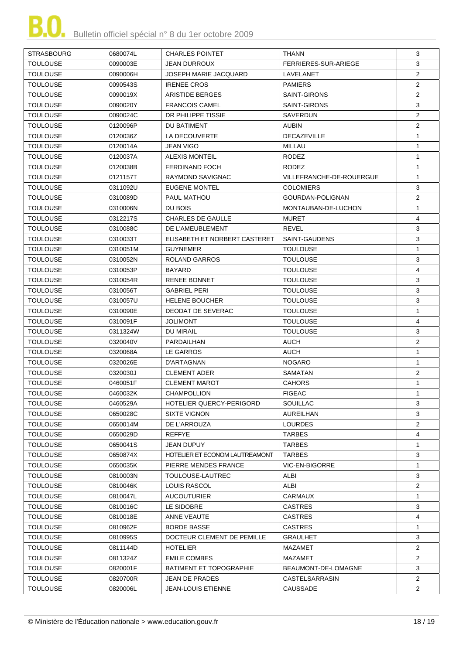| <b>STRASBOURG</b> | 0680074L | <b>CHARLES POINTET</b>         | <b>THANN</b>             | 3              |
|-------------------|----------|--------------------------------|--------------------------|----------------|
| <b>TOULOUSE</b>   | 0090003E | <b>JEAN DURROUX</b>            | FERRIERES-SUR-ARIEGE     | 3              |
| <b>TOULOUSE</b>   | 0090006H | JOSEPH MARIE JACQUARD          | LAVELANET                | $\overline{2}$ |
| <b>TOULOUSE</b>   | 0090543S | <b>IRENEE CROS</b>             | <b>PAMIERS</b>           | $\overline{2}$ |
| <b>TOULOUSE</b>   | 0090019X | ARISTIDE BERGES                | <b>SAINT-GIRONS</b>      | $\overline{2}$ |
| <b>TOULOUSE</b>   | 0090020Y | <b>FRANCOIS CAMEL</b>          | SAINT-GIRONS             | 3              |
| <b>TOULOUSE</b>   | 0090024C | DR PHILIPPE TISSIE             | SAVERDUN                 | $\overline{2}$ |
| <b>TOULOUSE</b>   | 0120096P | DU BATIMENT                    | AUBIN                    | $\overline{2}$ |
| <b>TOULOUSE</b>   | 0120036Z | LA DECOUVERTE                  | <b>DECAZEVILLE</b>       | $\mathbf{1}$   |
| <b>TOULOUSE</b>   | 0120014A | <b>JEAN VIGO</b>               | <b>MILLAU</b>            | $\mathbf{1}$   |
| <b>TOULOUSE</b>   | 0120037A | <b>ALEXIS MONTEIL</b>          | <b>RODEZ</b>             | $\mathbf{1}$   |
| <b>TOULOUSE</b>   | 0120038B | <b>FERDINAND FOCH</b>          | <b>RODEZ</b>             | $\mathbf{1}$   |
| <b>TOULOUSE</b>   | 0121157T | RAYMOND SAVIGNAC               | VILLEFRANCHE-DE-ROUERGUE | $\mathbf{1}$   |
| <b>TOULOUSE</b>   | 0311092U | <b>EUGENE MONTEL</b>           | <b>COLOMIERS</b>         | 3              |
| <b>TOULOUSE</b>   | 0310089D | <b>PAUL MATHOU</b>             | GOURDAN-POLIGNAN         | $\overline{2}$ |
| <b>TOULOUSE</b>   | 0310006N | DU BOIS                        | MONTAUBAN-DE-LUCHON      | $\mathbf{1}$   |
| <b>TOULOUSE</b>   | 0312217S | <b>CHARLES DE GAULLE</b>       | <b>MURET</b>             | $\overline{4}$ |
| <b>TOULOUSE</b>   | 0310088C | DE L'AMEUBLEMENT               | <b>REVEL</b>             | 3              |
| <b>TOULOUSE</b>   | 0310033T | ELISABETH ET NORBERT CASTERET  | <b>SAINT-GAUDENS</b>     | 3              |
| <b>TOULOUSE</b>   | 0310051M | <b>GUYNEMER</b>                | <b>TOULOUSE</b>          | $\mathbf{1}$   |
| <b>TOULOUSE</b>   | 0310052N | ROLAND GARROS                  | <b>TOULOUSE</b>          | 3              |
| <b>TOULOUSE</b>   | 0310053P | <b>BAYARD</b>                  | <b>TOULOUSE</b>          | $\overline{4}$ |
| <b>TOULOUSE</b>   |          | <b>RENEE BONNET</b>            | <b>TOULOUSE</b>          | 3              |
|                   | 0310054R |                                |                          |                |
| <b>TOULOUSE</b>   | 0310056T | <b>GABRIEL PERI</b>            | <b>TOULOUSE</b>          | 3<br>3         |
| <b>TOULOUSE</b>   | 0310057U | <b>HELENE BOUCHER</b>          | <b>TOULOUSE</b>          |                |
| <b>TOULOUSE</b>   | 0310090E | DEODAT DE SEVERAC              | <b>TOULOUSE</b>          | $\mathbf{1}$   |
| <b>TOULOUSE</b>   | 0310091F | <b>JOLIMONT</b>                | <b>TOULOUSE</b>          | $\overline{4}$ |
| <b>TOULOUSE</b>   | 0311324W | <b>DU MIRAIL</b>               | <b>TOULOUSE</b>          | 3              |
| <b>TOULOUSE</b>   | 0320040V | PARDAILHAN                     | <b>AUCH</b>              | 2              |
| <b>TOULOUSE</b>   | 0320068A | LE GARROS                      | AUCH                     | $\mathbf{1}$   |
| <b>TOULOUSE</b>   | 0320026E | D'ARTAGNAN                     | <b>NOGARO</b>            | $\mathbf{1}$   |
| <b>TOULOUSE</b>   | 0320030J | <b>CLEMENT ADER</b>            | SAMATAN                  | $\overline{2}$ |
| <b>TOULOUSE</b>   | 0460051F | <b>CLEMENT MAROT</b>           | <b>CAHORS</b>            | $\mathbf{1}$   |
| <b>TOULOUSE</b>   | 0460032K | <b>CHAMPOLLION</b>             | <b>FIGEAC</b>            | 1              |
| <b>TOULOUSE</b>   | 0460529A | HOTELIER QUERCY-PERIGORD       | SOUILLAC                 | 3              |
| <b>TOULOUSE</b>   | 0650028C | <b>SIXTE VIGNON</b>            | AUREILHAN                | 3              |
| <b>TOULOUSE</b>   | 0650014M | DE L'ARROUZA                   | <b>LOURDES</b>           | $\overline{2}$ |
| <b>TOULOUSE</b>   | 0650029D | <b>REFFYE</b>                  | <b>TARBES</b>            | 4              |
| <b>TOULOUSE</b>   | 0650041S | JEAN DUPUY                     | <b>TARBES</b>            | $\mathbf{1}$   |
| <b>TOULOUSE</b>   | 0650874X | HOTELIER ET ECONOM LAUTREAMONT | <b>TARBES</b>            | 3              |
| <b>TOULOUSE</b>   | 0650035K | PIERRE MENDES FRANCE           | VIC-EN-BIGORRE           | $\mathbf{1}$   |
| <b>TOULOUSE</b>   | 0810003N | TOULOUSE-LAUTREC               | ALBI                     | 3              |
| <b>TOULOUSE</b>   | 0810046K | <b>LOUIS RASCOL</b>            | ALBI                     | $\overline{2}$ |
| <b>TOULOUSE</b>   | 0810047L | <b>AUCOUTURIER</b>             | <b>CARMAUX</b>           | $\mathbf{1}$   |
| <b>TOULOUSE</b>   | 0810016C | LE SIDOBRE                     | <b>CASTRES</b>           | 3              |
| <b>TOULOUSE</b>   | 0810018E | ANNE VEAUTE                    | <b>CASTRES</b>           | 4              |
| <b>TOULOUSE</b>   | 0810962F | <b>BORDE BASSE</b>             | <b>CASTRES</b>           | $\mathbf{1}$   |
| <b>TOULOUSE</b>   | 0810995S | DOCTEUR CLEMENT DE PEMILLE     | GRAULHET                 | 3              |
| <b>TOULOUSE</b>   | 0811144D | <b>HOTELIER</b>                | MAZAMET                  | $\overline{2}$ |
| <b>TOULOUSE</b>   | 0811324Z | <b>EMILE COMBES</b>            | MAZAMET                  | $\overline{2}$ |
| <b>TOULOUSE</b>   | 0820001F | <b>BATIMENT ET TOPOGRAPHIE</b> | BEAUMONT-DE-LOMAGNE      | 3              |
| <b>TOULOUSE</b>   | 0820700R | JEAN DE PRADES                 | CASTELSARRASIN           | $\overline{2}$ |
| <b>TOULOUSE</b>   | 0820006L | <b>JEAN-LOUIS ETIENNE</b>      | <b>CAUSSADE</b>          | $\overline{2}$ |